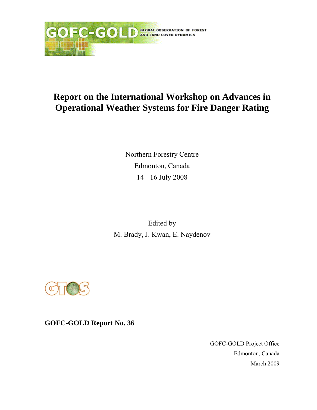

Northern Forestry Centre Edmonton, Canada 14 - 16 July 2008

Edited by M. Brady, J. Kwan, E. Naydenov



**GOFC-GOLD Report No. 36** 

GOFC-GOLD Project Office Edmonton, Canada March 2009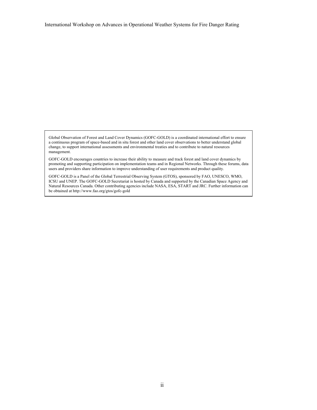Global Observation of Forest and Land Cover Dynamics (GOFC-GOLD) is a coordinated international effort to ensure a continuous program of space-based and in situ forest and other land cover observations to better understand global change, to support international assessments and environmental treaties and to contribute to natural resources management.

GOFC-GOLD encourages countries to increase their ability to measure and track forest and land cover dynamics by promoting and supporting participation on implementation teams and in Regional Networks. Through these forums, data users and providers share information to improve understanding of user requirements and product quality.

GOFC-GOLD is a Panel of the Global Terrestrial Observing System (GTOS), sponsored by FAO, UNESCO, WMO, ICSU and UNEP. The GOFC-GOLD Secretariat is hosted by Canada and supported by the Canadian Space Agency and Natural Resources Canada. Other contributing agencies include NASA, ESA, START and JRC. Further information can be obtained at http://www.fao.org/gtos/gofc-gold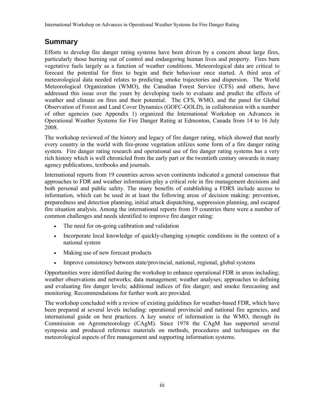# **Summary**

Efforts to develop fire danger rating systems have been driven by a concern about large fires, particularly those burning out of control and endangering human lives and property. Fires burn vegetative fuels largely as a function of weather conditions. Meteorological data are critical to forecast the potential for fires to begin and their behaviour once started. A third area of meteorological data needed relates to predicting smoke trajectories and dispersion. The World Meteorological Organization (WMO), the Canadian Forest Service (CFS) and others, have addressed this issue over the years by developing tools to evaluate and predict the effects of weather and climate on fires and their potential. The CFS, WMO, and the panel for Global Observation of Forest and Land Cover Dynamics (GOFC-GOLD), in collaboration with a number of other agencies (see Appendix 1) organized the International Workshop on Advances in Operational Weather Systems for Fire Danger Rating at Edmonton, Canada from 14 to 16 July 2008.

The workshop reviewed of the history and legacy of fire danger rating, which showed that nearly every country in the world with fire-prone vegetation utilizes some form of a fire danger rating system. Fire danger rating research and operational use of fire danger rating systems has a very rich history which is well chronicled from the early part or the twentieth century onwards in many agency publications, textbooks and journals.

International reports from 19 countries across seven continents indicated a general consensus that approaches to FDR and weather information play a critical role in fire management decisions and both personal and public safety. The many benefits of establishing a FDRS include access to information, which can be used in at least the following areas of decision making: prevention, preparedness and detection planning, initial attack dispatching, suppression planning, and escaped fire situation analysis. Among the international reports from 19 countries there were a number of common challenges and needs identified to improve fire danger rating:

- The need for on-going calibration and validation
- Incorporate local knowledge of quickly-changing synoptic conditions in the context of a national system
- Making use of new forecast products
- Improve consistency between state/provincial, national, regional, global systems

Opportunities were identified during the workshop to enhance operational FDR in areas including; weather observations and networks; data management; weather analyses; approaches to defining and evaluating fire danger levels; additional indices of fire danger; and smoke forecasting and monitoring. Recommendations for further work are provided.

The workshop concluded with a review of existing guidelines for weather-based FDR, which have been prepared at several levels including: operational provincial and national fire agencies, and international guide on best practices. A key source of information is the WMO, through its Commission on Agrometeorology (CAgM). Since 1978 the CAgM has supported several symposia and produced reference materials on methods, procedures and techniques on the meteorological aspects of fire management and supporting information systems.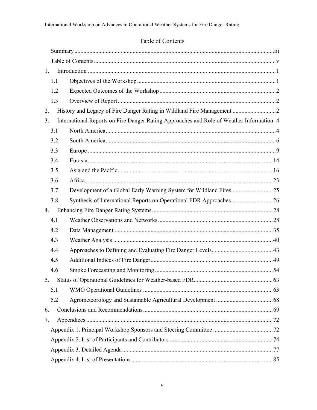# Table of Contents

| 1.                     |                                                                                           |  |  |
|------------------------|-------------------------------------------------------------------------------------------|--|--|
| 1.1                    |                                                                                           |  |  |
| 1.2                    |                                                                                           |  |  |
| 1.3                    |                                                                                           |  |  |
| 2.                     |                                                                                           |  |  |
| 3 <sub>1</sub>         | International Reports on Fire Danger Rating Approaches and Role of Weather Information .4 |  |  |
| 3.1                    |                                                                                           |  |  |
| 3.2                    |                                                                                           |  |  |
| 3.3                    |                                                                                           |  |  |
| 3.4                    |                                                                                           |  |  |
| 3.5                    |                                                                                           |  |  |
| 3.6                    |                                                                                           |  |  |
| 3.7                    |                                                                                           |  |  |
| 3.8                    | Synthesis of International Reports on Operational FDR Approaches26                        |  |  |
| 4.                     |                                                                                           |  |  |
| 4.1                    |                                                                                           |  |  |
| 4.2                    |                                                                                           |  |  |
| 4.3                    |                                                                                           |  |  |
| 4.4                    |                                                                                           |  |  |
| 4.5                    |                                                                                           |  |  |
| 4.6                    |                                                                                           |  |  |
| . 63<br>5 <sup>7</sup> |                                                                                           |  |  |
| 5.1                    |                                                                                           |  |  |
| 5.2                    |                                                                                           |  |  |
| 6.                     |                                                                                           |  |  |
| 7.                     |                                                                                           |  |  |
|                        |                                                                                           |  |  |
|                        |                                                                                           |  |  |
|                        |                                                                                           |  |  |
|                        |                                                                                           |  |  |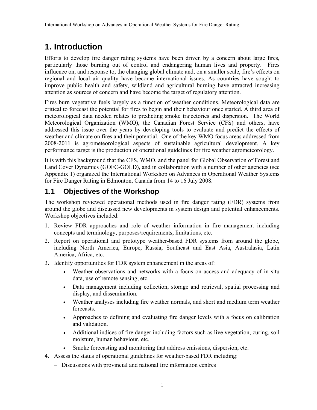# **1. Introduction**

Efforts to develop fire danger rating systems have been driven by a concern about large fires, particularly those burning out of control and endangering human lives and property. Fires influence on, and response to, the changing global climate and, on a smaller scale, fire's effects on regional and local air quality have become international issues. As countries have sought to improve public health and safety, wildland and agricultural burning have attracted increasing attention as sources of concern and have become the target of regulatory attention.

Fires burn vegetative fuels largely as a function of weather conditions. Meteorological data are critical to forecast the potential for fires to begin and their behaviour once started. A third area of meteorological data needed relates to predicting smoke trajectories and dispersion. The World Meteorological Organization (WMO), the Canadian Forest Service (CFS) and others, have addressed this issue over the years by developing tools to evaluate and predict the effects of weather and climate on fires and their potential. One of the key WMO focus areas addressed from 2008-2011 is agrometeorological aspects of sustainable agricultural development. A key performance target is the production of operational guidelines for fire weather agrometeorology.

It is with this background that the CFS, WMO, and the panel for Global Observation of Forest and Land Cover Dynamics (GOFC-GOLD), and in collaboration with a number of other agencies (see Appendix 1) organized the International Workshop on Advances in Operational Weather Systems for Fire Danger Rating in Edmonton, Canada from 14 to 16 July 2008.

# **1.1 Objectives of the Workshop**

The workshop reviewed operational methods used in fire danger rating (FDR) systems from around the globe and discussed new developments in system design and potential enhancements. Workshop objectives included:

- 1. Review FDR approaches and role of weather information in fire management including concepts and terminology, purposes/requirements, limitations, etc.
- 2. Report on operational and prototype weather-based FDR systems from around the globe, including North America, Europe, Russia, Southeast and East Asia, Australasia, Latin America, Africa, etc.
- 3. Identify opportunities for FDR system enhancement in the areas of:
	- Weather observations and networks with a focus on access and adequacy of in situ data, use of remote sensing, etc.
	- Data management including collection, storage and retrieval, spatial processing and display, and dissemination.
	- Weather analyses including fire weather normals, and short and medium term weather forecasts.
	- Approaches to defining and evaluating fire danger levels with a focus on calibration and validation.
	- Additional indices of fire danger including factors such as live vegetation, curing, soil moisture, human behaviour, etc.
	- Smoke forecasting and monitoring that address emissions, dispersion, etc.
- 4. Assess the status of operational guidelines for weather-based FDR including:
	- − Discussions with provincial and national fire information centres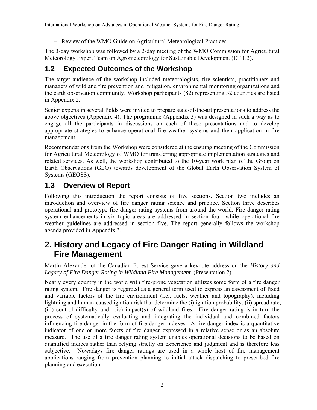− Review of the WMO Guide on Agricultural Meteorological Practices

The 3-day workshop was followed by a 2-day meeting of the WMO Commission for Agricultural Meteorology Expert Team on Agrometeorology for Sustainable Development (ET 1.3).

# **1.2 Expected Outcomes of the Workshop**

The target audience of the workshop included meteorologists, fire scientists, practitioners and managers of wildland fire prevention and mitigation, environmental monitoring organizations and the earth observation community. Workshop participants (82) representing 32 countries are listed in Appendix 2.

Senior experts in several fields were invited to prepare state-of-the-art presentations to address the above objectives (Appendix 4). The programme (Appendix 3) was designed in such a way as to engage all the participants in discussions on each of these presentations and to develop appropriate strategies to enhance operational fire weather systems and their application in fire management.

Recommendations from the Workshop were considered at the ensuing meeting of the Commission for Agricultural Meteorology of WMO for transferring appropriate implementation strategies and related services. As well, the workshop contributed to the 10-year work plan of the Group on Earth Observations (GEO) towards development of the Global Earth Observation System of Systems (GEOSS).

# **1.3 Overview of Report**

Following this introduction the report consists of five sections. Section two includes an introduction and overview of fire danger rating science and practice. Section three describes operational and prototype fire danger rating systems from around the world. Fire danger rating system enhancements in six topic areas are addressed in section four, while operational fire weather guidelines are addressed in section five. The report generally follows the workshop agenda provided in Appendix 3.

# **2. History and Legacy of Fire Danger Rating in Wildland Fire Management**

Martin Alexander of the Canadian Forest Service gave a keynote address on the *History and Legacy of Fire Danger Rating in Wildland Fire Management.* (Presentation 2).

Nearly every country in the world with fire-prone vegetation utilizes some form of a fire danger rating system. Fire danger is regarded as a general term used to express an assessment of fixed and variable factors of the fire environment (i.e., fuels, weather and topography), including lightning and human-caused ignition risk that determine the (i) ignition probability, (ii) spread rate, (iii) control difficulty and (iv) impact(s) of wildland fires. Fire danger rating is in turn the process of systematically evaluating and integrating the individual and combined factors influencing fire danger in the form of fire danger indexes. A fire danger index is a quantitative indicator of one or more facets of fire danger expressed in a relative sense or as an absolute measure. The use of a fire danger rating system enables operational decisions to be based on quantified indices rather than relying strictly on experience and judgment and is therefore less subjective. Nowadays fire danger ratings are used in a whole host of fire management applications ranging from prevention planning to initial attack dispatching to prescribed fire planning and execution.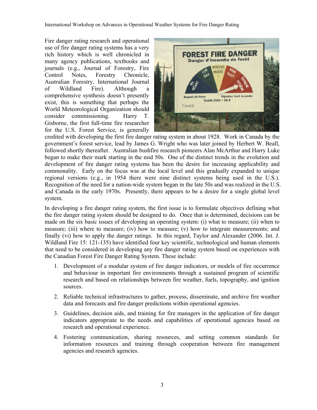Fire danger rating research and operational use of fire danger rating systems has a very rich history which is well chronicled in many agency publications, textbooks and journals (e.g., Journal of Forestry, Fire Control Notes, Forestry Chronicle, Australian Forestry, International Journal of Wildland Fire). Although a comprehensive synthesis doesn't presently exist, this is something that perhaps the World Meteorological Organization should consider commissioning. Harry T. Gisborne, the first full-time fire researcher for the U.S. Forest Service, is generally



credited with developing the first fire danger rating system in about 1928. Work in Canada by the government's forest service, lead by James G. Wright who was later joined by Herbert W. Beall, followed shortly thereafter. Australian bushfire research pioneers Alan McArthur and Harry Luke began to make their mark starting in the mid 50s. One of the distinct trends in the evolution and development of fire danger rating systems has been the desire for increasing applicability and commonality. Early on the focus was at the local level and this gradually expanded to unique regional versions (e.g., in 1954 there were nine distinct systems being used in the U.S.). Recognition of the need for a nation-wide system began in the late 50s and was realized in the U.S. and Canada in the early 1970s. Presently, there appears to be a desire for a single global level system.

In developing a fire danger rating system, the first issue is to formulate objectives defining what the fire danger rating system should be designed to do. Once that is determined, decisions can be made on the six basic issues of developing an operating system: (i) what to measure; (ii) when to measure; (iii) where to measure; (iv) how to measure; (v) how to integrate measurements; and finally (vi) how to apply the danger ratings. In this regard, Taylor and Alexander (2006. Int. J. Wildland Fire 15: 121-135) have identified four key scientific, technological and human elements that need to be considered in developing any fire danger rating system based on experiences with the Canadian Forest Fire Danger Rating System. These include:

- 1. Development of a modular system of fire danger indicators, or models of fire occurrence and behaviour in important fire environments through a sustained program of scientific research and based on relationships between fire weather, fuels, topography, and ignition sources.
- 2. Reliable technical infrastructures to gather, process, disseminate, and archive fire weather data and forecasts and fire danger predictions within operational agencies.
- 3. Guidelines, decision aids, and training for fire managers in the application of fire danger indicators appropriate to the needs and capabilities of operational agencies based on research and operational experience.
- 4. Fostering communication, sharing resources, and setting common standards for information resources and training through cooperation between fire management agencies and research agencies.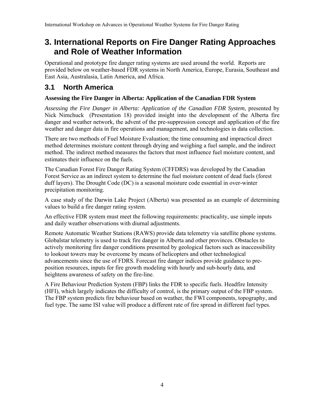# **3. International Reports on Fire Danger Rating Approaches and Role of Weather Information**

Operational and prototype fire danger rating systems are used around the world. Reports are provided below on weather-based FDR systems in North America, Europe, Eurasia, Southeast and East Asia, Australasia, Latin America, and Africa.

# **3.1 North America**

# **Assessing the Fire Danger in Alberta: Application of the Canadian FDR System**

Assessing the Fire Danger in Alberta: Application of the Canadian FDR System, presented by Nick Nimchuck (Presentation 18) provided insight into the development of the Alberta fire danger and weather network, the advent of the pre-suppression concept and application of the fire weather and danger data in fire operations and management, and technologies in data collection.

There are two methods of Fuel Moisture Evaluation; the time consuming and impractical direct method determines moisture content through drying and weighing a fuel sample, and the indirect method. The indirect method measures the factors that most influence fuel moisture content, and estimates their influence on the fuels.

The Canadian Forest Fire Danger Rating System (CFFDRS) was developed by the Canadian Forest Service as an indirect system to determine the fuel moisture content of dead fuels (forest duff layers). The Drought Code (DC) is a seasonal moisture code essential in over-winter precipitation monitoring.

A case study of the Darwin Lake Project (Alberta) was presented as an example of determining values to build a fire danger rating system.

An effective FDR system must meet the following requirements: practicality, use simple inputs and daily weather observations with diurnal adjustments.

Remote Automatic Weather Stations (RAWS) provide data telemetry via satellite phone systems. Globalstar telemetry is used to track fire danger in Alberta and other provinces. Obstacles to actively monitoring fire danger conditions presented by geological factors such as inaccessibility to lookout towers may be overcome by means of helicopters and other technological advancements since the use of FDRS. Forecast fire danger indices provide guidance to preposition resources, inputs for fire growth modeling with hourly and sub-hourly data, and heightens awareness of safety on the fire-line.

A Fire Behaviour Prediction System (FBP) links the FDR to specific fuels. Headfire Intensity (HFI), which largely indicates the difficulty of control, is the primary output of the FBP system. The FBP system predicts fire behaviour based on weather, the FWI components, topography, and fuel type. The same ISI value will produce a different rate of fire spread in different fuel types.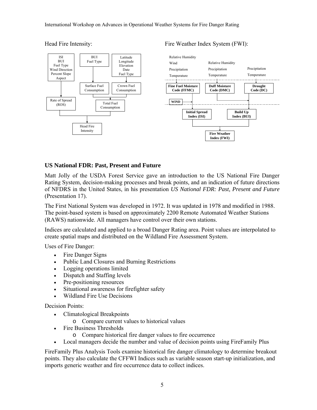

Fire Weather Index System (FWI):

#### Head Fire Intensity:

#### **US National FDR: Past, Present and Future**

Matt Jolly of the USDA Forest Service gave an introduction to the US National Fire Danger Rating System, decision-making processes and break points, and an indication of future directions of NFDRS in the United States, in his presentation *US National FDR: Past, Present and Future* (Presentation 17).

The First National System was developed in 1972. It was updated in 1978 and modified in 1988. The point-based system is based on approximately 2200 Remote Automated Weather Stations (RAWS) nationwide. All managers have control over their own stations.

Indices are calculated and applied to a broad Danger Rating area. Point values are interpolated to create spatial maps and distributed on the Wildland Fire Assessment System.

Uses of Fire Danger:

- Fire Danger Signs
- Public Land Closures and Burning Restrictions
- Logging operations limited
- Dispatch and Staffing levels
- Pre-positioning resources
- Situational awareness for firefighter safety
- Wildland Fire Use Decisions

Decision Points:

- Climatological Breakpoints
	- o Compare current values to historical values
- Fire Business Thresholds
	- o Compare historical fire danger values to fire occurrence
- Local managers decide the number and value of decision points using FireFamily Plus

FireFamily Plus Analysis Tools examine historical fire danger climatology to determine breakout points. They also calculate the CFFWI Indices such as variable season start-up initialization, and imports generic weather and fire occurrence data to collect indices.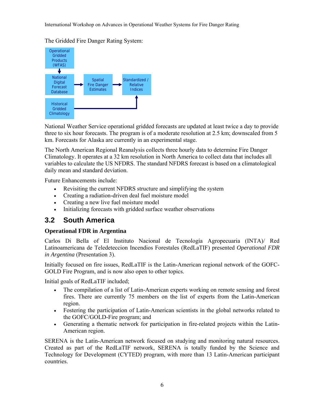The Gridded Fire Danger Rating System:



National Weather Service operational gridded forecasts are updated at least twice a day to provide three to six hour forecasts. The program is of a moderate resolution at 2.5 km; downscaled from 5 km. Forecasts for Alaska are currently in an experimental stage.

The North American Regional Reanalysis collects three hourly data to determine Fire Danger Climatology. It operates at a 32 km resolution in North America to collect data that includes all variables to calculate the US NFDRS. The standard NFDRS forecast is based on a climatological daily mean and standard deviation.

Future Enhancements include:

- Revisiting the current NFDRS structure and simplifying the system
- Creating a radiation-driven deal fuel moisture model
- Creating a new live fuel moisture model
- Initializing forecasts with gridded surface weather observations

# **3.2 South America**

# **Operational FDR in Argentina**

Carlos Di Bella of El Instituto Nacional de Tecnología Agropecuaria (INTA)/ Red Latinoamericana de Teledeteccion Incendios Forestales (RedLaTIF) presented *Operational FDR in Argentina* (Presentation 3).

Initially focused on fire issues, RedLaTIF is the Latin-American regional network of the GOFC-GOLD Fire Program, and is now also open to other topics.

Initial goals of RedLaTIF included;

- The compilation of a list of Latin-American experts working on remote sensing and forest fires. There are currently 75 members on the list of experts from the Latin-American region.
- Fostering the participation of Latin-American scientists in the global networks related to the GOFC/GOLD-Fire program; and
- Generating a thematic network for participation in fire-related projects within the Latin-American region.

SERENA is the Latin-American network focused on studying and monitoring natural resources. Created as part of the RedLaTIF network, SERENA is totally funded by the Science and Technology for Development (CYTED) program, with more than 13 Latin-American participant countries.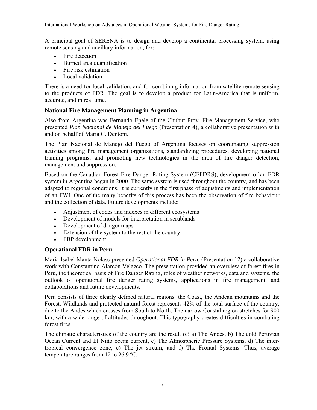A principal goal of SERENA is to design and develop a continental processing system, using remote sensing and ancillary information, for:

- Fire detection
- Burned area quantification
- Fire risk estimation
- Local validation

There is a need for local validation, and for combining information from satellite remote sensing to the products of FDR. The goal is to develop a product for Latin-America that is uniform, accurate, and in real time.

### **National Fire Management Planning in Argentina**

Also from Argentina was Fernando Epele of the Chubut Prov. Fire Management Service, who presented *Plan Nacional de Manejo del Fuego* (Presentation 4), a collaborative presentation with and on behalf of Maria C. Dentoni.

The Plan Nacional de Manejo del Fuego of Argentina focuses on coordinating suppression activities among fire management organizations, standardizing procedures, developing national training programs, and promoting new technologies in the area of fire danger detection, management and suppression.

Based on the Canadian Forest Fire Danger Rating System (CFFDRS), development of an FDR system in Argentina began in 2000. The same system is used throughout the country, and has been adapted to regional conditions. It is currently in the first phase of adjustments and implementation of an FWI. One of the many benefits of this process has been the observation of fire behaviour and the collection of data. Future developments include:

- Adjustment of codes and indexes in different ecosystems
- Development of models for interpretation in scrublands
- Development of danger maps
- Extension of the system to the rest of the country
- FBP development

# **Operational FDR in Peru**

Maria Isabel Manta Nolasc presented *Operational FDR in Peru*, (Presentation 12) a collaborative work with Constantino Alarcón Velazco. The presentation provided an overview of forest fires in Peru, the theoretical basis of Fire Danger Rating, roles of weather networks, data and systems, the outlook of operational fire danger rating systems, applications in fire management, and collaborations and future developments.

Peru consists of three clearly defined natural regions: the Coast, the Andean mountains and the Forest. Wildlands and protected natural forest represents 42% of the total surface of the country, due to the Andes which crosses from South to North. The narrow Coastal region stretches for 900 km, with a wide range of altitudes throughout. This typography creates difficulties in combating forest fires.

The climatic characteristics of the country are the result of: a) The Andes, b) The cold Peruvian Ocean Current and El Niño ocean current, c) The Atmospheric Pressure Systems, d) The intertropical convergence zone, e) The jet stream, and f) The Frontal Systems. Thus, average temperature ranges from 12 to 26.9 ºC.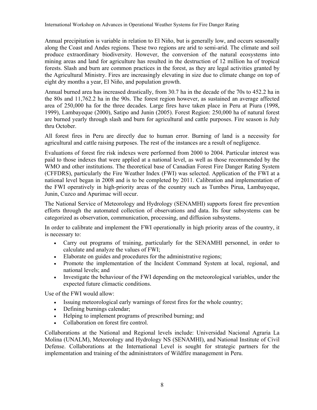Annual precipitation is variable in relation to El Niño, but is generally low, and occurs seasonally along the Coast and Andes regions. These two regions are arid to semi-arid. The climate and soil produce extraordinary biodiversity. However, the conversion of the natural ecosystems into mining areas and land for agriculture has resulted in the destruction of 12 million ha of tropical forests. Slash and burn are common practices in the forest, as they are legal activities granted by the Agricultural Ministry. Fires are increasingly elevating in size due to climate change on top of eight dry months a year, El Niño, and population growth.

Annual burned area has increased drastically, from 30.7 ha in the decade of the 70s to 452.2 ha in the 80s and 11,762.2 ha in the 90s. The forest region however, as sustained an average affected area of 250,000 ha for the three decades. Large fires have taken place in Peru at Piura (1998, 1999), Lambayeque (2000), Satipo and Junin (2005). Forest Region: 250,000 ha of natural forest are burned yearly through slash and burn for agricultural and cattle purposes. Fire season is July thru October.

All forest fires in Peru are directly due to human error. Burning of land is a necessity for agricultural and cattle raising purposes. The rest of the instances are a result of negligence.

Evaluations of forest fire risk indexes were performed from 2000 to 2004. Particular interest was paid to those indexes that were applied at a national level, as well as those recommended by the WMO and other institutions. The theoretical base of Canadian Forest Fire Danger Rating System (CFFDRS), particularly the Fire Weather Index (FWI) was selected. Application of the FWI at a national level began in 2008 and is to be completed by 2011. Calibration and implementation of the FWI operatively in high-priority areas of the country such as Tumbes Pirua, Lambayeque, Junin, Cuzco and Apurimac will occur.

The National Service of Meteorology and Hydrology (SENAMHI) supports forest fire prevention efforts through the automated collection of observations and data. Its four subsystems can be categorized as observation, communication, processing, and diffusion subsystems.

In order to calibrate and implement the FWI operationally in high priority areas of the country, it is necessary to:

- Carry out programs of training, particularly for the SENAMHI personnel, in order to calculate and analyze the values of FWI;
- Elaborate on guides and procedures for the administrative regions;
- Promote the implementation of the Incident Command System at local, regional, and national levels; and
- Investigate the behaviour of the FWI depending on the meteorological variables, under the expected future climactic conditions.

Use of the FWI would allow:

- Issuing meteorological early warnings of forest fires for the whole country;
- Defining burnings calendar;
- Helping to implement programs of prescribed burning; and
- Collaboration on forest fire control.

Collaborations at the National and Regional levels include: Universidad Nacional Agraria La Molina (UNALM), Meteorology and Hydrology NS (SENAMHI), and National Institute of Civil Defense. Collaborations at the International Level is sought for strategic partners for the implementation and training of the administrators of Wildfire management in Peru.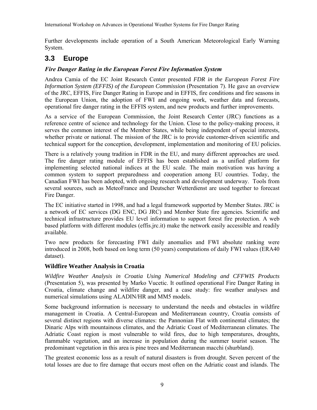Further developments include operation of a South American Meteorological Early Warning System.

# **3.3 Europe**

## *Fire Danger Rating in the European Forest Fire Information System*

Andrea Camia of the EC Joint Research Center presented *FDR in the European Forest Fire Information System (EFFIS) of the European Commission* (Presentation 7). He gave an overview of the JRC, EFFIS, Fire Danger Rating in Europe and in EFFIS, fire conditions and fire seasons in the European Union, the adoption of FWI and ongoing work, weather data and forecasts, operational fire danger rating in the EFFIS system, and new products and further improvements.

As a service of the European Commission, the Joint Research Center (JRC) functions as a reference centre of science and technology for the Union. Close to the policy-making process, it serves the common interest of the Member States, while being independent of special interests, whether private or national. The mission of the JRC is to provide customer-driven scientific and technical support for the conception, development, implementation and monitoring of EU policies.

There is a relatively young tradition in FDR in the EU, and many different approaches are used. The fire danger rating module of EFFIS has been established as a unified platform for implementing selected national indices at the EU scale. The main motivation was having a common system to support preparedness and cooperation among EU countries. Today, the Canadian FWI has been adopted, with ongoing research and development underway. Tools from several sources, such as MeteoFrance and Deutscher Wetterdienst are used together to forecast Fire Danger.

The EC initiative started in 1998, and had a legal framework supported by Member States. JRC is a network of EC services (DG ENC, DG JRC) and Member State fire agencies. Scientific and technical infrastructure provides EU level information to support forest fire protection. A web based platform with different modules (effis.jrc.it) make the network easily accessible and readily available.

Two new products for forecasting FWI daily anomalies and FWI absolute ranking were introduced in 2008, both based on long term (50 years) computations of daily FWI values (ERA40 dataset).

### **Wildfire Weather Analysis in Croatia**

*Wildfire Weather Analysis in Croatia Using Numerical Modeling and CFFWIS Products*  (Presentation 5), was presented by Marko Vucetic. It outlined operational Fire Danger Rating in Croatia, climate change and wildfire danger, and a case study: fire weather analyses and numerical simulations using ALADIN/HR and MM5 models.

Some background information is necessary to understand the needs and obstacles in wildfire management in Croatia. A Central-European and Mediterranean country, Croatia consists of several distinct regions with diverse climates: the Pannonian Flat with continental climates; the Dinaric Alps with mountainous climates, and the Adriatic Coast of Mediterranean climates. The Adriatic Coast region is most vulnerable to wild fires, due to high temperatures, droughts, flammable vegetation, and an increase in population during the summer tourist season. The predominant vegetation in this area is pine trees and Mediterranean macchi (shurbland).

The greatest economic loss as a result of natural disasters is from drought. Seven percent of the total losses are due to fire damage that occurs most often on the Adriatic coast and islands. The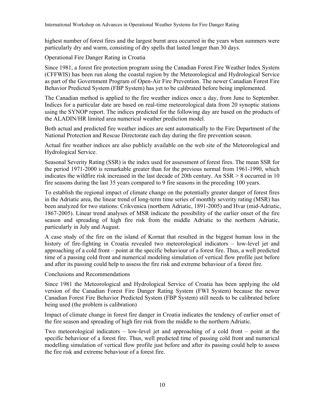highest number of forest fires and the largest burnt area occurred in the years when summers were particularly dry and warm, consisting of dry spells that lasted longer than 30 days.

Operational Fire Danger Rating in Croatia

Since 1981, a forest fire protection program using the Canadian Forest Fire Weather Index System (CFFWIS) has been run along the coastal region by the Meteorological and Hydrological Service as part of the Government Program of Open-Air Fire Prevention. The newer Canadian Forest Fire Behavior Predicted System (FBP System) has yet to be calibrated before being implemented.

The Canadian method is applied to the fire weather indices once a day, from June to September. Indices for a particular date are based on real-time meteorological data from 20 synoptic stations using the SYNOP report. The indices predicted for the following day are based on the products of the ALADIN/HR limited area numerical weather prediction model.

Both actual and predicted fire weather indices are sent automatically to the Fire Department of the National Protection and Rescue Directorate each day during the fire prevention season.

Actual fire weather indices are also publicly available on the web site of the Meteorological and Hydrological Service.

Seasonal Severity Rating (SSR) is the index used for assessment of forest fires. The mean SSR for the period 1971-2000 is remarkable greater than for the previous normal from 1961-1990, which indicates the wildfire risk increased in the last decade of 20th century. An  $SSR > 8$  occurred in 10 fire seasons during the last 35 years compared to 9 fire seasons in the preceding 100 years.

To establish the regional impact of climate change on the potentially greater danger of forest fires in the Adriatic area, the linear trend of long-term time series of monthly severity rating (MSR) has been analyzed for two stations: Crikvenica (northern Adriatic, 1891-2005) and Hvar (mid-Adriatic, 1867-2005). Linear trend analyses of MSR indicate the possibility of the earlier onset of the fire season and spreading of high fire risk from the middle Adriatic to the northern Adriatic, particularly in July and August.

A case study of the fire on the island of Kornat that resulted in the biggest human loss in the history of fire-fighting in Croatia revealed two meteorological indicators – low-level jet and approaching of a cold front – point at the specific behaviour of a forest fire. Thus, a well predicted time of a passing cold front and numerical modeling simulation of vertical flow profile just before and after its passing could help to assess the fire risk and extreme behaviour of a forest fire.

Conclusions and Recommendations

Since 1981 the Meteorological and Hydrological Service of Croatia has been applying the old version of the Canadian Forest Fire Danger Rating System (FWI System) because the newer Canadian Forest Fire Behavior Predicted System (FBP System) still needs to be calibrated before being used (the problem is calibration)

Impact of climate change in forest fire danger in Croatia indicates the tendency of earlier onset of the fire season and spreading of high fire risk from the middle to the northern Adriatic.

Two meteorological indicators – low-level jet and approaching of a cold front – point at the specific behaviour of a forest fire. Thus, well predicted time of passing cold front and numerical modelling simulation of vertical flow profile just before and after its passing could help to assess the fire risk and extreme behaviour of a forest fire.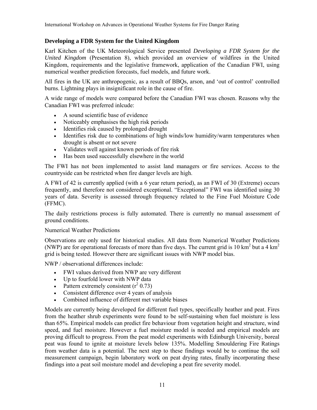## **Developing a FDR System for the United Kingdom**

Karl Kitchen of the UK Meteorological Service presented *Developing a FDR System for the United Kingdom* (Presentation 8), which provided an overview of wildfires in the United Kingdom, requirements and the legislative framework, application of the Canadian FWI, using numerical weather prediction forecasts, fuel models, and future work.

All fires in the UK are anthropogenic, as a result of BBQs, arson, and 'out of control' controlled burns. Lightning plays in insignificant role in the cause of fire.

A wide range of models were compared before the Canadian FWI was chosen. Reasons why the Canadian FWI was preferred inlcude:

- A sound scientific base of evidence
- Noticeably emphasises the high risk periods
- Identifies risk caused by prolonged drought
- Identifies risk due to combinations of high winds/low humidity/warm temperatures when drought is absent or not severe
- Validates well against known periods of fire risk
- Has been used successfully elsewhere in the world

The FWI has not been implemented to assist land managers or fire services. Access to the countryside can be restricted when fire danger levels are high.

A FWI of 42 is currently applied (with a 6 year return period), as an FWI of 30 (Extreme) occurs frequently, and therefore not considered exceptional. "Exceptional" FWI was identified using 30 years of data. Severity is assessed through frequency related to the Fine Fuel Moisture Code (FFMC).

The daily restrictions process is fully automated. There is currently no manual assessment of ground conditions.

### Numerical Weather Predictions

Observations are only used for historical studies. All data from Numerical Weather Predictions (NWP) are for operational forecasts of more than five days. The current grid is 10 km<sup>2</sup> but a 4 km<sup>2</sup> grid is being tested. However there are significant issues with NWP model bias.

NWP / observational differences include:

- FWI values derived from NWP are very different
- Up to fourfold lower with NWP data
- Pattern extremely consistent  $(r^2 0.73)$
- Consistent difference over 4 years of analysis
- Combined influence of different met variable biases

Models are currently being developed for different fuel types, specifically heather and peat. Fires from the heather shrub experiments were found to be self-sustaining when fuel moisture is less than 65%. Empirical models can predict fire behaviour from vegetation height and structure, wind speed, and fuel moisture. However a fuel moisture model is needed and empirical models are proving difficult to progress. From the peat model experiments with Edinburgh University, boreal peat was found to ignite at moisture levels below 135%. Modelling Smouldering Fire Ratings from weather data is a potential. The next step to these findings would be to continue the soil measurement campaign, begin laboratory work on peat drying rates, finally incorporating these findings into a peat soil moisture model and developing a peat fire severity model.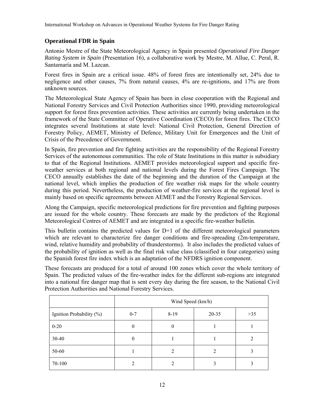# **Operational FDR in Spain**

Antonio Mestre of the State Meteorological Agency in Spain presented *Operational Fire Danger Rating System in Spain* (Presentation 16), a collaborative work by Mestre, M. Allue, C. Peral, R. Santamaría and M. Lazcan.

Forest fires in Spain are a critical issue. 48% of forest fires are intentionally set, 24% due to negligence and other causes, 7% from natural causes, 4% are re-ignitions, and 17% are from unknown sources.

The Meteorological State Agency of Spain has been in close cooperation with the Regional and National Forestry Services and Civil Protection Authorities since 1990, providing meteorological support for forest fires prevention activities. These activities are currently being undertaken in the framework of the State Committee of Operative Coordination (CECO) for forest fires. The CECO integrates several Institutions at state level: National Civil Protection, General Direction of Forestry Policy, AEMET, Ministry of Defence, Military Unit for Emergences and the Unit of Crisis of the Precedence of Government.

In Spain, fire prevention and fire fighting activities are the responsibility of the Regional Forestry Services of the autonomous communities. The role of State Institutions in this matter is subsidiary to that of the Regional Institutions. AEMET provides meteorological support and specific fireweather services at both regional and national levels during the Forest Fires Campaign. The CECO annually establishes the date of the beginning and the duration of the Campaign at the national level, which implies the production of fire weather risk maps for the whole country during this period. Nevertheless, the production of weather-fire services at the regional level is mainly based on specific agreements between AEMET and the Forestry Regional Services.

Along the Campaign, specific meteorological predictions for fire prevention and fighting purposes are issued for the whole country. These forecasts are made by the predictors of the Regional Meteorological Centres of AEMET and are integrated in a specific fire-weather bulletin.

This bulletin contains the predicted values for  $D+1$  of the different meteorological parameters which are relevant to characterize fire danger conditions and fire-spreading (2m-temperature, wind, relative humidity and probability of thunderstorms). It also includes the predicted values of the probability of ignition as well as the final risk value class (classified in four categories) using the Spanish forest fire index which is an adaptation of the NFDRS ignition component.

These forecasts are produced for a total of around 100 zones which cover the whole territory of Spain. The predicted values of the fire-weather index for the different sub-regions are integrated into a national fire danger map that is sent every day during the fire season, to the National Civil Protection Authorities and National Forestry Services.

|                          | Wind Speed (km/h) |        |           |       |  |
|--------------------------|-------------------|--------|-----------|-------|--|
| Ignition Probability (%) | $0 - 7$           | $8-19$ | $20 - 35$ | $>35$ |  |
| $0 - 20$                 | $\boldsymbol{0}$  | 0      |           |       |  |
| 30-40                    | $\boldsymbol{0}$  |        |           |       |  |
| 50-60                    |                   | ∠      | 2         |       |  |
| 70-100                   | $\mathfrak{D}$    |        |           |       |  |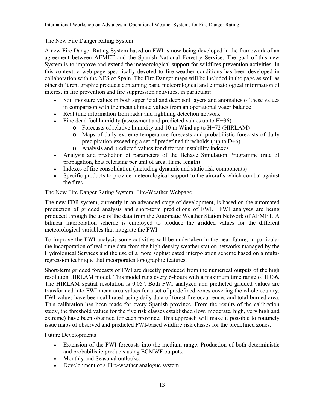### The New Fire Danger Rating System

A new Fire Danger Rating System based on FWI is now being developed in the framework of an agreement between AEMET and the Spanish National Forestry Service. The goal of this new System is to improve and extend the meteorological support for wildfires prevention activities. In this context, a web-page specifically devoted to fire-weather conditions has been developed in collaboration with the NFS of Spain. The Fire Danger maps will be included in the page as well as other different graphic products containing basic meteorological and climatological information of interest in fire prevention and fire suppression activities, in particular:

- Soil moisture values in both superficial and deep soil layers and anomalies of these values in comparison with the mean climate values from an operational water balance
- Real time information from radar and lightning detection network
- Fine dead fuel humidity (assessment and predicted values up to  $H+36$ )
	- o Forecasts of relative humidity and 10-m Wind up to H+72 (HIRLAM)
	- o Maps of daily extreme temperature forecasts and probabilistic forecasts of daily precipitation exceeding a set of predefined thresholds ( up to D+6)
	- o Analysis and predicted values for different instability indexes
- Analysis and prediction of parameters of the Behave Simulation Programme (rate of propagation, heat releasing per unit of area, flame length)
- Indexes of fire consolidation (including dynamic and static risk-components)
- Specific products to provide meteorological support to the aircrafts which combat against the fires

The New Fire Danger Rating System: Fire-Weather Webpage

The new FDR system, currently in an advanced stage of development, is based on the automated production of gridded analysis and short-term predictions of FWI. FWI analyses are being produced through the use of the data from the Automatic Weather Station Network of AEMET. A bilinear interpolation scheme is employed to produce the gridded values for the different meteorological variables that integrate the FWI.

To improve the FWI analysis some activities will be undertaken in the near future, in particular the incorporation of real-time data from the high density weather station networks managed by the Hydrological Services and the use of a more sophisticated interpolation scheme based on a multiregression technique that incorporates topographic features.

Short-term gridded forecasts of FWI are directly produced from the numerical outputs of the high resolution HIRLAM model. This model runs every 6-hours with a maximum time range of H+36. The HIRLAM spatial resolution is 0,05º. Both FWI analyzed and predicted gridded values are transformed into FWI mean area values for a set of predefined zones covering the whole country. FWI values have been calibrated using daily data of forest fire occurrences and total burned area. This calibration has been made for every Spanish province. From the results of the calibration study, the threshold values for the five risk classes established (low, moderate, high, very high and extreme) have been obtained for each province. This approach will make it possible to routinely issue maps of observed and predicted FWI-based wildfire risk classes for the predefined zones.

Future Developments

- Extension of the FWI forecasts into the medium-range. Production of both deterministic and probabilistic products using ECMWF outputs.
- Monthly and Seasonal outlooks.
- Development of a Fire-weather analogue system.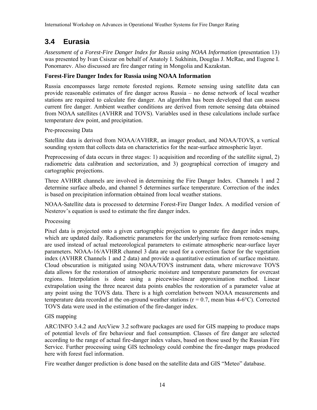# **3.4 Eurasia**

Assessment of a Forest-Fire Danger Index for Russia using NOAA Information (presentation 13) was presented by Ivan Csiszar on behalf of Anatoly I. Sukhinin, Douglas J. McRae, and Eugene I. Ponomarev. Also discussed are fire danger rating in Mongolia and Kazakstan.

### **Forest-Fire Danger Index for Russia using NOAA Information**

Russia encompasses large remote forested regions. Remote sensing using satellite data can provide reasonable estimates of fire danger across Russia – no dense network of local weather stations are required to calculate fire danger. An algorithm has been developed that can assess current fire danger. Ambient weather conditions are derived from remote sensing data obtained from NOAA satellites (AVHRR and TOVS). Variables used in these calculations include surface temperature dew point, and precipitation.

### Pre-processing Data

Satellite data is derived from NOAA/AVHRR, an imager product, and NOAA/TOVS, a vertical sounding system that collects data on characteristics for the near-surface atmospheric layer.

Preprocessing of data occurs in three stages: 1) acquisition and recording of the satellite signal, 2) radiometric data calibration and sectorization, and 3) geographical correction of imagery and cartographic projections.

Three AVHRR channels are involved in determining the Fire Danger Index. Channels 1 and 2 determine surface albedo, and channel 5 determines surface temperature. Correction of the index is based on precipitation information obtained from local weather stations.

NOAA-Satellite data is processed to determine Forest-Fire Danger Index. A modified version of Nesterov's equation is used to estimate the fire danger index.

### Processing

Pixel data is projected onto a given cartographic projection to generate fire danger index maps, which are updated daily. Radiometric parameters for the underlying surface from remote-sensing are used instead of actual meteorological parameters to estimate atmospheric near-surface layer parameters. NOAA-16/AVHRR channel 3 data are used for a correction factor for the vegetation index (AVHRR Channels 1 and 2 data) and provide a quantitative estimation of surface moisture. Cloud obscuration is mitigated using NOAA/TOVS instrument data, where microwave TOVS data allows for the restoration of atmospheric moisture and temperature parameters for overcast regions. Interpolation is done using a piecewise-linear approximation method. Linear extrapolation using the three nearest data points enables the restoration of a parameter value at any point using the TOVS data. There is a high correlation between NOAA measurements and temperature data recorded at the on-ground weather stations ( $r = 0.7$ , mean bias 4-6°C). Corrected TOVS data were used in the estimation of the fire-danger index.

### GIS mapping

ARC/INFO 3.4.2 and ArcView 3.2 software packages are used for GIS mapping to produce maps of potential levels of fire behaviour and fuel consumption. Classes of fire danger are selected according to the range of actual fire-danger index values, based on those used by the Russian Fire Service. Further processing using GIS technology could combine the fire-danger maps produced here with forest fuel information.

Fire weather danger prediction is done based on the satellite data and GIS "Meteo" database.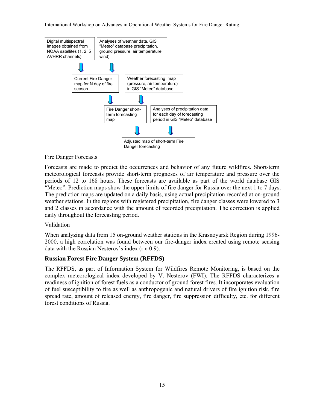

### Fire Danger Forecasts

Forecasts are made to predict the occurrences and behavior of any future wildfires. Short-term meteorological forecasts provide short-term prognoses of air temperature and pressure over the periods of 12 to 168 hours. These forecasts are available as part of the world database GIS "Meteo". Prediction maps show the upper limits of fire danger for Russia over the next 1 to 7 days. The prediction maps are updated on a daily basis, using actual precipitation recorded at on-ground weather stations. In the regions with registered precipitation, fire danger classes were lowered to 3 and 2 classes in accordance with the amount of recorded precipitation. The correction is applied daily throughout the forecasting period.

### Validation

When analyzing data from 15 on-ground weather stations in the Krasnoyarsk Region during 1996- 2000, a high correlation was found between our fire-danger index created using remote sensing data with the Russian Nesterov's index (r » 0.9).

### **Russian Forest Fire Danger System (RFFDS)**

The RFFDS, as part of Information System for Wildfires Remote Monitoring, is based on the complex meteorological index developed by V. Nesterov (FWI). The RFFDS characterizes a readiness of ignition of forest fuels as a conductor of ground forest fires. It incorporates evaluation of fuel susceptibility to fire as well as anthropogenic and natural drivers of fire ignition risk, fire spread rate, amount of released energy, fire danger, fire suppression difficulty, etc. for different forest conditions of Russia.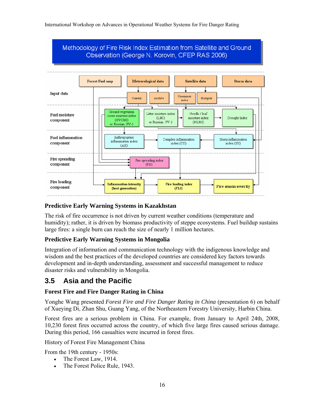

### **Predictive Early Warning Systems in Kazakhstan**

The risk of fire occurrence is not driven by current weather conditions (temperature and humidity); rather, it is driven by biomass productivity of steppe ecosystems. Fuel buildup sustains large fires: a single burn can reach the size of nearly 1 million hectares.

### **Predictive Early Warning Systems in Mongolia**

Integration of information and communication technology with the indigenous knowledge and wisdom and the best practices of the developed countries are considered key factors towards development and in-depth understanding, assessment and successful management to reduce disaster risks and vulnerability in Mongolia.

# **3.5 Asia and the Pacific**

### **Forest Fire and Fire Danger Rating in China**

Yonghe Wang presented *Forest Fire and Fire Danger Rating in China* (presentation 6) on behalf of Xueying Di, Zhan Shu, Guang Yang, of the Northeastern Forestry University, Harbin China.

Forest fires are a serious problem in China. For example, from January to April 24th, 2008, 10,230 forest fires occurred across the country, of which five large fires caused serious damage. During this period, 166 casualties were incurred in forest fires.

History of Forest Fire Management China

From the 19th century - 1950s:

- The Forest Law, 1914.
- The Forest Police Rule, 1943.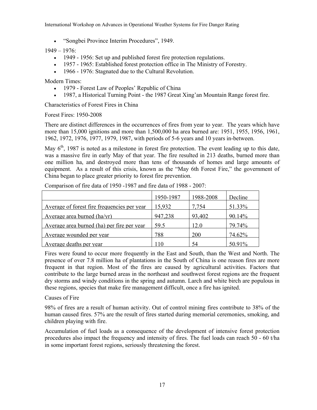• "Songbei Province Interim Procedures", 1949.

 $1949 - 1976$ 

- 1949 1956: Set up and published forest fire protection regulations.
- 1957 1965: Established forest protection office in The Ministry of Forestry.
- 1966 1976: Stagnated due to the Cultural Revolution.

Modern Times:

- 1979 Forest Law of Peoples' Republic of China
- 1987, a Historical Turning Point the 1987 Great Xing'an Mountain Range forest fire.

Characteristics of Forest Fires in China

Forest Fires: 1950-2008

There are distinct differences in the occurrences of fires from year to year. The years which have more than 15,000 ignitions and more than 1,500,000 ha area burned are: 1951, 1955, 1956, 1961, 1962, 1972, 1976, 1977, 1979, 1987, with periods of 5-6 years and 10 years in-between.

May  $6<sup>th</sup>$ , 1987 is noted as a milestone in forest fire protection. The event leading up to this date, was a massive fire in early May of that year. The fire resulted in 213 deaths, burned more than one million ha, and destroyed more than tens of thousands of homes and large amounts of equipment. As a result of this crisis, known as the "May 6th Forest Fire," the government of China began to place greater priority to forest fire prevention.

|                                             | 1950-1987 | 1988-2008 | Decline |
|---------------------------------------------|-----------|-----------|---------|
| Average of forest fire frequencies per year | 15,932    | 7.754     | 51.33%  |
| Average area burned $(ha/yr)$               | 947,238   | 93,402    | 90.14%  |
| Average area burned (ha) per fire per year  | 59.5      | 12.0      | 79.74%  |
| Average wounded per year                    | 788       | 200       | 74.62%  |
| Average deaths per year                     | ∣ 1 ∩     | 54        | 50.91%  |

Comparison of fire data of 1950 -1987 and fire data of 1988 - 2007:

Fires were found to occur more frequently in the East and South, than the West and North. The presence of over 7.8 million ha of plantations in the South of China is one reason fires are more frequent in that region. Most of the fires are caused by agricultural activities. Factors that contribute to the large burned areas in the northeast and southwest forest regions are the frequent dry storms and windy conditions in the spring and autumn. Larch and white birch are populous in these regions, species that make fire management difficult, once a fire has ignited.

### Causes of Fire

98% of fires are a result of human activity. Out of control mining fires contribute to 38% of the human caused fires. 57% are the result of fires started during memorial ceremonies, smoking, and children playing with fire.

Accumulation of fuel loads as a consequence of the development of intensive forest protection procedures also impact the frequency and intensity of fires. The fuel loads can reach 50 - 60 t/ha in some important forest regions, seriously threatening the forest.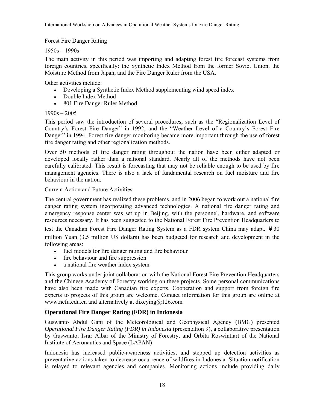Forest Fire Danger Rating

### 1950s – 1990s

The main activity in this period was importing and adapting forest fire forecast systems from foreign countries, specifically: the Synthetic Index Method from the former Soviet Union, the Moisture Method from Japan, and the Fire Danger Ruler from the USA.

Other activities include:

- Developing a Synthetic Index Method supplementing wind speed index
- Double Index Method
- 801 Fire Danger Ruler Method

### 1990s – 2005

This period saw the introduction of several procedures, such as the "Regionalization Level of Country's Forest Fire Danger" in 1992, and the "Weather Level of a Country's Forest Fire Danger" in 1994. Forest fire danger monitoring became more important through the use of forest fire danger rating and other regionalization methods.

Over 50 methods of fire danger rating throughout the nation have been either adapted or developed locally rather than a national standard. Nearly all of the methods have not been carefully calibrated. This result is forecasting that may not be reliable enough to be used by fire management agencies. There is also a lack of fundamental research on fuel moisture and fire behaviour in the nation.

### Current Action and Future Activities

The central government has realized these problems, and in 2006 began to work out a national fire danger rating system incorporating advanced technologies. A national fire danger rating and emergency response center was set up in Beijing, with the personnel, hardware, and software resources necessary. It has been suggested to the National Forest Fire Prevention Headquarters to

test the Canadian Forest Fire Danger Rating System as a FDR system China may adapt. ¥30 million Yuan (3.5 million US dollars) has been budgeted for research and development in the following areas:

- fuel models for fire danger rating and fire behaviour
- fire behaviour and fire suppression
- a national fire weather index system

This group works under joint collaboration with the National Forest Fire Prevention Headquarters and the Chinese Academy of Forestry working on these projects. Some personal communications have also been made with Canadian fire experts. Cooperation and support from foreign fire experts to projects of this group are welcome. Contact information for this group are online at www.nefu.edu.cn and alternatively at dixeying@126.com

# **Operational Fire Danger Rating (FDR) in Indonesia**

Guswanto Abdul Gani of the Meteorological and Geophysical Agency (BMG) presented *Operational Fire Danger Rating (FDR) in Indonesia* (presentation 9), a collaborative presentation by Guswanto, Israr Albar of the Ministry of Forestry, and Orbita Roswintiart of the National Institute of Aeronautics and Space (LAPAN)

Indonesia has increased public-awareness activities, and stepped up detection activities as preventative actions taken to decrease occurrence of wildfires in Indonesia. Situation notification is relayed to relevant agencies and companies. Monitoring actions include providing daily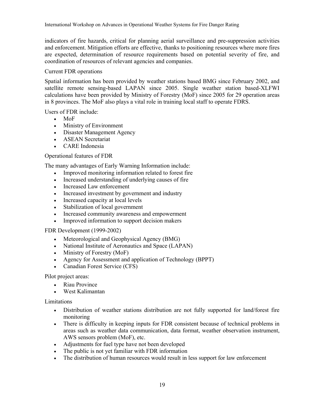indicators of fire hazards, critical for planning aerial surveillance and pre-suppression activities and enforcement. Mitigation efforts are effective, thanks to positioning resources where more fires are expected, determination of resource requirements based on potential severity of fire, and coordination of resources of relevant agencies and companies.

### Current FDR operations

Spatial information has been provided by weather stations based BMG since February 2002, and satellite remote sensing-based LAPAN since 2005. Single weather station based-XLFWI calculations have been provided by Ministry of Forestry (MoF) since 2005 for 29 operation areas in 8 provinces. The MoF also plays a vital role in training local staff to operate FDRS.

Users of FDR include:

- MoF
- Ministry of Environment
- Disaster Management Agency
- ASEAN Secretariat
- CARE Indonesia

### Operational features of FDR

The many advantages of Early Warning Information include:

- Improved monitoring information related to forest fire
- Increased understanding of underlying causes of fire
- Increased Law enforcement
- Increased investment by government and industry
- Increased capacity at local levels
- Stabilization of local government
- Increased community awareness and empowerment
- Improved information to support decision makers

FDR Development (1999-2002)

- Meteorological and Geophysical Agency (BMG)
- National Institute of Aeronautics and Space (LAPAN)
- Ministry of Forestry (MoF)
- Agency for Assessment and application of Technology (BPPT)
- Canadian Forest Service (CFS)

Pilot project areas:

- Riau Province
- West Kalimantan

### Limitations

- Distribution of weather stations distribution are not fully supported for land/forest fire monitoring
- There is difficulty in keeping inputs for FDR consistent because of technical problems in areas such as weather data communication, data format, weather observation instrument, AWS sensors problem (MoF), etc.
- Adjustments for fuel type have not been developed
- The public is not yet familiar with FDR information
- The distribution of human resources would result in less support for law enforcement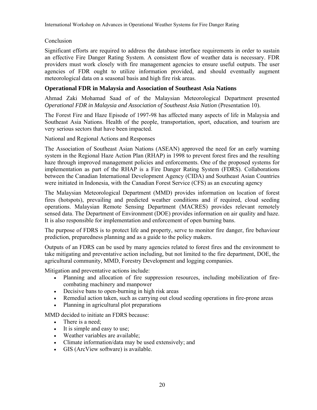Conclusion

Significant efforts are required to address the database interface requirements in order to sustain an effective Fire Danger Rating System. A consistent flow of weather data is necessary. FDR providers must work closely with fire management agencies to ensure useful outputs. The user agencies of FDR ought to utilize information provided, and should eventually augment meteorological data on a seasonal basis and high fire risk areas.

## **Operational FDR in Malaysia and Association of Southeast Asia Nations**

Ahmad Zaki Mohamad Saad of of the Malaysian Meteorological Department presented *Operational FDR in Malaysia and Association of Southeast Asia Nation* (Presentation 10).

The Forest Fire and Haze Episode of 1997-98 has affected many aspects of life in Malaysia and Southeast Asia Nations. Health of the people, transportation, sport, education, and tourism are very serious sectors that have been impacted.

National and Regional Actions and Responses

The Association of Southeast Asian Nations (ASEAN) approved the need for an early warning system in the Regional Haze Action Plan (RHAP) in 1998 to prevent forest fires and the resulting haze through improved management policies and enforcements. One of the proposed systems for implementation as part of the RHAP is a Fire Danger Rating System (FDRS). Collaborations between the Canadian International Development Agency (CIDA) and Southeast Asian Countries were initiated in Indonesia, with the Canadian Forest Service (CFS) as an executing agency

The Malaysian Meteorological Department (MMD) provides information on location of forest fires (hotspots), prevailing and predicted weather conditions and if required, cloud seeding operations. Malaysian Remote Sensing Department (MACRES) provides relevant remotely sensed data. The Department of Environment (DOE) provides information on air quality and haze. It is also responsible for implementation and enforcement of open burning bans.

The purpose of FDRS is to protect life and property, serve to monitor fire danger, fire behaviour prediction, preparedness planning and as a guide to the policy makers.

Outputs of an FDRS can be used by many agencies related to forest fires and the environment to take mitigating and preventative action including, but not limited to the fire department, DOE, the agricultural community, MMD, Forestry Development and logging companies.

Mitigation and preventative actions include:

- Planning and allocation of fire suppression resources, including mobilization of firecombating machinery and manpower
- Decisive bans to open-burning in high risk areas
- Remedial action taken, such as carrying out cloud seeding operations in fire-prone areas
- Planning in agricultural plot preparations

MMD decided to initiate an FDRS because:

- There is a need;
- It is simple and easy to use;
- Weather variables are available;
- Climate information/data may be used extensively; and
- GIS (ArcView software) is available.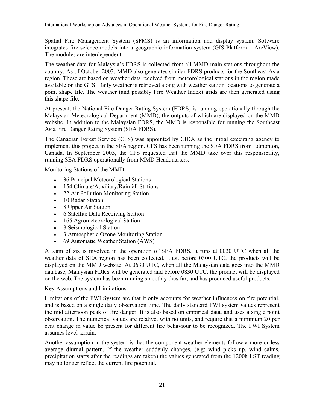Spatial Fire Management System (SFMS) is an information and display system. Software integrates fire science models into a geographic information system (GIS Platform – ArcView). The modules are interdependent.

The weather data for Malaysia's FDRS is collected from all MMD main stations throughout the country. As of October 2003, MMD also generates similar FDRS products for the Southeast Asia region. These are based on weather data received from meteorological stations in the region made available on the GTS. Daily weather is retrieved along with weather station locations to generate a point shape file. The weather (and possibly Fire Weather Index) grids are then generated using this shape file.

At present, the National Fire Danger Rating System (FDRS) is running operationally through the Malaysian Meteorological Department (MMD), the outputs of which are displayed on the MMD website. In addition to the Malaysian FDRS, the MMD is responsible for running the Southeast Asia Fire Danger Rating System (SEA FDRS).

The Canadian Forest Service (CFS) was appointed by CIDA as the initial executing agency to implement this project in the SEA region. CFS has been running the SEA FDRS from Edmonton, Canada. In September 2003, the CFS requested that the MMD take over this responsibility, running SEA FDRS operationally from MMD Headquarters.

Monitoring Stations of the MMD:

- 36 Principal Meteorological Stations
- 154 Climate/Auxiliary/Rainfall Stations
- 22 Air Pollution Monitoring Station
- 10 Radar Station
- 8 Upper Air Station
- 6 Satellite Data Receiving Station
- 165 Agrometeorological Station
- 8 Seismological Station
- 3 Atmospheric Ozone Monitoring Station
- 69 Automatic Weather Station (AWS)

A team of six is involved in the operation of SEA FDRS. It runs at 0030 UTC when all the weather data of SEA region has been collected. Just before 0300 UTC, the products will be displayed on the MMD website. At 0630 UTC, when all the Malaysian data goes into the MMD database, Malaysian FDRS will be generated and before 0830 UTC, the product will be displayed on the web. The system has been running smoothly thus far, and has produced useful products.

#### Key Assumptions and Limitations

Limitations of the FWI System are that it only accounts for weather influences on fire potential, and is based on a single daily observation time. The daily standard FWI system values represent the mid afternoon peak of fire danger. It is also based on empirical data, and uses a single point observation. The numerical values are relative, with no units, and require that a minimum 20 per cent change in value be present for different fire behaviour to be recognized. The FWI System assumes level terrain.

Another assumption in the system is that the component weather elements follow a more or less average diurnal pattern. If the weather suddenly changes, (e.g: wind picks up, wind calms, precipitation starts after the readings are taken) the values generated from the 1200h LST reading may no longer reflect the current fire potential.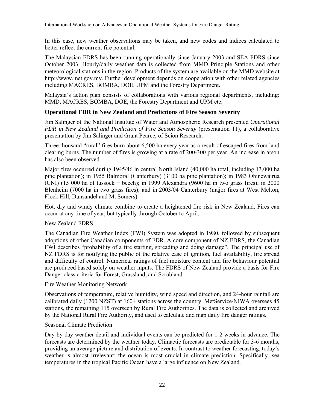In this case, new weather observations may be taken, and new codes and indices calculated to better reflect the current fire potential.

The Malaysian FDRS has been running operationally since January 2003 and SEA FDRS since October 2003. Hourly/daily weather data is collected from MMD Principle Stations and other meteorological stations in the region. Products of the system are available on the MMD website at http://www.met.gov.my. Further development depends on cooperation with other related agencies including MACRES, BOMBA, DOE, UPM and the Forestry Department.

Malaysia's action plan consists of collaborations with various regional departments, including: MMD, MACRES, BOMBA, DOE, the Forestry Department and UPM etc.

### **Operational FDR in New Zealand and Predictions of Fire Season Severity**

Jim Salinger of the National Institute of Water and Atmospheric Research presented *Operational FDR in New Zealand and Prediction of Fire Season Severity* (presentation 11), a collaborative presentation by Jim Salinger and Grant Pearce, of Scion Research.

Three thousand "rural" fires burn about 6,500 ha every year as a result of escaped fires from land clearing burns. The number of fires is growing at a rate of 200-300 per year. An increase in arson has also been observed.

Major fires occurred during 1945/46 in central North Island (40,000 ha total, including 13,000 ha pine plantation); in 1955 Balmoral (Canterbury) (3100 ha pine plantation); in 1983 Ohinewairua (CNI) (15 000 ha of tussock + beech); in 1999 Alexandra (9600 ha in two grass fires); in 2000 Blenheim (7000 ha in two grass fires); and in 2003/04 Canterbury (major fires at West Melton, Flock Hill, Dunsandel and Mt Somers).

Hot, dry and windy climate combine to create a heightened fire risk in New Zealand. Fires can occur at any time of year, but typically through October to April.

### New Zealand FDRS

The Canadian Fire Weather Index (FWI) System was adopted in 1980, followed by subsequent adoptions of other Canadian components of FDR. A core component of NZ FDRS, the Canadian FWI describes "probability of a fire starting, spreading and doing damage". The principal use of NZ FDRS is for notifying the public of the relative ease of ignition, fuel availability, fire spread and difficulty of control. Numerical ratings of fuel moisture content and fire behaviour potential are produced based solely on weather inputs. The FDRS of New Zealand provide a basis for Fire Danger class criteria for Forest, Grassland, and Scrubland.

### Fire Weather Monitoring Network

Observations of temperature, relative humidity, wind speed and direction, and 24-hour rainfall are calibrated daily (1200 NZST) at 160+ stations across the country. MetService/NIWA oversees 45 stations, the remaining 115 overseen by Rural Fire Authorities. The data is collected and archived by the National Rural Fire Authority, and used to calculate and map daily fire danger ratings.

### Seasonal Climate Prediction

Day-by-day weather detail and individual events can be predicted for 1-2 weeks in advance. The forecasts are determined by the weather today. Climactic forecasts are predictable for 3-6 months, providing an average picture and distribution of events. In contrast to weather forecasting, today's weather is almost irrelevant; the ocean is most crucial in climate prediction. Specifically, sea temperatures in the tropical Pacific Ocean have a large influence on New Zealand.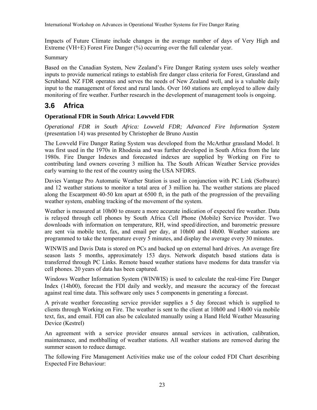Impacts of Future Climate include changes in the average number of days of Very High and Extreme (VH+E) Forest Fire Danger (%) occurring over the full calendar year.

### Summary

Based on the Canadian System, New Zealand's Fire Danger Rating system uses solely weather inputs to provide numerical ratings to establish fire danger class criteria for Forest, Grassland and Scrubland. NZ FDR operates and serves the needs of New Zealand well, and is a valuable daily input to the management of forest and rural lands. Over 160 stations are employed to allow daily monitoring of fire weather. Further research in the development of management tools is ongoing.

# **3.6 Africa**

### **Operational FDR in South Africa: Lowveld FDR**

*Operational FDR in South Africa: Lowveld FDR; Advanced Fire Information System* (presentation 14) was presented by Christopher de Bruno Austin

The Lowveld Fire Danger Rating System was developed from the McArthur grassland Model. It was first used in the 1970s in Rhodesia and was further developed in South Africa from the late 1980s. Fire Danger Indexes and forecasted indexes are supplied by Working on Fire to contributing land owners covering 3 million ha. The South African Weather Service provides early warning to the rest of the country using the USA NFDRS.

Davies Vantage Pro Automatic Weather Station is used in conjunction with PC Link (Software) and 12 weather stations to monitor a total area of 3 million ha. The weather stations are placed along the Escarpment 40-50 km apart at 6500 ft, in the path of the progression of the prevailing weather system, enabling tracking of the movement of the system.

Weather is measured at 10h00 to ensure a more accurate indication of expected fire weather. Data is relayed through cell phones by South Africa Cell Phone (Mobile) Service Provider. Two downloads with information on temperature, RH, wind speed/direction, and barometric pressure are sent via mobile text, fax, and email per day, at 10h00 and 14h00. Weather stations are programmed to take the temperature every 5 minutes, and display the average every 30 minutes.

WINWIS and Davis Data is stored on PCs and backed up on external hard drives. An average fire season lasts 5 months, approximately 153 days. Network dispatch based stations data is transferred through PC Links. Remote based weather stations have modems for data transfer via cell phones. 20 years of data has been captured.

Windows Weather Information System (WINWIS) is used to calculate the real-time Fire Danger Index (14h00), forecast the FDI daily and weekly, and measure the accuracy of the forecast against real time data. This software only uses 5 components in generating a forecast.

A private weather forecasting service provider supplies a 5 day forecast which is supplied to clients through Working on Fire. The weather is sent to the client at 10h00 and 14h00 via mobile text, fax, and email. FDI can also be calculated manually using a Hand Held Weather Measuring Device (Kestrel)

An agreement with a service provider ensures annual services in activation, calibration, maintenance, and mothballing of weather stations. All weather stations are removed during the summer season to reduce damage.

The following Fire Management Activities make use of the colour coded FDI Chart describing Expected Fire Behaviour: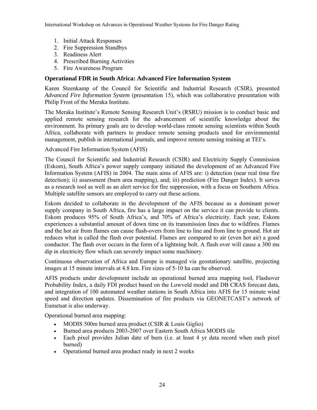- 1. Initial Attack Responses
- 2. Fire Suppression Standbys
- 3. Readiness Alert
- 4. Prescribed Burning Activities
- 5. Fire Awareness Program

### **Operational FDR in South Africa: Advanced Fire Information System**

Karen Steenkamp of the Council for Scientific and Industrial Research (CSIR), presented *Advanced Fire Information System* (presentation 15), which was collaborative presentation with Philip Frost of the Meraka Institute.

The Meraka Institute's Remote Sensing Research Unit's (RSRU) mission is to conduct basic and applied remote sensing research for the advancement of scientific knowledge about the environment. Its primary goals are to develop world-class remote sensing scientists within South Africa, collaborate with partners to produce remote sensing products used for environmental management, publish in international journals, and improve remote sensing training at TEI's.

Advanced Fire Information System (AFIS)

The Council for Scientific and Industrial Research (CSIR) and Electricity Supply Commission (Eskom), South Africa's power supply company initiated the development of an Advanced Fire Information System (AFIS) in 2004. The main aims of AFIS are: i) detection (near real time fire detection); ii) assessment (burn area mapping), and; iii) prediction (Fire Danger Index). It serves as a research tool as well as an alert service for fire suppression, with a focus on Southern Africa. Multiple satellite sensors are employed to carry out these actions.

Eskom decided to collaborate in the development of the AFIS because as a dominant power supply company in South Africa, fire has a large impact on the service it can provide to clients. Eskom produces 95% of South Africa's, and 70% of Africa's electricity. Each year, Eskom experiences a substantial amount of down time on its transmission lines due to wildfires. Flames and the hot air from flames can cause flash-overs from line to line and from line to ground. Hot air reduces what is called the flash over potential. Flames are compared to air (even hot air) a good conductor. The flash over occurs in the form of a lightning bolt. A flash over will cause a 300 ms dip in electricity flow which can severely impact some machinery.

Continuous observation of Africa and Europe is managed via geostationary satellite, projecting images at 15 minute intervals at 4.8 km. Fire sizes of 5-10 ha can be observed.

AFIS products under development include an operational burned area mapping tool, Flashover Probability Index, a daily FDI product based on the Lowveld model and DB CRAS forecast data, and integration of 100 automated weather stations in South Africa into AFIS for 15 minute wind speed and direction updates. Dissemination of fire products via GEONETCAST's network of Eumetsat is also underway.

Operational burned area mapping:

- MODIS 500m burned area product (CSIR & Louis Giglio)
- Burned area products 2003-2007 over Eastern South Africa MODIS tile
- Each pixel provides Julian date of burn (i.e. at least 4 yr data record when each pixel burned)
- Operational burned area product ready in next 2 weeks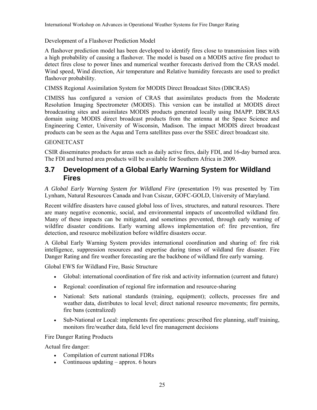Development of a Flashover Prediction Model

A flashover prediction model has been developed to identify fires close to transmission lines with a high probability of causing a flashover. The model is based on a MODIS active fire product to detect fires close to power lines and numerical weather forecasts derived from the CRAS model. Wind speed, Wind direction, Air temperature and Relative humidity forecasts are used to predict flashover probability.

CIMSS Regional Assimilation System for MODIS Direct Broadcast Sites (DBCRAS)

CIMISS has configured a version of CRAS that assimilates products from the Moderate Resolution Imaging Spectrometer (MODIS). This version can be installed at MODIS direct broadcasting sites and assimilates MODIS products generated locally using IMAPP. DBCRAS domain using MODIS direct broadcast products from the antenna at the Space Science and Engineering Center, University of Wisconsin, Madison. The impact MODIS direct broadcast products can be seen as the Aqua and Terra satellites pass over the SSEC direct broadcast site.

### **GEONETCAST**

CSIR disseminates products for areas such as daily active fires, daily FDI, and 16-day burned area. The FDI and burned area products will be available for Southern Africa in 2009.

# **3.7 Development of a Global Early Warning System for Wildland Fires**

*A Global Early Warning System for Wildland Fire* (presentation 19) was presented by Tim Lynham, Natural Resources Canada and Ivan Csiszar, GOFC-GOLD, University of Maryland.

Recent wildfire disasters have caused global loss of lives, structures, and natural resources. There are many negative economic, social, and environmental impacts of uncontrolled wildland fire. Many of these impacts can be mitigated, and sometimes prevented, through early warning of wildfire disaster conditions. Early warning allows implementation of: fire prevention, fire detection, and resource mobilization before wildfire disasters occur.

A Global Early Warning System provides international coordination and sharing of: fire risk intelligence, suppression resources and expertise during times of wildland fire disaster. Fire Danger Rating and fire weather forecasting are the backbone of wildland fire early warning.

Global EWS for Wildland Fire, Basic Structure

- Global: international coordination of fire risk and activity information (current and future)
- Regional: coordination of regional fire information and resource-sharing
- National: Sets national standards (training, equipment); collects, processes fire and weather data, distributes to local level; direct national resource movements; fire permits, fire bans (centralized)
- Sub-National or Local: implements fire operations: prescribed fire planning, staff training, monitors fire/weather data, field level fire management decisions

Fire Danger Rating Products

Actual fire danger:

- Compilation of current national FDRs
- Continuous updating  $-$  approx. 6 hours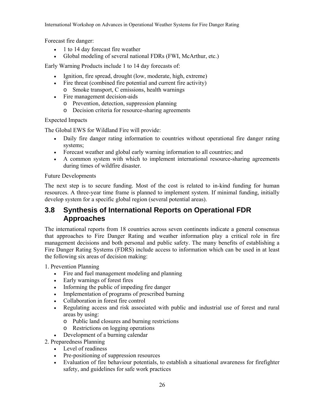Forecast fire danger:

- 1 to 14 day forecast fire weather
- Global modeling of several national FDRs (FWI, McArthur, etc.)

Early Warning Products include 1 to 14 day forecasts of:

- Ignition, fire spread, drought (low, moderate, high, extreme)
- Fire threat (combined fire potential and current fire activity)
	- o Smoke transport, C emissions, health warnings
- Fire management decision-aids
	- o Prevention, detection, suppression planning
	- o Decision criteria for resource-sharing agreements

Expected Impacts

The Global EWS for Wildland Fire will provide:

- Daily fire danger rating information to countries without operational fire danger rating systems;
- Forecast weather and global early warning information to all countries; and
- A common system with which to implement international resource-sharing agreements during times of wildfire disaster.

Future Developments

The next step is to secure funding. Most of the cost is related to in-kind funding for human resources. A three-year time frame is planned to implement system. If minimal funding, initially develop system for a specific global region (several potential areas).

# **3.8 Synthesis of International Reports on Operational FDR Approaches**

The international reports from 18 countries across seven continents indicate a general consensus that approaches to Fire Danger Rating and weather information play a critical role in fire management decisions and both personal and public safety. The many benefits of establishing a Fire Danger Rating Systems (FDRS) include access to information which can be used in at least the following six areas of decision making:

1. Prevention Planning

- Fire and fuel management modeling and planning
- Early warnings of forest fires
- Informing the public of impeding fire danger
- Implementation of programs of prescribed burning
- Collaboration in forest fire control
- Regulating access and risk associated with public and industrial use of forest and rural areas by using:
	- o Public land closures and burning restrictions
	- o Restrictions on logging operations
- Development of a burning calendar
- 2. Preparedness Planning
	- Level of readiness
	- Pre-positioning of suppression resources
	- Evaluation of fire behaviour potentials, to establish a situational awareness for firefighter safety, and guidelines for safe work practices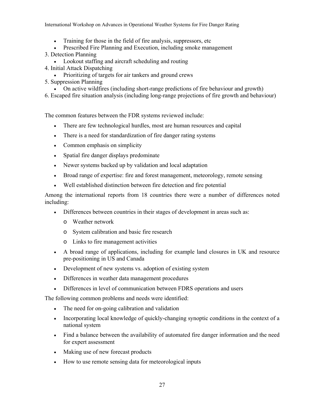- Training for those in the field of fire analysis, suppressors, etc
- Prescribed Fire Planning and Execution, including smoke management
- 3. Detection Planning
	- Lookout staffing and aircraft scheduling and routing
- 4. Initial Attack Dispatching
- Prioritizing of targets for air tankers and ground crews
- 5. Suppression Planning
	- On active wildfires (including short-range predictions of fire behaviour and growth)
- 6. Escaped fire situation analysis (including long-range projections of fire growth and behaviour)

The common features between the FDR systems reviewed include:

- There are few technological hurdles, most are human resources and capital
- There is a need for standardization of fire danger rating systems
- Common emphasis on simplicity
- Spatial fire danger displays predominate
- Newer systems backed up by validation and local adaptation
- Broad range of expertise: fire and forest management, meteorology, remote sensing
- Well established distinction between fire detection and fire potential

Among the international reports from 18 countries there were a number of differences noted including:

- Differences between countries in their stages of development in areas such as:
	- o Weather network
	- o System calibration and basic fire research
	- o Links to fire management activities
- A broad range of applications, including for example land closures in UK and resource pre-positioning in US and Canada
- Development of new systems vs. adoption of existing system
- Differences in weather data management procedures
- Differences in level of communication between FDRS operations and users

The following common problems and needs were identified:

- The need for on-going calibration and validation
- Incorporating local knowledge of quickly-changing synoptic conditions in the context of a national system
- Find a balance between the availability of automated fire danger information and the need for expert assessment
- Making use of new forecast products
- How to use remote sensing data for meteorological inputs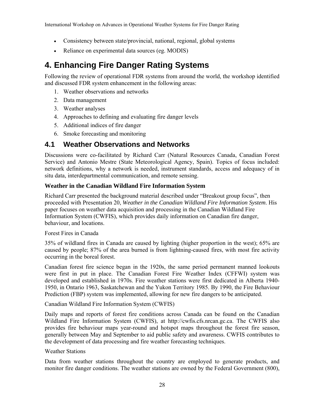- Consistency between state/provincial, national, regional, global systems
- Reliance on experimental data sources (eg. MODIS)

# **4. Enhancing Fire Danger Rating Systems**

Following the review of operational FDR systems from around the world, the workshop identified and discussed FDR system enhancement in the following areas:

- 1. Weather observations and networks
- 2. Data management
- 3. Weather analyses
- 4. Approaches to defining and evaluating fire danger levels
- 5. Additional indices of fire danger
- 6. Smoke forecasting and monitoring

# **4.1 Weather Observations and Networks**

Discussions were co-facilitated by Richard Carr (Natural Resources Canada, Canadian Forest Service) and Antonio Mestre (State Meteorological Agency, Spain). Topics of focus included: network definitions, why a network is needed, instrument standards, access and adequacy of in situ data, interdepartmental communication, and remote sensing.

### **Weather in the Canadian Wildland Fire Information System**

Richard Carr presented the background material described under "Breakout group focus", then proceeded with Presentation 20, *Weather in the Canadian Wildland Fire Information System*. His paper focuses on weather data acquisition and processing in the Canadian Wildland Fire Information System (CWFIS), which provides daily information on Canadian fire danger, behaviour, and locations.

Forest Fires in Canada

35% of wildland fires in Canada are caused by lighting (higher proportion in the west); 65% are caused by people; 87% of the area burned is from lightning-caused fires, with most fire activity occurring in the boreal forest.

Canadian forest fire science began in the 1920s, the same period permanent manned lookouts were first in put in place. The Canadian Forest Fire Weather Index (CFFWI) system was developed and established in 1970s. Fire weather stations were first dedicated in Alberta 1940- 1950, in Ontario 1963, Saskatchewan and the Yukon Territory 1985. By 1990, the Fire Behaviour Prediction (FBP) system was implemented, allowing for new fire dangers to be anticipated.

Canadian Wildland Fire Information System (CWFIS)

Daily maps and reports of forest fire conditions across Canada can be found on the Canadian Wildland Fire Information System (CWFIS), at http://cwfis.cfs.nrcan.gc.ca. The CWFIS also provides fire behaviour maps year-round and hotspot maps throughout the forest fire season, generally between May and September to aid public safety and awareness. CWFIS contributes to the development of data processing and fire weather forecasting techniques.

Weather Stations

Data from weather stations throughout the country are employed to generate products, and monitor fire danger conditions. The weather stations are owned by the Federal Government (800),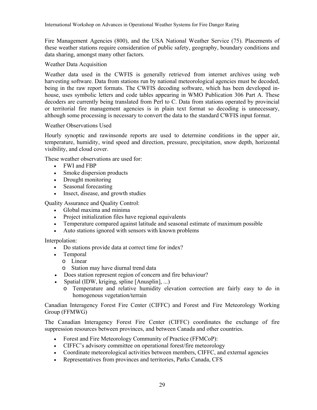Fire Management Agencies (800), and the USA National Weather Service (75). Placements of these weather stations require consideration of public safety, geography, boundary conditions and data sharing, amongst many other factors.

### Weather Data Acquisition

Weather data used in the CWFIS is generally retrieved from internet archives using web harvesting software. Data from stations run by national meteorological agencies must be decoded, being in the raw report formats. The CWFIS decoding software, which has been developed inhouse, uses symbolic letters and code tables appearing in WMO Publication 306 Part A. These decoders are currently being translated from Perl to C. Data from stations operated by provincial or territorial fire management agencies is in plain text format so decoding is unnecessary, although some processing is necessary to convert the data to the standard CWFIS input format.

#### Weather Observations Used

Hourly synoptic and rawinsonde reports are used to determine conditions in the upper air, temperature, humidity, wind speed and direction, pressure, precipitation, snow depth, horizontal visibility, and cloud cover.

These weather observations are used for:

- FWI and FBP
- Smoke dispersion products
- Drought monitoring
- Seasonal forecasting
- Insect, disease, and growth studies

Quality Assurance and Quality Control:

- Global maxima and minima
- Project initialization files have regional equivalents
- Temperature compared against latitude and seasonal estimate of maximum possible
- Auto stations ignored with sensors with known problems

Interpolation:

- Do stations provide data at correct time for index?
- Temporal
	- o Linear
	- o Station may have diurnal trend data
- Does station represent region of concern and fire behaviour?
- Spatial (IDW, kriging, spline [Anusplin], ...)
	- o Temperature and relative humidity elevation correction are fairly easy to do in homogenous vegetation/terrain

Canadian Interagency Forest Fire Center (CIFFC) and Forest and Fire Meteorology Working Group (FFMWG)

The Canadian Interagency Forest Fire Center (CIFFC) coordinates the exchange of fire suppression resources between provinces, and between Canada and other countries.

- Forest and Fire Meteorology Community of Practice (FFMCoP):
- CIFFC's advisory committee on operational forest/fire meteorology
- Coordinate meteorological activities between members, CIFFC, and external agencies
- Representatives from provinces and territories, Parks Canada, CFS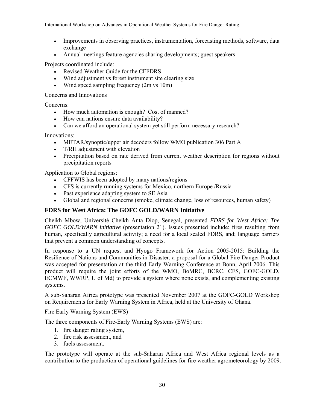- Improvements in observing practices, instrumentation, forecasting methods, software, data exchange
- Annual meetings feature agencies sharing developments; guest speakers

Projects coordinated include:

- Revised Weather Guide for the CFFDRS
- Wind adjustment vs forest instrument site clearing size
- Wind speed sampling frequency (2m vs 10m)

Concerns and Innovations

Concerns:

- How much automation is enough? Cost of manned?
- How can nations ensure data availability?
- Can we afford an operational system yet still perform necessary research?

Innovations:

- METAR/synoptic/upper air decoders follow WMO publication 306 Part A
- T/RH adjustment with elevation
- Precipitation based on rate derived from current weather description for regions without precipitation reports

Application to Global regions:

- CFFWIS has been adopted by many nations/regions
- CFS is currently running systems for Mexico, northern Europe /Russia
- Past experience adapting system to SE Asia
- Global and regional concerns (smoke, climate change, loss of resources, human safety)

### **FDRS for West Africa: The GOFC GOLD/WARN Initiative**

Cheikh Mbow, Université Cheikh Anta Diop, Senegal, presented *FDRS for West Africa: The GOFC GOLD/WARN initiative* (presentation 21). Issues presented include: fires resulting from human, specifically agricultural activity; a need for a local scaled FDRS, and; language barriers that prevent a common understanding of concepts.

In response to a UN request and Hyogo Framework for Action 2005-2015: Building the Resilience of Nations and Communities in Disaster, a proposal for a Global Fire Danger Product was accepted for presentation at the third Early Warning Conference at Bonn, April 2006. This product will require the joint efforts of the WMO, BoMRC, BCRC, CFS, GOFC-GOLD, ECMWF, WWRP, U of Md) to provide a system where none exists, and complementing existing systems.

A sub-Saharan Africa prototype was presented November 2007 at the GOFC-GOLD Workshop on Requirements for Early Warning System in Africa, held at the University of Ghana.

Fire Early Warning System (EWS)

The three components of Fire-Early Warning Systems (EWS) are:

- 1. fire danger rating system,
- 2. fire risk assessment, and
- 3. fuels assessment.

The prototype will operate at the sub-Saharan Africa and West Africa regional levels as a contribution to the production of operational guidelines for fire weather agrometeorology by 2009.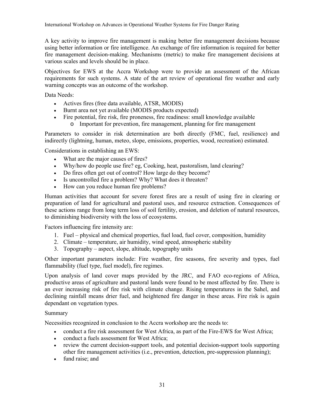A key activity to improve fire management is making better fire management decisions because using better information or fire intelligence. An exchange of fire information is required for better fire management decision-making. Mechanisms (metric) to make fire management decisions at various scales and levels should be in place.

Objectives for EWS at the Accra Workshop were to provide an assessment of the African requirements for such systems. A state of the art review of operational fire weather and early warning concepts was an outcome of the workshop.

Data Needs:

- Actives fires (free data available, ATSR, MODIS)
- Burnt area not yet available (MODIS products expected)
- Fire potential, fire risk, fire proneness, fire readiness: small knowledge available
	- o Important for prevention, fire management, planning for fire management

Parameters to consider in risk determination are both directly (FMC, fuel, resilience) and indirectly (lightning, human, meteo, slope, emissions, properties, wood, recreation) estimated.

Considerations in establishing an EWS:

- What are the major causes of fires?
- Why/how do people use fire? eg, Cooking, heat, pastoralism, land clearing?
- Do fires often get out of control? How large do they become?
- Is uncontrolled fire a problem? Why? What does it threaten?
- How can you reduce human fire problems?

Human activities that account for severe forest fires are a result of using fire in clearing or preparation of land for agricultural and pastoral uses, and resource extraction. Consequences of these actions range from long term loss of soil fertility, erosion, and deletion of natural resources, to diminishing biodiversity with the loss of ecosystems.

Factors influencing fire intensity are:

- 1. Fuel physical and chemical properties, fuel load, fuel cover, composition, humidity
- 2. Climate temperature, air humidity, wind speed, atmospheric stability
- 3. Topography aspect, slope, altitude, topography units

Other important parameters include: Fire weather, fire seasons, fire severity and types, fuel flammability (fuel type, fuel model), fire regimes.

Upon analysis of land cover maps provided by the JRC, and FAO eco-regions of Africa, productive areas of agriculture and pastoral lands were found to be most affected by fire. There is an ever increasing risk of fire risk with climate change. Rising temperatures in the Sahel, and declining rainfall means drier fuel, and heightened fire danger in these areas. Fire risk is again dependant on vegetation types.

#### Summary

Necessities recognized in conclusion to the Accra workshop are the needs to:

- conduct a fire risk assessment for West Africa, as part of the Fire-EWS for West Africa;
- conduct a fuels assessment for West Africa:
- review the current decision-support tools, and potential decision-support tools supporting other fire management activities (i.e., prevention, detection, pre-suppression planning);
- fund raise; and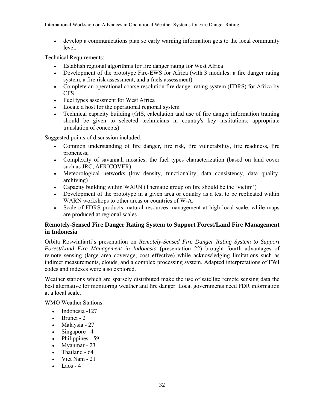• develop a communications plan so early warning information gets to the local community level.

Technical Requirements:

- Establish regional algorithms for fire danger rating for West Africa
- Development of the prototype Fire-EWS for Africa (with 3 modules: a fire danger rating system, a fire risk assessment, and a fuels assessment)
- Complete an operational coarse resolution fire danger rating system (FDRS) for Africa by CFS
- Fuel types assessment for West Africa
- Locate a host for the operational regional system
- Technical capacity building (GIS, calculation and use of fire danger information training should be given to selected technicians in country's key institutions; appropriate translation of concepts)

Suggested points of discussion included:

- Common understanding of fire danger, fire risk, fire vulnerability, fire readiness, fire proneness;
- Complexity of savannah mosaics: the fuel types characterization (based on land cover such as JRC, AFRICOVER)
- Meteorological networks (low density, functionality, data consistency, data quality, archiving)
- Capacity building within WARN (Thematic group on fire should be the 'victim')
- Development of the prototype in a given area or country as a test to be replicated within WARN workshops to other areas or countries of W-A.
- Scale of FDRS products: natural resources management at high local scale, while maps are produced at regional scales

# **Remotely-Sensed Fire Danger Rating System to Support Forest/Land Fire Management in Indonesia**

Orbita Roswintiarti's presentation on *Remotely-Sensed Fire Danger Rating System to Support Forest/Land Fire Management in Indonesia* (presentation 22) brought fourth advantages of remote sensing (large area coverage, cost effective) while acknowledging limitations such as indirect measurements, clouds, and a complex processing system. Adapted interpretations of FWI codes and indexes were also explored.

Weather stations which are sparsely distributed make the use of satellite remote sensing data the best alternative for monitoring weather and fire danger. Local governments need FDR information at a local scale.

WMO Weather Stations:

- Indonesia -127
- Brunei 2
- Malaysia 27
- Singapore 4
- Philippines 59
- Myanmar 23
- Thailand 64
- Viet Nam 21
- $Laos 4$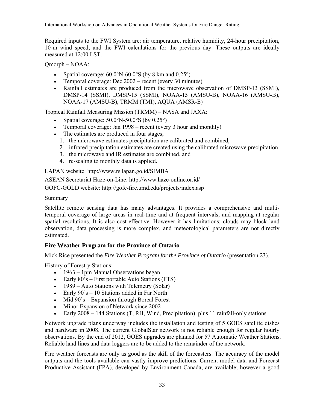Required inputs to the FWI System are: air temperature, relative humidity, 24-hour precipitation, 10-m wind speed, and the FWI calculations for the previous day. These outputs are ideally measured at 12:00 LST.

Qmorph – NOAA:

- Spatial coverage:  $60.0\textdegree N 60.0\textdegree S$  (by 8 km and  $0.25\textdegree)$ )
- Temporal coverage: Dec 2002 recent (every 30 minutes)
- Rainfall estimates are produced from the microwave observation of DMSP-13 (SSMI), DMSP-14 (SSMI), DMSP-15 (SSMI), NOAA-15 (AMSU-B), NOAA-16 (AMSU-B), NOAA-17 (AMSU-B), TRMM (TMI), AQUA (AMSR-E)

Tropical Rainfall Measuring Mission (TRMM) – NASA and JAXA:

- Spatial coverage:  $50.0^\circ N 50.0^\circ S$  (by  $0.25^\circ$ )
- Temporal coverage: Jan 1998 recent (every 3 hour and monthly)
- The estimates are produced in four stages;
	- 1. the microwave estimates precipitation are calibrated and combined,
	- 2. infrared precipitation estimates are created using the calibrated microwave precipitation,
	- 3. the microwave and IR estimates are combined, and
	- 4. re-scaling to monthly data is applied.

LAPAN website: http://www.rs.lapan.go.id/SIMBA

ASEAN Secretariat Haze-on-Line: http://www.haze-online.or.id/

GOFC-GOLD website: http://gofc-fire.umd.edu/projects/index.asp

Summary

Satellite remote sensing data has many advantages. It provides a comprehensive and multitemporal coverage of large areas in real-time and at frequent intervals, and mapping at regular spatial resolutions. It is also cost-effective. However it has limitations; clouds may block land observation, data processing is more complex, and meteorological parameters are not directly estimated.

# **Fire Weather Program for the Province of Ontario**

Mick Rice presented the *Fire Weather Program for the Province of Ontario* (presentation 23).

History of Forestry Stations:

- 1963 1pm Manual Observations began
- Early 80's First portable Auto Stations (FTS)
- 1989 Auto Stations with Telemetry (Solar)
- Early  $90's 10$  Stations added in Far North
- Mid  $90^\circ$ s Expansion through Boreal Forest
- Minor Expansion of Network since 2002
- Early 2008 144 Stations (T, RH, Wind, Precipitation) plus 11 rainfall-only stations

Network upgrade plans underway includes the installation and testing of 5 GOES satellite dishes and hardware in 2008. The current GlobalStar network is not reliable enough for regular hourly observations. By the end of 2012, GOES upgrades are planned for 57 Automatic Weather Stations. Reliable land lines and data loggers are to be added to the remainder of the network.

Fire weather forecasts are only as good as the skill of the forecasters. The accuracy of the model outputs and the tools available can vastly improve predictions. Current model data and Forecast Productive Assistant (FPA), developed by Environment Canada, are available; however a good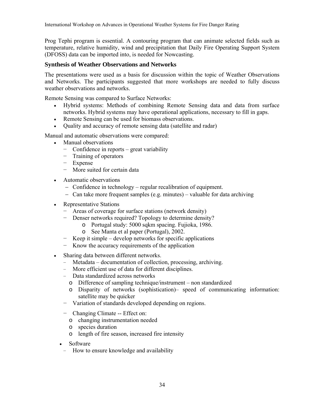Prog Tephi program is essential. A contouring program that can animate selected fields such as temperature, relative humidity, wind and precipitation that Daily Fire Operating Support System (DFOSS) data can be imported into, is needed for Nowcasting.

# **Synthesis of Weather Observations and Networks**

The presentations were used as a basis for discussion within the topic of Weather Observations and Networks. The participants suggested that more workshops are needed to fully discuss weather observations and networks.

Remote Sensing was compared to Surface Networks:

- Hybrid systems: Methods of combining Remote Sensing data and data from surface networks. Hybrid systems may have operational applications, necessary to fill in gaps.
- Remote Sensing can be used for biomass observations.
- Quality and accuracy of remote sensing data (satellite and radar)

Manual and automatic observations were compared:

- Manual observations
	- − Confidence in reports great variability
	- − Training of operators
	- − Expense
	- − More suited for certain data
- Automatic observations
	- − Confidence in technology regular recalibration of equipment.
	- − Can take more frequent samples (e.g. minutes) valuable for data archiving
- Representative Stations
	- − Areas of coverage for surface stations (network density)
	- Denser networks required? Topology to determine density?
		- o Portugal study: 5000 sqkm spacing. Fujioka, 1986.
		- o See Manta et al paper (Portugal), 2002.
	- − Keep it simple develop networks for specific applications
	- − Know the accuracy requirements of the application
- Sharing data between different networks.
	- − Metadata documentation of collection, processing, archiving.
	- − More efficient use of data for different disciplines.
	- − Data standardized across networks
		- o Difference of sampling technique/instrument non standardized
		- o Disparity of networks (sophistication)– speed of communicating information: satellite may be quicker
	- − Variation of standards developed depending on regions.
	- − Changing Climate -- Effect on:
		- o changing instrumentation needed
		- o species duration
		- o length of fire season, increased fire intensity
	- Software
		- − How to ensure knowledge and availability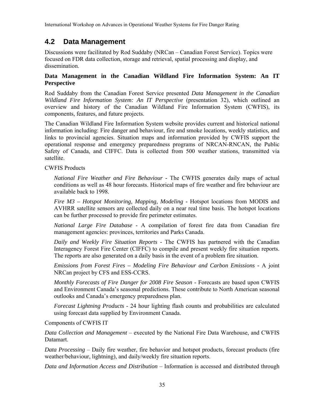# **4.2 Data Management**

Discussions were facilitated by Rod Suddaby (NRCan – Canadian Forest Service). Topics were focused on FDR data collection, storage and retrieval, spatial processing and display, and dissemination.

# **Data Management in the Canadian Wildland Fire Information System: An IT Perspective**

Rod Suddaby from the Canadian Forest Service presented *Data Management in the Canadian Wildland Fire Information System: An IT Perspective* (presentation 32), which outlined an overview and history of the Canadian Wildland Fire Information System (CWFIS), its components, features, and future projects.

The Canadian Wildland Fire Information System website provides current and historical national information including: Fire danger and behaviour, fire and smoke locations, weekly statistics, and links to provincial agencies. Situation maps and information provided by CWFIS support the operational response and emergency preparedness programs of NRCAN-RNCAN, the Public Safety of Canada, and CIFFC. Data is collected from 500 weather stations, transmitted via satellite.

CWFIS Products

*National Fire Weather and Fire Behaviour* - The CWFIS generates daily maps of actual conditions as well as 48 hour forecasts. Historical maps of fire weather and fire behaviour are available back to 1998.

*Fire M3 – Hotspot Monitoring, Mapping, Modeling - Hotspot locations from MODIS and* AVHRR satellite sensors are collected daily on a near real time basis. The hotspot locations can be further processed to provide fire perimeter estimates.

*National Large Fire Database* - A compilation of forest fire data from Canadian fire management agencies: provinces, territories and Parks Canada.

*Daily and Weekly Fire Situation Reports* - The CWFIS has partnered with the Canadian Interagency Forest Fire Center (CIFFC) to compile and present weekly fire situation reports. The reports are also generated on a daily basis in the event of a problem fire situation.

*Emissions from Forest Fires – Modeling Fire Behaviour and Carbon Emissions -* A joint NRCan project by CFS and ESS-CCRS.

*Monthly Forecasts of Fire Danger for 2008 Fire Season* - Forecasts are based upon CWFIS and Environment Canada's seasonal predictions. These contribute to North American seasonal outlooks and Canada's emergency preparedness plan.

*Forecast Lightning Products -* 24 hour lighting flash counts and probabilities are calculated using forecast data supplied by Environment Canada.

Components of CWFIS IT

*Data Collection and Management* – executed by the National Fire Data Warehouse, and CWFIS Datamart.

*Data Processing* – Daily fire weather, fire behavior and hotspot products, forecast products (fire weather/behaviour, lightning), and daily/weekly fire situation reports.

*Data and Information Access and Distribution* – Information is accessed and distributed through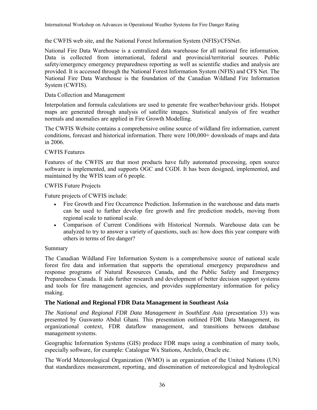the CWFIS web site, and the National Forest Information System (NFIS)/CFSNet.

National Fire Data Warehouse is a centralized data warehouse for all national fire information. Data is collected from international, federal and provincial/territorial sources. Public safety/emergency emergency preparedness reporting as well as scientific studies and analysis are provided. It is accessed through the National Forest Information System (NFIS) and CFS Net. The National Fire Data Warehouse is the foundation of the Canadian Wildland Fire Information System (CWFIS).

#### Data Collection and Management

Interpolation and formula calculations are used to generate fire weather/behaviour grids. Hotspot maps are generated through analysis of satellite images. Statistical analysis of fire weather normals and anomalies are applied in Fire Growth Modelling.

The CWFIS Website contains a comprehensive online source of wildland fire information, current conditions, forecast and historical information. There were 100,000+ downloads of maps and data in 2006.

#### CWFIS Features

Features of the CWFIS are that most products have fully automated processing, open source software is implemented, and supports OGC and CGDI. It has been designed, implemented, and maintained by the WFIS team of 6 people.

#### CWFIS Future Projects

Future projects of CWFIS include:

- Fire Growth and Fire Occurrence Prediction. Information in the warehouse and data marts can be used to further develop fire growth and fire prediction models, moving from regional scale to national scale.
- Comparison of Current Conditions with Historical Normals. Warehouse data can be analyzed to try to answer a variety of questions, such as: how does this year compare with others in terms of fire danger?

#### Summary

The Canadian Wildland Fire Information System is a comprehensive source of national scale forest fire data and information that supports the operational emergency preparedness and response programs of Natural Resources Canada, and the Public Safety and Emergency Preparedness Canada. It aids further research and development of better decision support systems and tools for fire management agencies, and provides supplementary information for policy making.

#### **The National and Regional FDR Data Management in Southeast Asia**

*The National and Regional FDR Data Management in SouthEast Asia* (presentation 33) was presented by Guswanto Abdul Ghani. This presentation outlined FDR Data Management, its organizational context, FDR dataflow management, and transitions between database management systems.

Geographic Information Systems (GIS) produce FDR maps using a combination of many tools, especially software, for example: Catalogue Wx Stations, ArcInfo, Oracle etc.

The World Meteorological Organization (WMO) is an organization of the United Nations (UN) that standardizes measurement, reporting, and dissemination of meteorological and hydrological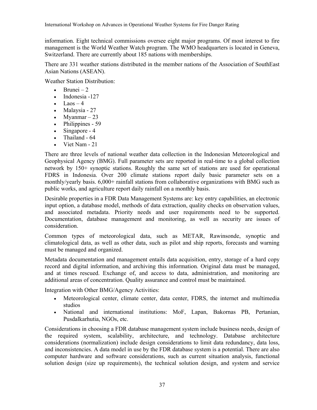information. Eight technical commissions oversee eight major programs. Of most interest to fire management is the World Weather Watch program. The WMO headquarters is located in Geneva, Switzerland. There are currently about 185 nations with memberships.

There are 331 weather stations distributed in the member nations of the Association of SouthEast Asian Nations (ASEAN).

Weather Station Distribution:

- Brunei 2
- Indonesia -127
- Laos  $-4$
- Malaysia 27
- Myanmar  $-23$
- Philippines 59
- Singapore 4
- $\bullet$  Thailand 64
- Viet Nam 21

There are three levels of national weather data collection in the Indonesian Meteorological and Geophysical Agency (BMG). Full parameter sets are reported in real-time to a global collection network by 150+ synoptic stations. Roughly the same set of stations are used for operational FDRS in Indonesia. Over 200 climate stations report daily basic parameter sets on a monthly/yearly basis. 6,000+ rainfall stations from collaborative organizations with BMG such as public works, and agriculture report daily rainfall on a monthly basis.

Desirable properties in a FDR Data Management Systems are: key entry capabilities, an electronic input option, a database model, methods of data extraction, quality checks on observation values, and associated metadata. Priority needs and user requirements need to be supported. Documentation, database management and monitoring, as well as security are issues of consideration.

Common types of meteorological data, such as METAR, Rawinsonde, synoptic and climatological data, as well as other data, such as pilot and ship reports, forecasts and warning must be managed and organized.

Metadata documentation and management entails data acquisition, entry, storage of a hard copy record and digital information, and archiving this information. Original data must be managed, and at times rescued. Exchange of, and access to data, administration, and monitoring are additional areas of concentration. Quality assurance and control must be maintained.

Integration with Other BMG/Agency Activities:

- Meteorological center, climate center, data center, FDRS, the internet and multimedia studios
- National and international institutions: MoF, Lapan, Bakornas PB, Pertanian, Pusdalkarhutia, NGOs, etc.

Considerations in choosing a FDR database management system include business needs, design of the required system, scalability, architecture, and technology. Database architecture considerations (normalization) include design considerations to limit data redundancy, data loss, and inconsistencies. A data model in use by the FDR database system is a potential. There are also computer hardware and software considerations, such as current situation analysis, functional solution design (size up requirements), the technical solution design, and system and service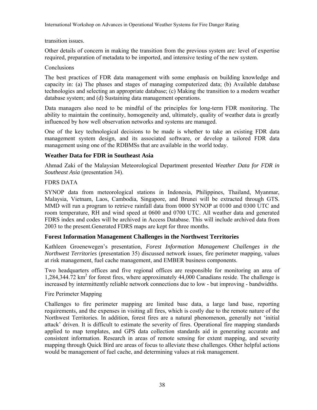transition issues.

Other details of concern in making the transition from the previous system are: level of expertise required, preparation of metadata to be imported, and intensive testing of the new system.

#### Conclusions

The best practices of FDR data management with some emphasis on building knowledge and capacity in: (a) The phases and stages of managing computerized data; (b) Available database technologies and selecting an appropriate database; (c) Making the transition to a modern weather database system; and (d) Sustaining data management operations.

Data managers also need to be mindful of the principles for long-term FDR monitoring. The ability to maintain the continuity, homogeneity and, ultimately, quality of weather data is greatly influenced by how well observation networks and systems are managed.

One of the key technological decisions to be made is whether to take an existing FDR data management system design, and its associated software, or develop a tailored FDR data management using one of the RDBMSs that are available in the world today.

# **Weather Data for FDR in Southeast Asia**

Ahmad Zaki of the Malaysian Meteorological Department presented *Weather Data for FDR in Southeast Asia* (presentation 34).

## FDRS DATA

SYNOP data from meteorological stations in Indonesia, Philippines, Thailand, Myanmar, Malaysia, Vietnam, Laos, Cambodia, Singapore, and Brunei will be extracted through GTS. MMD will run a program to retrieve rainfall data from 0000 SYNOP at 0100 and 0300 UTC and room temperature, RH and wind speed at 0600 and 0700 UTC. All weather data and generated FDRS index and codes will be archived in Access Database. This will include archived data from 2003 to the present.Generated FDRS maps are kept for three months.

# **Forest Information Management Challenges in the Northwest Territories**

Kathleen Groenewegen's presentation, *Forest Information Management Challenges in the Northwest Territories* (presentation 35) discussed network issues, fire perimeter mapping, values at risk management, fuel cache management, and EMBER business components.

Two headquarters offices and five regional offices are responsible for monitoring an area of 1,284,344.72 km<sup>2</sup> for forest fires, where approximately 44,000 Canadians reside. The challenge is increased by intermittently reliable network connections due to low - but improving - bandwidths.

#### Fire Perimeter Mapping

Challenges to fire perimeter mapping are limited base data, a large land base, reporting requirements, and the expenses in visiting all fires, which is costly due to the remote nature of the Northwest Territories. In addition, forest fires are a natural phenomenon, generally not 'initial attack' driven. It is difficult to estimate the severity of fires. Operational fire mapping standards applied to map templates, and GPS data collection standards aid in generating accurate and consistent information. Research in areas of remote sensing for extent mapping, and severity mapping through Quick Bird are areas of focus to alleviate these challenges. Other helpful actions would be management of fuel cache, and determining values at risk management.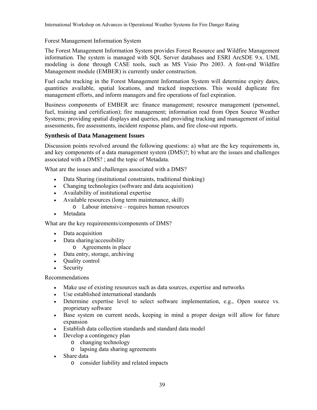Forest Management Information System

The Forest Management Information System provides Forest Resource and Wildfire Management information. The system is managed with SQL Server databases and ESRI ArcSDE 9.x. UML modeling is done through CASE tools, such as MS Visio Pro 2003. A font-end Wildfire Management module (EMBER) is currently under construction.

Fuel cache tracking in the Forest Management Information System will determine expiry dates, quantities available, spatial locations, and tracked inspections. This would duplicate fire management efforts, and inform managers and fire operations of fuel expiration.

Business components of EMBER are: finance management; resource management (personnel, fuel, training and certification); fire management; information read from Open Source Weather Systems; providing spatial displays and queries, and providing tracking and management of initial assessments, fire assessments, incident response plans, and fire close-out reports.

# **Synthesis of Data Management Issues**

Discussion points revolved around the following questions: a) what are the key requirements in, and key components of a data management system (DMS)?; b) what are the issues and challenges associated with a DMS? ; and the topic of Metadata.

What are the issues and challenges associated with a DMS?

- Data Sharing (institutional constraints, traditional thinking)
- Changing technologies (software and data acquisition)
- Availability of institutional expertise
- Available resources (long term maintenance, skill)
	- o Labour intensive requires human resources
- **Metadata**

What are the key requirements/components of DMS?

- Data acquisition
- Data sharing/accessibility
	- o Agreements in place
- Data entry, storage, archiving
- Quality control
- **Security**

Recommendations

- Make use of existing resources such as data sources, expertise and networks
- Use established international standards
- Determine expertise level to select software implementation, e.g., Open source vs. proprietary software
- Base system on current needs, keeping in mind a proper design will allow for future expansion
- Establish data collection standards and standard data model
- Develop a contingency plan
	- o changing technology
	- o lapsing data sharing agreements
- Share data
	- o consider liability and related impacts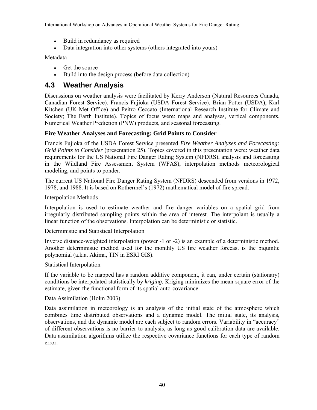- Build in redundancy as required
- Data integration into other systems (others integrated into yours)

Metadata

- Get the source
- Build into the design process (before data collection)

# **4.3 Weather Analysis**

Discussions on weather analysis were facilitated by Kerry Anderson (Natural Resources Canada, Canadian Forest Service). Francis Fujioka (USDA Forest Service), Brian Potter (USDA), Karl Kitchen (UK Met Office) and Peitro Ceccato (International Research Institute for Climate and Society; The Earth Institute). Topics of focus were: maps and analyses, vertical components, Numerical Weather Prediction (PNW) products, and seasonal forecasting.

## **Fire Weather Analyses and Forecasting: Grid Points to Consider**

Francis Fujioka of the USDA Forest Service presented *Fire Weather Analyses and Forecasting: Grid Points to Consider* (presentation 25). Topics covered in this presentation were: weather data requirements for the US National Fire Danger Rating System (NFDRS), analysis and forecasting in the Wildland Fire Assessment System (WFAS), interpolation methods meteorological modeling, and points to ponder.

The current US National Fire Danger Rating System (NFDRS) descended from versions in 1972, 1978, and 1988. It is based on Rothermel's (1972) mathematical model of fire spread.

Interpolation Methods

Interpolation is used to estimate weather and fire danger variables on a spatial grid from irregularly distributed sampling points within the area of interest. The interpolant is usually a linear function of the observations. Interpolation can be deterministic or statistic.

Deterministic and Statistical Interpolation

Inverse distance-weighted interpolation (power -1 or -2) is an example of a deterministic method. Another deterministic method used for the monthly US fire weather forecast is the biquintic polynomial (a.k.a. Akima, TIN in ESRI GIS).

Statistical Interpolation

If the variable to be mapped has a random additive component, it can, under certain (stationary) conditions be interpolated statistically by *kriging.* Kriging minimizes the mean-square error of the estimate, given the functional form of its spatial auto-covariance

#### Data Assimilation (Holm 2003)

Data assimilation in meteorology is an analysis of the initial state of the atmosphere which combines time distributed observations and a dynamic model. The initial state, its analysis, observations, and the dynamic model are each subject to random errors. Variability in "accuracy" of different observations is no barrier to analysis, as long as good calibration data are available. Data assimilation algorithms utilize the respective covariance functions for each type of random error.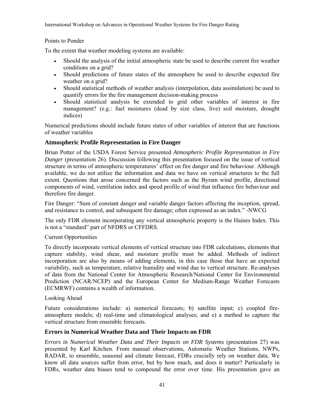## Points to Ponder

To the extent that weather modeling systems are available:

- Should the analysis of the initial atmospheric state be used to describe current fire weather conditions on a grid?
- Should predictions of future states of the atmosphere be used to describe expected fire weather on a grid?
- Should statistical methods of weather analysis (interpolation, data assimilation) be used to quantify errors for the fire management decision-making process
- Should statistical analysis be extended to grid other variables of interest in fire management? (e.g.: fuel moistures (dead by size class, live) soil moisture, drought indices)

Numerical predictions should include future states of other variables of interest that are functions of weather variables

# **Atmospheric Profile Representation in Fire Danger**

Brian Potter of the USDA Forest Service presented *Atmospheric Profile Representation in Fire Danger* (presentation 26). Discussion following this presentation focused on the issue of vertical structure in terms of atmospheric temperatures' effect on fire danger and fire behaviour. Although available, we do not utilize the information and data we have on vertical structures to the full extent. Questions that arose concerned the factors such as the Byram wind profile, directional components of wind, ventilation index and speed profile of wind that influence fire behaviour and therefore fire danger.

Fire Danger: "Sum of constant danger and variable danger factors affecting the inception, spread, and resistance to control, and subsequent fire damage; often expressed as an index." -NWCG

The only FDR element incorporating any vertical atmospheric property is the Haines Index. This is not a "standard" part of NFDRS or CFFDRS.

#### Current Opportunities

To directly incorporate vertical elements of vertical structure into FDR calculations, elements that capture stability, wind shear, and moisture profile must be added. Methods of indirect incorporation are also by means of adding elements, in this case those that have an expected variability, such as temperature, relative humidity and wind due to vertical structure. Re-analyses of data from the National Center for Atmospheric Research/National Center for Environmental Prediction (NCAR/NCEP) and the European Center for Medium-Range Weather Forecasts (ECMRWF) contains a wealth of information.

#### Looking Ahead

Future considerations include: a) numerical forecasts; b) satellite input; c) coupled fireatmosphere models; d) real-time and climatological analyses; and e) a method to capture the vertical structure from ensemble forecasts.

#### **Errors in Numerical Weather Data and Their Impacts on FDR**

*Errors in Numerical Weather Data and Their Impacts on FDR Systems (presentation 27) was* presented by Karl Kitchen. From manual observations, Automatic Weather Stations, NWPs, RADAR, to ensemble, seasonal and climate forecast, FDRs crucially rely on weather data. We know all data sources suffer from error, but by how much, and does it matter? Particularly in FDRs, weather data biases tend to compound the error over time. His presentation gave an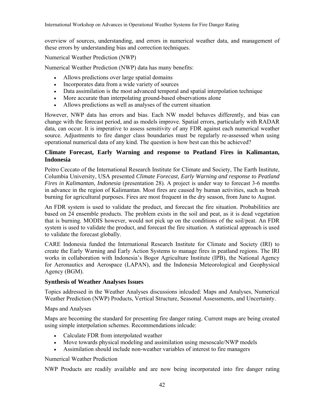overview of sources, understanding, and errors in numerical weather data, and management of these errors by understanding bias and correction techniques.

Numerical Weather Prediction (NWP)

Numerical Weather Prediction (NWP) data has many benefits:

- Allows predictions over large spatial domains
- Incorporates data from a wide variety of sources
- Data assimilation is the most advanced temporal and spatial interpolation technique
- More accurate than interpolating ground-based observations alone
- Allows predictions as well as analyses of the current situation

However, NWP data has errors and bias. Each NW model behaves differently, and bias can change with the forecast period, and as models improve. Spatial errors, particularly with RADAR data, can occur. It is imperative to assess sensitivity of any FDR against each numerical weather source. Adjustments to fire danger class boundaries must be regularly re-assessed when using operational numerical data of any kind. The question is how best can this be achieved?

# **Climate Forecast, Early Warning and response to Peatland Fires in Kalimantan, Indonesia**

Peitro Ceccato of the International Research Institute for Climate and Society, The Earth Institute, Columbia University, USA presented *Climate Forecast, Early Warning and response to Peatland Fires in Kalimantan, Indonesia* (presentation 28). A project is under way to forecast 3-6 months in advance in the region of Kalimantan. Most fires are caused by human activities, such as brush burning for agricultural purposes. Fires are most frequent in the dry season, from June to August.

An FDR system is used to validate the product, and forecast the fire situation. Probabilities are based on 24 ensemble products. The problem exists in the soil and peat, as it is dead vegetation that is burning. MODIS however, would not pick up on the conditions of the soil/peat. An FDR system is used to validate the product, and forecast the fire situation. A statistical approach is used to validate the forecast globally.

CARE Indonesia funded the International Research Institute for Climate and Society (IRI) to create the Early Warning and Early Action Systems to manage fires in peatland regions. The IRI works in collaboration with Indonesia's Bogor Agriculture Institute (IPB), the National Agency for Aeronautics and Aerospace (LAPAN), and the Indonesia Meteorological and Geophysical Agency (BGM).

#### **Synthesis of Weather Analyses Issues**

Topics addressed in the Weather Analyses discussions inlcuded: Maps and Analyses, Numerical Weather Prediction (NWP) Products, Vertical Structure, Seasonal Assessments, and Uncertainty.

Maps and Analyses

Maps are becoming the standard for presenting fire danger rating. Current maps are being created using simple interpolation schemes. Recommendations inlcude:

- Calculate FDR from interpolated weather
- Move towards physical modeling and assimilation using mesoscale/NWP models
- Assimilation should include non-weather variables of interest to fire managers

Numerical Weather Prediction

NWP Products are readily available and are now being incorporated into fire danger rating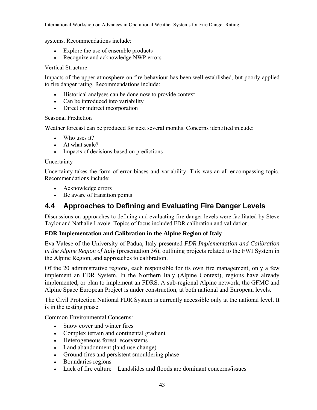systems. Recommendations include:

- Explore the use of ensemble products
- Recognize and acknowledge NWP errors

#### Vertical Structure

Impacts of the upper atmosphere on fire behaviour has been well-established, but poorly applied to fire danger rating. Recommendations include:

- Historical analyses can be done now to provide context
- Can be introduced into variability
- Direct or indirect incorporation

#### Seasonal Prediction

Weather forecast can be produced for next several months. Concerns identified inlcude:

- Who uses it?
- At what scale?
- Impacts of decisions based on predictions

#### Uncertainty

Uncertainty takes the form of error biases and variability. This was an all encompassing topic. Recommendations include:

- Acknowledge errors
- Be aware of transition points

# **4.4 Approaches to Defining and Evaluating Fire Danger Levels**

Discussions on approaches to defining and evaluating fire danger levels were facilitated by Steve Taylor and Nathalie Lavoie. Topics of focus included FDR calibration and validation.

# **FDR Implementation and Calibration in the Alpine Region of Italy**

Eva Valese of the University of Padua, Italy presented *FDR Implementation and Calibration in the Alpine Region of Italy* (presentation 36), outlining projects related to the FWI System in the Alpine Region, and approaches to calibration.

Of the 20 administrative regions, each responsible for its own fire management, only a few implement an FDR System. In the Northern Italy (Alpine Context), regions have already implemented, or plan to implement an FDRS. A sub-regional Alpine network, the GFMC and Alpine Space European Project is under construction, at both national and European levels.

The Civil Protection National FDR System is currently accessible only at the national level. It is in the testing phase.

Common Environmental Concerns:

- Snow cover and winter fires
- Complex terrain and continental gradient
- Heterogeneous forest ecosystems
- Land abandonment (land use change)
- Ground fires and persistent smouldering phase
- Boundaries regions
- Lack of fire culture Landslides and floods are dominant concerns/issues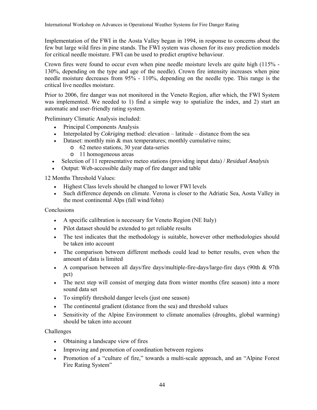Implementation of the FWI in the Aosta Valley began in 1994, in response to concerns about the few but large wild fires in pine stands. The FWI system was chosen for its easy prediction models for critical needle moisture. FWI can be used to predict eruptive behaviour.

Crown fires were found to occur even when pine needle moisture levels are quite high (115% - 130%, depending on the type and age of the needle). Crown fire intensity increases when pine needle moisture decreases from 95% - 110%, depending on the needle type. This range is the critical live needles moisture.

Prior to 2006, fire danger was not monitored in the Veneto Region, after which, the FWI System was implemented. We needed to 1) find a simple way to spatialize the index, and 2) start an automatic and user-friendly rating system.

Preliminary Climatic Analysis included:

- Principal Components Analysis
- Interpolated by *Cokriging* method: elevation latitude distance from the sea
- Dataset: monthly min & max temperatures; monthly cumulative rains;
	- o 62 meteo stations, 30 year data-series
	- o 11 homogeneous areas
- Selection of 11 representative meteo stations (providing input data) / *Residual Analysis*
- Output: Web-accessible daily map of fire danger and table

12 Months Threshold Values:

- Highest Class levels should be changed to lower FWI levels
- Such difference depends on climate. Verona is closer to the Adriatic Sea, Aosta Valley in the most continental Alps (fall wind/fohn)

Conclusions

- A specific calibration is necessary for Veneto Region (NE Italy)
- Pilot dataset should be extended to get reliable results
- The test indicates that the methodology is suitable, however other methodologies should be taken into account
- The comparison between different methods could lead to better results, even when the amount of data is limited
- A comparison between all days/fire days/multiple-fire-days/large-fire days (90th & 97th pct)
- The next step will consist of merging data from winter months (fire season) into a more sound data set
- To simplify threshold danger levels (just one season)
- The continental gradient (distance from the sea) and threshold values
- Sensitivity of the Alpine Environment to climate anomalies (droughts, global warming) should be taken into account

Challenges

- Obtaining a landscape view of fires
- Improving and promotion of coordination between regions
- Promotion of a "culture of fire," towards a multi-scale approach, and an "Alpine Forest Fire Rating System"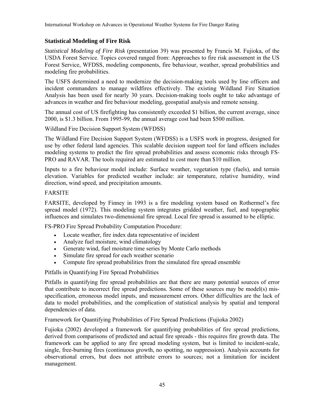# **Statistical Modeling of Fire Risk**

*Statistical Modeling of Fire Risk* (presentation 39) was presented by Francis M. Fujioka, of the USDA Forest Service. Topics covered ranged from: Approaches to fire risk assessment in the US Forest Service, WFDSS, modeling components, fire behaviour, weather, spread probabilities and modeling fire probabilities.

The USFS determined a need to modernize the decision-making tools used by line officers and incident commanders to manage wildfires effectively. The existing Wildland Fire Situation Analysis has been used for nearly 30 years. Decision-making tools ought to take advantage of advances in weather and fire behaviour modeling, geospatial analysis and remote sensing.

The annual cost of US firefighting has consistently exceeded \$1 billion, the current average, since 2000, is \$1.3 billion. From 1995-99, the annual average cost had been \$500 million.

Wildland Fire Decision Support System (WFDSS)

The Wildland Fire Decision Support System (WFDSS) is a USFS work in progress, designed for use by other federal land agencies. This scalable decision support tool for land officers includes modeling systems to predict the fire spread probabilities and assess economic risks through FS-PRO and RAVAR. The tools required are estimated to cost more than \$10 million.

Inputs to a fire behaviour model include: Surface weather, vegetation type (fuels), and terrain elevation. Variables for predicted weather include: air temperature, relative humidity, wind direction, wind speed, and precipitation amounts.

#### FARSITE

FARSITE, developed by Finney in 1993 is a fire modeling system based on Rothermel's fire spread model (1972). This modeling system integrates gridded weather, fuel, and topographic influences and simulates two-dimensional fire spread. Local fire spread is assumed to be elliptic.

FS-PRO Fire Spread Probability Computation Procedure:

- Locate weather, fire index data representative of incident
- Analyze fuel moisture, wind climatology
- Generate wind, fuel moisture time series by Monte Carlo methods
- Simulate fire spread for each weather scenario
- Compute fire spread probabilities from the simulated fire spread ensemble

Pitfalls in Quantifying Fire Spread Probabilities

Pitfalls in quantifying fire spread probabilities are that there are many potential sources of error that contribute to incorrect fire spread predictions. Some of these sources may be model(s) misspecification, erroneous model inputs, and measurement errors. Other difficulties are the lack of data to model probabilities, and the complication of statistical analysis by spatial and temporal dependencies of data.

Framework for Quantifying Probabilities of Fire Spread Predictions (Fujioka 2002)

Fujioka (2002) developed a framework for quantifying probabilities of fire spread predictions, derived from comparisons of predicted and actual fire spreads - this requires fire growth data. The framework can be applied to any fire spread modeling system, but is limited to incident-scale, single, free-burning fires (continuous growth, no spotting, no suppression). Analysis accounts for observational errors, but does not attribute errors to sources; not a limitation for incident management.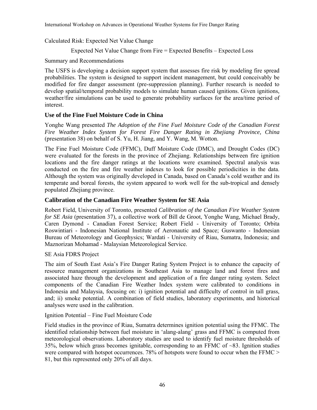Calculated Risk: Expected Net Value Change

Expected Net Value Change from Fire = Expected Benefits – Expected Loss

Summary and Recommendations

The USFS is developing a decision support system that assesses fire risk by modeling fire spread probabilities. The system is designed to support incident management, but could conceivably be modified for fire danger assessment (pre-suppression planning). Further research is needed to develop spatial/temporal probability models to simulate human caused ignitions. Given ignitions, weather/fire simulations can be used to generate probability surfaces for the area/time period of interest.

# **Use of the Fine Fuel Moisture Code in China**

Yonghe Wang presented *The Adoption of the Fine Fuel Moisture Code of the Canadian Forest Fire Weather Index System for Forest Fire Danger Rating in Zhejiang Province, China* (presentation 38) on behalf of S. Yu, H. Jiang, and Y. Wang, M. Wotton.

The Fine Fuel Moisture Code (FFMC), Duff Moisture Code (DMC), and Drought Codes (DC) were evaluated for the forests in the province of Zhejiang. Relationships between fire ignition locations and the fire danger ratings at the locations were examined. Spectral analysis was conducted on the fire and fire weather indexes to look for possible periodicities in the data. Although the system was originally developed in Canada, based on Canada's cold weather and its temperate and boreal forests, the system appeared to work well for the sub-tropical and densely populated Zhejiang province.

# **Calibration of the Canadian Fire Weather System for SE Asia**

Robert Field, University of Toronto, presented *Calibration of the Canadian Fire Weather System for SE Asia* (presentation 37), a collective work of Bill de Groot, Yonghe Wang, Michael Brady, Caren Dymond - Canadian Forest Service; Robert Field - University of Toronto; Orbita Roswintiari - Indonesian National Institute of Aeronautic and Space; Guswanto - Indonesian Bureau of Meteorology and Geophysics; Wardati - University of Riau, Sumatra, Indonesia; and Maznorizan Mohamad - Malaysian Meteorological Service.

# SE Asia FDRS Project

The aim of South East Asia's Fire Danger Rating System Project is to enhance the capacity of resource management organizations in Southeast Asia to manage land and forest fires and associated haze through the development and application of a fire danger rating system. Select components of the Canadian Fire Weather Index system were calibrated to conditions in Indonesia and Malaysia, focusing on: i) ignition potential and difficulty of control in tall grass, and; ii) smoke potential. A combination of field studies, laboratory experiments, and historical analyses were used in the calibration.

Ignition Potential – Fine Fuel Moisture Code

Field studies in the province of Riau, Sumatra determines ignition potential using the FFMC. The identified relationship between fuel moisture in 'alang-alang' grass and FFMC is computed from meteorological observations. Laboratory studies are used to identify fuel moisture thresholds of 35%, below which grass becomes ignitable, corresponding to an FFMC of ~83. Ignition studies were compared with hotspot occurrences. 78% of hotspots were found to occur when the FFMC > 81, but this represented only 20% of all days.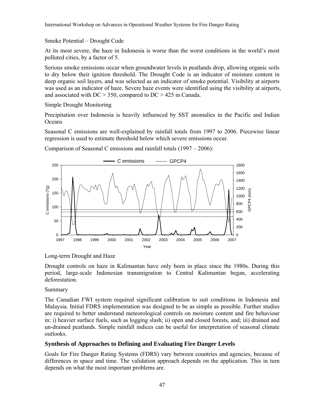Smoke Potential – Drought Code

At its most severe, the haze in Indonesia is worse than the worst conditions in the world's most polluted cities, by a factor of 5.

Serious smoke emissions occur when groundwater levels in peatlands drop, allowing organic soils to dry below their ignition threshold. The Drought Code is an indicator of moisture content in deep organic soil layers, and was selected as an indicator of smoke potential. Visibility at airports was used as an indicator of haze. Severe haze events were identified using the visibility at airports, and associated with DC > 350, compared to DC > 425 in Canada.

Simple Drought Monitoring

Precipitation over Indonesia is heavily influenced by SST anomalies in the Pacific and Indian **Oceans** 

Seasonal C emissions are well-explained by rainfall totals from 1997 to 2006. Piecewise linear regression is used to estimate threshold below which severe emissions occur.

Comparison of Seasonal C emissions and rainfall totals (1997 – 2006):



Long-term Drought and Haze

Drought controls on haze in Kalimantan have only been in place since the 1980s. During this period, large-scale Indonesian transmigration to Central Kalimantan began, accelerating deforestation.

Summary

The Canadian FWI system required significant calibration to suit conditions in Indonesia and Malaysia. Initial FDRS implementation was designed to be as simple as possible. Further studies are required to better understand meteorological controls on moisture content and fire behaviour in: i) heavier surface fuels, such as logging slash; ii) open and closed forests, and; iii) drained and un-drained peatlands. Simple rainfall indices can be useful for interpretation of seasonal climate outlooks.

# **Synthesis of Approaches to Defining and Evaluating Fire Danger Levels**

Goals for Fire Danger Rating Systems (FDRS) vary between countries and agencies, because of differences in space and time. The validation approach depends on the application. This in turn depends on what the most important problems are.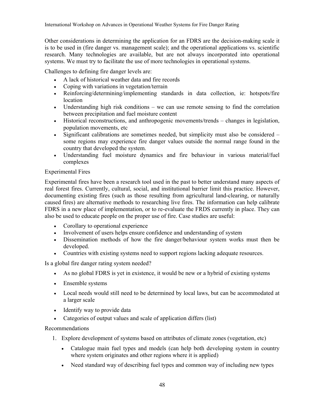Other considerations in determining the application for an FDRS are the decision-making scale it is to be used in (fire danger vs. management scale); and the operational applications vs. scientific research. Many technologies are available, but are not always incorporated into operational systems. We must try to facilitate the use of more technologies in operational systems.

Challenges to defining fire danger levels are:

- A lack of historical weather data and fire records
- Coping with variations in vegetation/terrain
- Reinforcing/determining/implementing standards in data collection, ie: hotspots/fire location
- Understanding high risk conditions we can use remote sensing to find the correlation between precipitation and fuel moisture content
- Historical reconstructions, and anthropogenic movements/trends changes in legislation, population movements, etc
- Significant calibrations are sometimes needed, but simplicity must also be considered some regions may experience fire danger values outside the normal range found in the country that developed the system.
- Understanding fuel moisture dynamics and fire behaviour in various material/fuel complexes

## Experimental Fires

Experimental fires have been a research tool used in the past to better understand many aspects of real forest fires. Currently, cultural, social, and institutional barrier limit this practice. However, documenting existing fires (such as those resulting from agricultural land-clearing, or naturally caused fires) are alternative methods to researching live fires. The information can help calibrate FDRS in a new place of implementation, or to re-evaluate the FRDS currently in place. They can also be used to educate people on the proper use of fire. Case studies are useful:

- Corollary to operational experience
- Involvement of users helps ensure confidence and understanding of system
- Dissemination methods of how the fire danger/behaviour system works must then be developed.
- Countries with existing systems need to support regions lacking adequate resources.

Is a global fire danger rating system needed?

- As no global FDRS is yet in existence, it would be new or a hybrid of existing systems
- Ensemble systems
- Local needs would still need to be determined by local laws, but can be accommodated at a larger scale
- Identify way to provide data
- Categories of output values and scale of application differs (list)

#### Recommendations

- 1. Explore development of systems based on attributes of climate zones (vegetation, etc)
	- Catalogue main fuel types and models (can help both developing system in country where system originates and other regions where it is applied)
	- Need standard way of describing fuel types and common way of including new types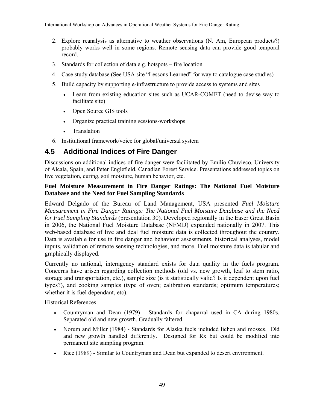- 2. Explore reanalysis as alternative to weather observations (N. Am, European products?) probably works well in some regions. Remote sensing data can provide good temporal record.
- 3. Standards for collection of data e.g. hotspots fire location
- 4. Case study database (See USA site "Lessons Learned" for way to catalogue case studies)
- 5. Build capacity by supporting e-infrastructure to provide access to systems and sites
	- Learn from existing education sites such as UCAR-COMET (need to devise way to facilitate site)
	- Open Source GIS tools
	- Organize practical training sessions-workshops
	- Translation
- 6. Institutional framework/voice for global/universal system

# **4.5 Additional Indices of Fire Danger**

Discussions on additional indices of fire danger were facilitated by Emilio Chuvieco, University of Alcala, Spain, and Peter Englefield, Canadian Forest Service. Presentations addressed topics on live vegetation, curing, soil moisture, human behavior, etc.

#### **Fuel Moisture Measurement in Fire Danger Ratings: The National Fuel Moisture Database and the Need for Fuel Sampling Standards**

Edward Delgado of the Bureau of Land Management, USA presented *Fuel Moisture Measurement in Fire Danger Ratings: The National Fuel Moisture Database and the Need for Fuel Sampling Standards* (presentation 30)*.* Developed regionally in the Easer Great Basin in 2006, the National Fuel Moisture Database (NFMD) expanded nationally in 2007. This web-based database of live and deal fuel moisture data is collected throughout the country. Data is available for use in fire danger and behaviour assessments, historical analyses, model inputs, validation of remote sensing technologies, and more. Fuel moisture data is tabular and graphically displayed.

Currently no national, interagency standard exists for data quality in the fuels program. Concerns have arisen regarding collection methods (old vs. new growth, leaf to stem ratio, storage and transportation, etc.), sample size (is it statistically valid? Is it dependent upon fuel types?), and cooking samples (type of oven; calibration standards; optimum temperatures; whether it is fuel dependant, etc).

Historical References

- Countryman and Dean (1979) Standards for chaparral used in CA during 1980s. Separated old and new growth. Gradually faltered.
- Norum and Miller (1984) Standards for Alaska fuels included lichen and mosses. Old and new growth handled differently. Designed for Rx but could be modified into permanent site sampling program.
- Rice (1989) Similar to Countryman and Dean but expanded to desert environment.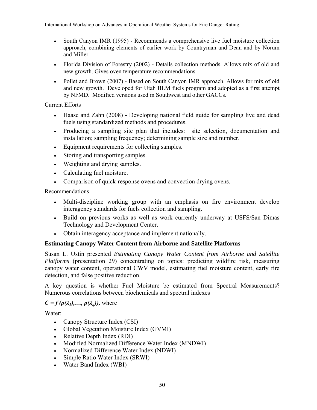- South Canyon IMR (1995) Recommends a comprehensive live fuel moisture collection approach, combining elements of earlier work by Countryman and Dean and by Norum and Miller.
- Florida Division of Forestry (2002) Details collection methods. Allows mix of old and new growth. Gives oven temperature recommendations.
- Pollet and Brown (2007) Based on South Canyon IMR approach. Allows for mix of old and new growth. Developed for Utah BLM fuels program and adopted as a first attempt by NFMD. Modified versions used in Southwest and other GACCs.

Current Efforts

- Haase and Zahn (2008) Developing national field guide for sampling live and dead fuels using standardized methods and procedures.
- Producing a sampling site plan that includes: site selection, documentation and installation; sampling frequency; determining sample size and number.
- Equipment requirements for collecting samples.
- Storing and transporting samples.
- Weighting and drying samples.
- Calculating fuel moisture.
- Comparison of quick-response ovens and convection drying ovens.

Recommendations

- Multi-discipline working group with an emphasis on fire environment develop interagency standards for fuels collection and sampling.
- Build on previous works as well as work currently underway at USFS/San Dimas Technology and Development Center.
- Obtain interagency acceptance and implement nationally.

# **Estimating Canopy Water Content from Airborne and Satellite Platforms**

Susan L. Ustin presented *Estimating Canopy Water Content from Airborne and Satellite Platforms* (presentation 29) concentrating on topics: predicting wildfire risk, measuring canopy water content, operational CWV model, estimating fuel moisture content, early fire detection, and false positive reduction.

A key question is whether Fuel Moisture be estimated from Spectral Measurements? Numerous correlations between biochemicals and spectral indexes

# $C = f(\rho(\lambda_1), \ldots, \rho(\lambda_n))$ , where

Water:

- Canopy Structure Index (CSI)
- Global Vegetation Moisture Index (GVMI)
- Relative Depth Index (RDI)
- Modified Normalized Difference Water Index (MNDWI)
- Normalized Difference Water Index (NDWI)
- Simple Ratio Water Index (SRWI)
- Water Band Index (WBI)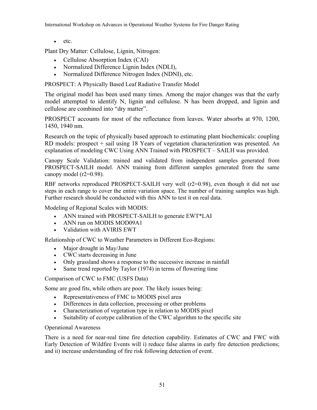• etc.

Plant Dry Matter: Cellulose, Lignin, Nitrogen:

- Cellulose Absorption Index (CAI)
- Normalized Difference Lignin Index (NDLI),
- Normalized Difference Nitrogen Index (NDNI), etc.

PROSPECT: A Physically Based Leaf Radiative Transfer Model

The original model has been used many times. Among the major changes was that the early model attempted to identify N, lignin and cellulose. N has been dropped, and lignin and cellulose are combined into "dry matter".

PROSPECT accounts for most of the reflectance from leaves. Water absorbs at 970, 1200, 1450, 1940 nm.

Research on the topic of physically based approach to estimating plant biochemicals: coupling RD models: prospect + sail using 18 Years of vegetation characterization was presented. An explanation of modeling CWC Using ANN Trained with PROSPECT – SAILH was provided.

Canopy Scale Validation: trained and validated from independent samples generated from PROSPECT-SAILH model. ANN training from different samples generated from the same canopy model (r2=0.98).

RBF networks reproduced PROSPECT-SAILH very well (r2=0.98), even though it did not use steps in each range to cover the entire variation space. The number of training samples was high. Further research should be conducted with this ANN to test it on real data.

Modeling of Regional Scales with MODIS:

- ANN trained with PROSPECT-SAILH to generate EWT\*LAI
- ANN run on MODIS MOD09A1
- Validation with AVIRIS EWT

Relationship of CWC to Weather Parameters in Different Eco-Regions:

- Major drought in May/June
- CWC starts decreasing in June
- Only grassland shows a response to the successive increase in rainfall
- Same trend reported by Taylor (1974) in terms of flowering time

Comparison of CWC to FMC (USFS Data)

Some are good fits, while others are poor. The likely issues being:

- Representativeness of FMC to MODIS pixel area
- Differences in data collection, processing or other problems
- Characterization of vegetation type in relation to MODIS pixel
- Suitability of ecotype calibration of the CWC algorithm to the specific site

#### Operational Awareness

There is a need for near-real time fire detection capability. Estimates of CWC and FWC with Early Detection of Wildfire Events will i) reduce false alarms in early fire detection predictions; and ii) increase understanding of fire risk following detection of event.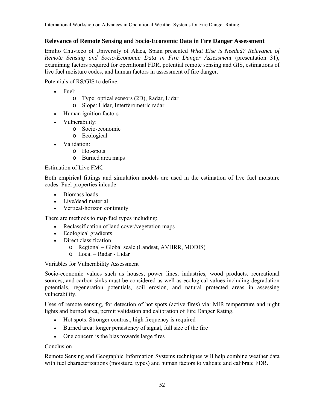#### **Relevance of Remote Sensing and Socio-Economic Data in Fire Danger Assessment**

Emilio Chuvieco of University of Alaca, Spain presented *What Else is Needed? Relevance of Remote Sensing and Socio-Economic Data in Fire Danger Assessment* (presentation 31), examining factors required for operational FDR, potential remote sensing and GIS, estimations of live fuel moisture codes, and human factors in assessment of fire danger.

Potentials of RS/GIS to define:

- Fuel:
	- o Type: optical sensors (2D), Radar, Lidar
	- o Slope: Lidar, Interferometric radar
- Human ignition factors
- Vulnerability:
	- o Socio-economic
	- o Ecological
- Validation:
	- o Hot-spots
	- o Burned area maps

#### Estimation of Live FMC

Both empirical fittings and simulation models are used in the estimation of live fuel moisture codes. Fuel properties inlcude:

- Biomass loads
- Live/dead material
- Vertical-horizon continuity

There are methods to map fuel types including:

- Reclassification of land cover/vegetation maps
- Ecological gradients
- Direct classification
	- o Regional Global scale (Landsat, AVHRR, MODIS)
	- o Local Radar Lidar

Variables for Vulnerability Assessment

Socio-economic values such as houses, power lines, industries, wood products, recreational sources, and carbon sinks must be considered as well as ecological values including degradation potentials, regeneration potentials, soil erosion, and natural protected areas in assessing vulnerability.

Uses of remote sensing, for detection of hot spots (active fires) via: MIR temperature and night lights and burned area, permit validation and calibration of Fire Danger Rating.

- Hot spots: Stronger contrast, high frequency is required
- Burned area: longer persistency of signal, full size of the fire
- One concern is the bias towards large fires

#### Conclusion

Remote Sensing and Geographic Information Systems techniques will help combine weather data with fuel characterizations (moisture, types) and human factors to validate and calibrate FDR.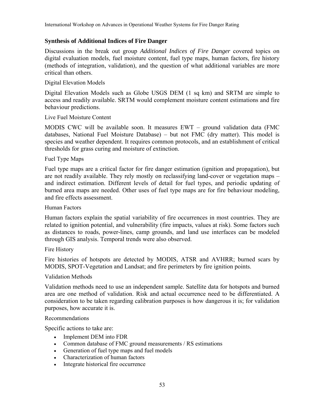# **Synthesis of Additional Indices of Fire Danger**

Discussions in the break out group *Additional Indices of Fire Danger* covered topics on digital evaluation models, fuel moisture content, fuel type maps, human factors, fire history (methods of integration, validation), and the question of what additional variables are more critical than others.

## Digital Elevation Models

Digital Elevation Models such as Globe USGS DEM (1 sq km) and SRTM are simple to access and readily available. SRTM would complement moisture content estimations and fire behaviour predictions.

## Live Fuel Moisture Content

MODIS CWC will be available soon. It measures EWT – ground validation data (FMC databases, National Fuel Moisture Database) – but not FMC (dry matter). This model is species and weather dependent. It requires common protocols, and an establishment of critical thresholds for grass curing and moisture of extinction.

## Fuel Type Maps

Fuel type maps are a critical factor for fire danger estimation (ignition and propagation), but are not readily available. They rely mostly on reclassifying land-cover or vegetation maps – and indirect estimation. Different levels of detail for fuel types, and periodic updating of burned area maps are needed. Other uses of fuel type maps are for fire behaviour modeling, and fire effects assessment.

#### Human Factors

Human factors explain the spatial variability of fire occurrences in most countries. They are related to ignition potential, and vulnerability (fire impacts, values at risk). Some factors such as distances to roads, power-lines, camp grounds, and land use interfaces can be modeled through GIS analysis. Temporal trends were also observed.

Fire History

Fire histories of hotspots are detected by MODIS, ATSR and AVHRR; burned scars by MODIS, SPOT-Vegetation and Landsat; and fire perimeters by fire ignition points.

#### Validation Methods

Validation methods need to use an independent sample. Satellite data for hotspots and burned area are one method of validation. Risk and actual occurrence need to be differentiated. A consideration to be taken regarding calibration purposes is how dangerous it is; for validation purposes, how accurate it is.

#### Recommendations

Specific actions to take are:

- Implement DEM into FDR
- Common database of FMC ground measurements / RS estimations
- Generation of fuel type maps and fuel models
- Characterization of human factors
- Integrate historical fire occurrence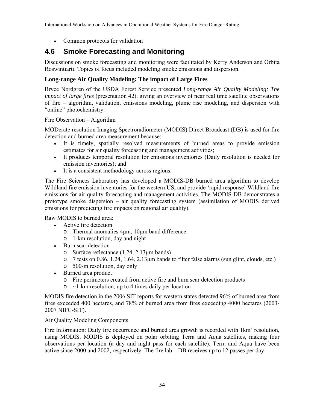• Common protocols for validation

# **4.6 Smoke Forecasting and Monitoring**

Discussions on smoke forecasting and monitoring were facilitated by Kerry Anderson and Orbita Roswintiarti. Topics of focus included modeling smoke emissions and dispersion.

# **Long-range Air Quality Modeling: The impact of Large Fires**

Bryce Nordgren of the USDA Forest Service presented *Long-range Air Quality Modeling: The impact of large fires* (presentation 42), giving an overview of near real time satellite observations of fire – algorithm, validation, emissions modeling, plume rise modeling, and dispersion with "online" photochemistry.

Fire Observation – Algorithm

MODerate resolution Imaging Spectroradiometer (MODIS) Direct Broadcast (DB) is used for fire detection and burned area measurement because:

- It is timely, spatially resolved measurements of burned areas to provide emission estimates for air quality forecasting and management activities;
- It produces temporal resolution for emissions inventories (Daily resolution is needed for emission inventories); and
- It is a consistent methodology across regions.

The Fire Sciences Laboratory has developed a MODIS-DB burned area algorithm to develop Wildland fire emission inventories for the western US, and provide 'rapid response' Wildland fire emissions for air quality forecasting and management activities. The MODIS-DB demonstrates a prototype smoke dispersion – air quality forecasting system (assimilation of MODIS derived emissions for predicting fire impacts on regional air quality).

Raw MODIS to burned area:

- Active fire detection
	- o Thermal anomalies 4μm, 10μm band difference
	- o 1-km resolution, day and night
- Burn scar detection
	- o Surface reflectance (1.24, 2.13μm bands)
	- o 7 tests on 0.86, 1.24, 1.64, 2.13μm bands to filter false alarms (sun glint, clouds, etc.)
	- o 500-m resolution, day only
- Burned area product
	- o Fire perimeters created from active fire and burn scar detection products
	- $\circ$  ~1-km resolution, up to 4 times daily per location

MODIS fire detection in the 2006 SIT reports for western states detected 96% of burned area from fires exceeded 400 hectares, and 78% of burned area from fires exceeding 4000 hectares (2003- 2007 NIFC-SIT).

#### Air Quality Modeling Components

Fire Information: Daily fire occurrence and burned area growth is recorded with  $1 \text{km}^2$  resolution, using MODIS. MODIS is deployed on polar orbiting Terra and Aqua satellites, making four observations per location (a day and night pass for each satellite). Terra and Aqua have been active since 2000 and 2002, respectively. The fire lab – DB receives up to 12 passes per day.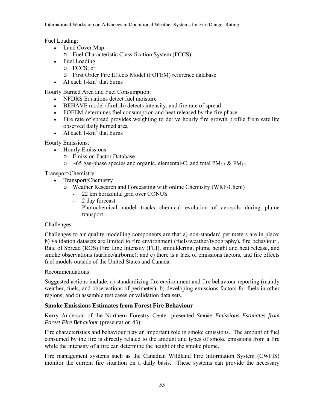Fuel Loading:

- Land Cover Map
	- o Fuel Characteristic Classification System (FCCS)
- Fuel Loading
	- o FCCS; or
	- o First Order Fire Effects Model (FOFEM) reference database
- At each  $1 km^2$  that burns

Hourly Burned Area and Fuel Consumption:

- NFDRS Equations detect fuel moisture
- BEHAVE model (fireLib) detects intensity, and fire rate of spread
- FOFEM determines fuel consumption and heat released by the fire phase
- Fire rate of spread provides weighting to derive hourly fire growth profile from satellite observed daily burned area
- At each  $1 km^2$  that burns

Hourly Emissions:

- Hourly Emissions
	- o Emission Factor Database
	- $\circ$  ~65 gas-phase species and organic, elemental-C, and total PM<sub>2.5</sub> & PM<sub>10</sub>

Transport/Chemistry:

- Transport/Chemistry
	- o Weather Research and Forecasting with online Chemistry (WRF-Chem)
		- 22 km horizontal grid over CONUS
		- 2 day forecast
		- Photochemical model tracks chemical evolution of aerosols during plume transport

# Challenges

Challenges to air quality modelling components are that a) non-standard perimeters are in place; b) validation datasets are limited to fire environment (fuels/weather/typography), fire behaviour , Rate of Spread (ROS) Fire Line Intensity (FLI), smouldering, plume height and heat release, and smoke observations (surface/airborne); and c) there is a lack of emissions factors, and fire effects fuel models outside of the United States and Canada.

# Recommendations

Suggested actions include: a) standardizing fire environment and fire behaviour reporting (mainly weather, fuels, and observations of perimeter); b) developing emissions factors for fuels in other regions; and c) assemble test cases or validation data sets.

# **Smoke Emissions Estimates from Forest Fire Behaviour**

Kerry Anderson of the Northern Forestry Center presented *Smoke Emissions Estimates from Forest Fire Behaviour* (presentation 43).

Fire characteristics and behaviour play an important role in smoke emissions. The amount of fuel consumed by the fire is directly related to the amount and types of smoke emissions from a fire while the intensity of a fire can determine the height of the smoke plume.

Fire management systems such as the Canadian Wildland Fire Information System (CWFIS) monitor the current fire situation on a daily basis. These systems can provide the necessary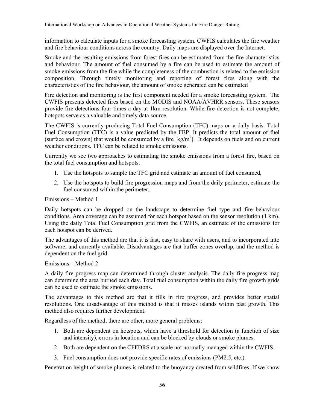information to calculate inputs for a smoke forecasting system. CWFIS calculates the fire weather and fire behaviour conditions across the country. Daily maps are displayed over the Internet.

Smoke and the resulting emissions from forest fires can be estimated from the fire characteristics and behaviour. The amount of fuel consumed by a fire can be used to estimate the amount of smoke emissions from the fire while the completeness of the combustion is related to the emission composition. Through timely monitoring and reporting of forest fires along with the characteristics of the fire behaviour, the amount of smoke generated can be estimated

Fire detection and monitoring is the first component needed for a smoke forecasting system. The CWFIS presents detected fires based on the MODIS and NOAA/AVHRR sensors. These sensors provide fire detections four times a day at 1km resolution. While fire detection is not complete, hotspots serve as a valuable and timely data source.

The CWFIS is currently producing Total Fuel Consumption (TFC) maps on a daily basis. Total Fuel Consumption (TFC) is a value predicted by the FBP. It predicts the total amount of fuel (surface and crown) that would be consumed by a fire  $[kg/m^2]$ . It depends on fuels and on current weather conditions. TFC can be related to smoke emissions.

Currently we see two approaches to estimating the smoke emissions from a forest fire, based on the total fuel consumption and hotspots.

- 1. Use the hotspots to sample the TFC grid and estimate an amount of fuel consumed,
- 2. Use the hotspots to build fire progression maps and from the daily perimeter, estimate the fuel consumed within the perimeter.

#### Emissions – Method 1

Daily hotspots can be dropped on the landscape to determine fuel type and fire behaviour conditions. Area coverage can be assumed for each hotspot based on the sensor resolution (1 km). Using the daily Total Fuel Consumption grid from the CWFIS, an estimate of the emissions for each hotspot can be derived.

The advantages of this method are that it is fast, easy to share with users, and to incorporated into software, and currently available. Disadvantages are that buffer zones overlap, and the method is dependent on the fuel grid.

Emissions – Method 2

A daily fire progress map can determined through cluster analysis. The daily fire progress map can determine the area burned each day. Total fuel consumption within the daily fire growth grids can be used to estimate the smoke emissions.

The advantages to this method are that it fills in fire progress, and provides better spatial resolutions. One disadvantage of this method is that it misses islands within past growth. This method also requires further development.

Regardless of the method, there are other, more general problems:

- 1. Both are dependent on hotspots, which have a threshold for detection (a function of size and intensity), errors in location and can be blocked by clouds or smoke plumes.
- 2. Both are dependent on the CFFDRS at a scale not normally managed within the CWFIS.
- 3. Fuel consumption does not provide specific rates of emissions (PM2.5, etc.).

Penetration height of smoke plumes is related to the buoyancy created from wildfires. If we know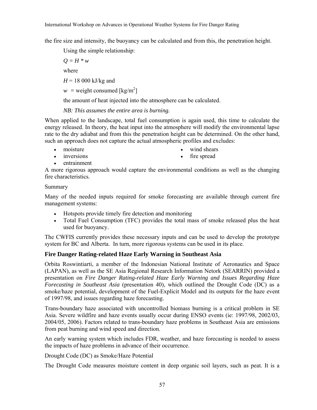the fire size and intensity, the buoyancy can be calculated and from this, the penetration height.

Using the simple relationship:

 $Q = H * w$ where  $H = 18000 \text{ kJ/kg}$  and

 $w =$  weight consumed  $\lceil \text{kg/m}^2 \rceil$ 

the amount of heat injected into the atmosphere can be calculated.

*NB: This assumes the entire area is burning.* 

When applied to the landscape, total fuel consumption is again used, this time to calculate the energy released. In theory, the heat input into the atmosphere will modify the environmental lapse rate to the dry adiabat and from this the penetration height can be determined. On the other hand, such an approach does not capture the actual atmospheric profiles and excludes:

• moisture

wind shears

• inversions

fire spread

• entrainment

A more rigorous approach would capture the environmental conditions as well as the changing fire characteristics.

## Summary

Many of the needed inputs required for smoke forecasting are available through current fire management systems:

- Hotspots provide timely fire detection and monitoring
- Total Fuel Consumption (TFC) provides the total mass of smoke released plus the heat used for buoyancy.

The CWFIS currently provides these necessary inputs and can be used to develop the prototype system for BC and Alberta. In turn, more rigorous systems can be used in its place.

# **Fire Danger Rating-related Haze Early Warning in Southeast Asia**

Orbita Roswintiarti, a member of the Indonesian National Institute of Aeronautics and Space (LAPAN), as well as the SE Asia Regional Research Information Netork (SEARRIN) provided a presentation on *Fire Danger Rating-related Haze Early Warning and Issues Regarding Haze Forecasting in Southeast Asia* (presentation 40), which outlined the Drought Code (DC) as a smoke/haze potential, development of the Fuel-Explicit Model and its outputs for the haze event of 1997/98, and issues regarding haze forecasting.

Trans-boundary haze associated with uncontrolled biomass burning is a critical problem in SE Asia. Severe wildfire and haze events usually occur during ENSO events (ie: 1997/98, 2002/03, 2004/05, 2006). Factors related to trans-boundary haze problems in Southeast Asia are emissions from peat burning and wind speed and direction.

An early warning system which includes FDR, weather, and haze forecasting is needed to assess the impacts of haze problems in advance of their occurrence.

Drought Code (DC) as Smoke/Haze Potential

The Drought Code measures moisture content in deep organic soil layers, such as peat. It is a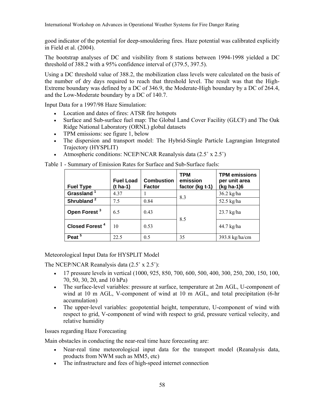good indicator of the potential for deep-smouldering fires. Haze potential was calibrated explicitly in Field et al. (2004).

The bootstrap analyses of DC and visibility from 8 stations between 1994-1998 yielded a DC threshold of 388.2 with a 95% confidence interval of (379.5, 397.5).

Using a DC threshold value of 388.2, the mobilization class levels were calculated on the basis of the number of dry days required to reach that threshold level. The result was that the High-Extreme boundary was defined by a DC of 346.9, the Moderate-High boundary by a DC of 264.4, and the Low-Moderate boundary by a DC of 140.7.

Input Data for a 1997/98 Haze Simulation:

- Location and dates of fires: ATSR fire hotspots
- Surface and Sub-surface fuel map: The Global Land Cover Facility (GLCF) and The Oak Ridge National Laboratory (ORNL) global datasets
- TPM emissions: see figure 1, below
- The dispersion and transport model: The Hybrid-Single Particle Lagrangian Integrated Trajectory (HYSPLIT)
- Atmospheric conditions: NCEP/NCAR Reanalysis data (2.5˚ x 2.5˚)

Table 1 - Summary of Emission Rates for Surface and Sub-Surface fuels:

| <b>Fuel Type</b>           | <b>Fuel Load</b><br>(t ha-1) | <b>Combustion</b><br><b>Factor</b> | <b>TPM</b><br>emission<br>factor (kg t-1) | <b>TPM</b> emissions<br>per unit area<br>(kg ha-1)6 |
|----------------------------|------------------------------|------------------------------------|-------------------------------------------|-----------------------------------------------------|
| Grassland <sup>1</sup>     | 4.37                         |                                    | 8.3                                       | $36.2$ kg/ha                                        |
| Shrubland <sup>2</sup>     | 7.5                          | 0.84                               |                                           | $52.5$ kg/ha                                        |
| Open Forest <sup>3</sup>   | 6.5                          | 0.43                               | 8.5                                       | $23.7$ kg/ha                                        |
| Closed Forest <sup>4</sup> | 10                           | 0.53                               |                                           | 44.7 kg/ha                                          |
| Peat <sup>5</sup>          | 22.5                         | 0.5                                | 35                                        | 393.8 kg/ha/cm                                      |

#### Meteorological Input Data for HYSPLIT Model

The NCEP/NCAR Reanalysis data (2.5˚ x 2.5˚):

- 17 pressure levels in vertical (1000, 925, 850, 700, 600, 500, 400, 300, 250, 200, 150, 100, 70, 50, 30, 20, and 10 hPa)
- The surface-level variables: pressure at surface, temperature at 2m AGL, U-component of wind at 10 m AGL, V-component of wind at 10 m AGL, and total precipitation (6-hr accumulation)
- The upper-level variables: geopotential height, temperature, U-component of wind with respect to grid, V-component of wind with respect to grid, pressure vertical velocity, and relative humidity

Issues regarding Haze Forecasting

Main obstacles in conducting the near-real time haze forecasting are:

- Near-real time meteorological input data for the transport model (Reanalysis data, products from NWM such as MM5, etc)
- The infrastructure and fees of high-speed internet connection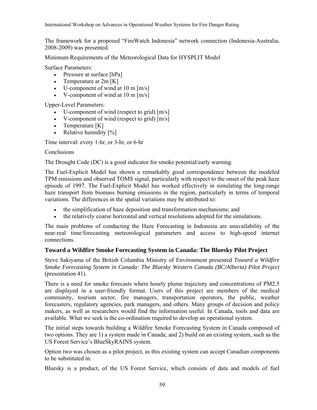The framework for a proposed "FireWatch Indonesia" network connection (Indonesia-Australia, 2008-2009) was presented.

Minimum Requirements of the Meteorological Data for HYSPLIT Model

Surface Parameters:

- Pressure at surface [hPa]
- Temperature at  $2m [K]$
- U-component of wind at  $10 \text{ m [m/s]}$
- V-component of wind at  $10 \text{ m [m/s]}$

Upper-Level Parameters:

- U-component of wind (respect to grid)  $[m/s]$
- V-component of wind (respect to grid)  $[m/s]$
- Temperature [K]
- Relative humidity  $[%]$

Time interval: every 1-hr, or 3-hr, or 6-hr

## **Conclusions**

The Drought Code (DC) is a good indicator for smoke potential/early warning.

The Fuel-Explicit Model has shown a remarkably good correspondence between the modeled TPM emissions and observed TOMS signal, particularly with respect to the onset of the peak haze episode of 1997. The Fuel-Explicit Model has worked effectively in simulating the long-range haze transport from biomass burning emissions in the region, particularly in terms of temporal variations. The differences in the spatial variations may be attributed to:

- the simplification of haze deposition and transformation mechanisms; and
- the relatively coarse horizontal and vertical resolutions adopted for the simulations.

The main problems of conducting the Haze Forecasting in Indonesia are unavailability of the near-real time/forecasting meteorological parameters and access to high-speed internet connections.

# **Toward a Wildfire Smoke Forecasting System in Canada: The Bluesky Pilot Project**

Steve Sakiyama of the British Columbia Ministry of Environment presented *Toward a Wildfire Smoke Forecasting System in Canada: The Bluesky Western Canada (BC/Alberta) Pilot Project* (presentation 41).

There is a need for smoke forecasts where hourly plume trajectory and concentrations of PM2.5 are displayed in a user-friendly format. Users of this project are members of the medical community, tourism sector, fire managers, transportation operators, the public, weather forecasters, regulatory agencies, park managers, and others. Many groups of decision and policy makers, as well as researchers would find the information useful. In Canada, tools and data are available. What we seek is the co-ordination required to develop an operational system.

The initial steps towards building a Wildfire Smoke Forecasting System in Canada composed of two options. They are 1) a system made in Canada; and 2) build on an existing system, such as the US Forest Service's BlueSkyRAINS system.

Option two was chosen as a pilot project, as this existing system can accept Canadian components to be substituted in.

Bluesky is a product, of the US Forest Service, which consists of data and models of fuel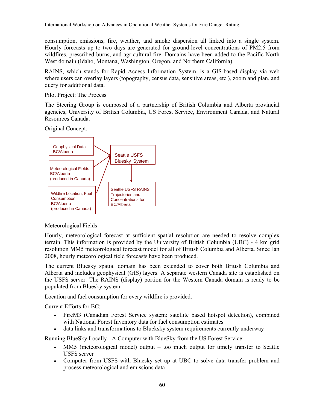consumption, emissions, fire, weather, and smoke dispersion all linked into a single system. Hourly forecasts up to two days are generated for ground-level concentrations of PM2.5 from wildfires, prescribed burns, and agricultural fire. Domains have been added to the Pacific North West domain (Idaho, Montana, Washington, Oregon, and Northern California).

RAINS, which stands for Rapid Access Information System, is a GIS-based display via web where users can overlay layers (topography, census data, sensitive areas, etc.), zoom and plan, and query for additional data.

Pilot Project: The Process

The Steering Group is composed of a partnership of British Columbia and Alberta provincial agencies, University of British Columbia, US Forest Service, Environment Canada, and Natural Resources Canada.

Original Concept:



# Meteorological Fields

Hourly, meteorological forecast at sufficient spatial resolution are needed to resolve complex terrain. This information is provided by the University of British Columbia (UBC) - 4 km grid resolution MM5 meteorological forecast model for all of British Columbia and Alberta. Since Jan 2008, hourly meteorological field forecasts have been produced.

The current Bluesky spatial domain has been extended to cover both British Columbia and Alberta and includes geophysical (GIS) layers. A separate western Canada site is established on the USFS server. The RAINS (display) portion for the Western Canada domain is ready to be populated from Bluesky system.

Location and fuel consumption for every wildfire is provided.

Current Efforts for BC:

- FireM3 (Canadian Forest Service system: satellite based hotspot detection), combined with National Forest Inventory data for fuel consumption estimates
- data links and transformations to Blueksky system requirements currently underway

Running BlueSky Locally - A Computer with BlueSky from the US Forest Service:

- MM5 (meteorological model) output too much output for timely transfer to Seattle USFS server
- Computer from USFS with Bluesky set up at UBC to solve data transfer problem and process meteorological and emissions data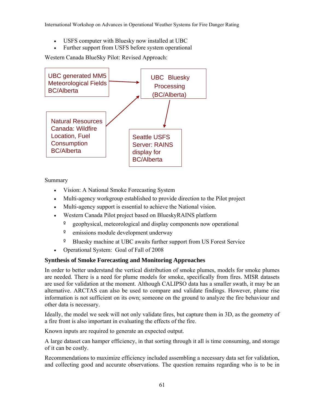- USFS computer with Bluesky now installed at UBC
- Further support from USFS before system operational

Western Canada BlueSky Pilot: Revised Approach:



Summary

- Vision: A National Smoke Forecasting System
- Multi-agency workgroup established to provide direction to the Pilot project
- Multi-agency support is essential to achieve the National vision.
- Western Canada Pilot project based on BlueskyRAINS platform
	- º geophysical, meteorological and display components now operational
	- º emissions module development underway
	- Bluesky machine at UBC awaits further support from US Forest Service
- Operational System: Goal of Fall of 2008

# **Synthesis of Smoke Forecasting and Monitoring Approaches**

In order to better understand the vertical distribution of smoke plumes, models for smoke plumes are needed. There is a need for plume models for smoke, specifically from fires. MISR datasets are used for validation at the moment. Although CALIPSO data has a smaller swath, it may be an alternative. ARCTAS can also be used to compare and validate findings. However, plume rise information is not sufficient on its own; someone on the ground to analyze the fire behaviour and other data is necessary.

Ideally, the model we seek will not only validate fires, but capture them in 3D, as the geometry of a fire front is also important in evaluating the effects of the fire.

Known inputs are required to generate an expected output.

A large dataset can hamper efficiency, in that sorting through it all is time consuming, and storage of it can be costly.

Recommendations to maximize efficiency included assembling a necessary data set for validation, and collecting good and accurate observations. The question remains regarding who is to be in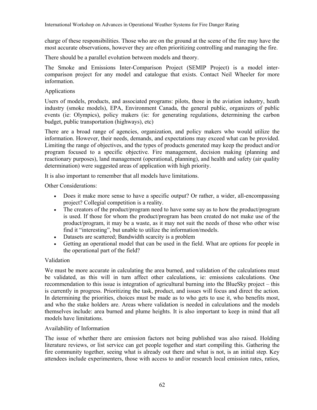charge of these responsibilities. Those who are on the ground at the scene of the fire may have the most accurate observations, however they are often prioritizing controlling and managing the fire.

There should be a parallel evolution between models and theory.

The Smoke and Emissions Inter-Comparison Project (SEMIP Project) is a model intercomparison project for any model and catalogue that exists. Contact Neil Wheeler for more information.

# Applications

Users of models, products, and associated programs: pilots, those in the aviation industry, heath industry (smoke models), EPA, Environment Canada, the general public, organizers of public events (ie: Olympics), policy makers (ie: for generating regulations, determining the carbon budget, public transportation (highways), etc)

There are a broad range of agencies, organization, and policy makers who would utilize the information. However, their needs, demands, and expectations may exceed what can be provided. Limiting the range of objectives, and the types of products generated may keep the product and/or program focused to a specific objective. Fire management, decision making (planning and reactionary purposes), land management (operational, planning), and health and safety (air quality determination) were suggested areas of application with high priority.

It is also important to remember that all models have limitations.

Other Considerations:

- Does it make more sense to have a specific output? Or rather, a wider, all-encompassing project? Collegial competition is a reality.
- The creators of the product/program need to have some say as to how the product/program is used. If those for whom the product/program has been created do not make use of the product/program, it may be a waste, as it may not suit the needs of those who other wise find it "interesting", but unable to utilize the information/models.
- Datasets are scattered; Bandwidth scarcity is a problem
- Getting an operational model that can be used in the field. What are options for people in the operational part of the field?

#### Validation

We must be more accurate in calculating the area burned, and validation of the calculations must be validated, as this will in turn affect other calculations, ie: emissions calculations. One recommendation to this issue is integration of agricultural burning into the BlueSky project – this is currently in progress. Prioritizing the task, product, and issues will focus and direct the action. In determining the priorities, choices must be made as to who gets to use it, who benefits most, and who the stake holders are. Areas where validation is needed in calculations and the models themselves include: area burned and plume heights. It is also important to keep in mind that all models have limitations.

#### Availability of Information

The issue of whether there are emission factors not being published was also raised. Holding literature reviews, or list service can get people together and start compiling this. Gathering the fire community together, seeing what is already out there and what is not, is an initial step. Key attendees include experimenters, those with access to and/or research local emission rates, ratios,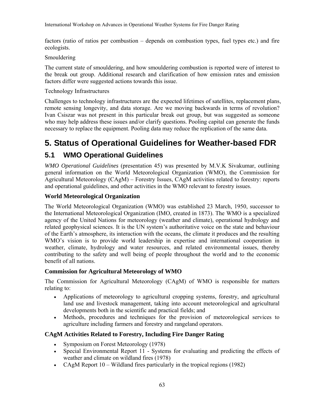factors (ratio of ratios per combustion – depends on combustion types, fuel types etc.) and fire ecologists.

#### Smouldering

The current state of smouldering, and how smouldering combustion is reported were of interest to the break out group. Additional research and clarification of how emission rates and emission factors differ were suggested actions towards this issue.

#### Technology Infrastructures

Challenges to technology infrastructures are the expected lifetimes of satellites, replacement plans, remote sensing longevity, and data storage. Are we moving backwards in terms of revolution? Ivan Csiszar was not present in this particular break out group, but was suggested as someone who may help address these issues and/or clarify questions. Pooling capital can generate the funds necessary to replace the equipment. Pooling data may reduce the replication of the same data.

# **5. Status of Operational Guidelines for Weather-based FDR**

# **5.1 WMO Operational Guidelines**

*WMO Operational Guidelines* (presentation 45) was presented by M.V.K Sivakumar, outlining general information on the World Meteorological Organization (WMO), the Commission for Agricultural Meteorology (CAgM) – Forestry Issues, CAgM activities related to forestry: reports and operational guidelines, and other activities in the WMO relevant to forestry issues.

## **World Meteorological Organization**

The World Meteorological Organization (WMO) was established 23 March, 1950, successor to the International Meteorological Organization (IMO, created in 1873). The WMO is a specialized agency of the United Nations for meteorology (weather and climate), operational hydrology and related geophysical sciences. It is the UN system's authoritative voice on the state and behaviour of the Earth's atmosphere, its interaction with the oceans, the climate it produces and the resulting WMO's vision is to provide world leadership in expertise and international cooperation in weather, climate, hydrology and water resources, and related environmental issues, thereby contributing to the safety and well being of people throughout the world and to the economic benefit of all nations.

#### **Commission for Agricultural Meteorology of WMO**

The Commission for Agricultural Meteorology (CAgM) of WMO is responsible for matters relating to:

- Applications of meteorology to agricultural cropping systems, forestry, and agricultural land use and livestock management, taking into account meteorological and agricultural developments both in the scientific and practical fields; and
- Methods, procedures and techniques for the provision of meteorological services to agriculture including farmers and forestry and rangeland operators.

# **CAgM Activities Related to Forestry, Including Fire Danger Rating**

- Symposium on Forest Meteorology (1978)
- Special Environmental Report 11 Systems for evaluating and predicting the effects of weather and climate on wildland fires (1978)
- CAgM Report 10 Wildland fires particularly in the tropical regions (1982)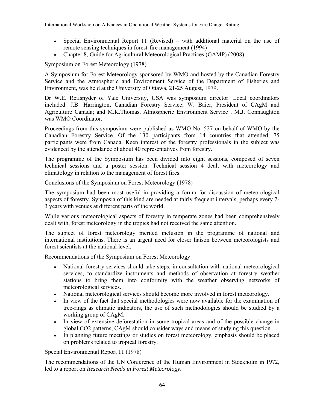- Special Environmental Report 11 (Revised) with additional material on the use of remote sensing techniques in forest-fire management (1994)
- Chapter 8, Guide for Agricultural Meteorological Practices (GAMP) (2008)

Symposium on Forest Meteorology (1978)

A Symposium for Forest Meteorology sponsored by WMO and hosted by the Canadian Forestry Service and the Atmospheric and Environment Service of the Department of Fisheries and Environment, was held at the University of Ottawa, 21-25 August, 1979.

Dr W.E. Reifsnyder of Yale University, USA was symposium director. Local coordinators included: J.B. Harrington, Canadian Forestry Service; W. Baier, President of CAgM and Agriculture Canada; and M.K.Thomas, Atmospheric Environment Service . M.J. Connaughton was WMO Coordinator.

Proceedings from this symposium were published as WMO No. 527 on behalf of WMO by the Canadian Forestry Service. Of the 130 participants from 14 countries that attended, 75 participants were from Canada. Keen interest of the forestry professionals in the subject was evidenced by the attendance of about 40 representatives from forestry.

The programme of the Symposium has been divided into eight sessions, composed of seven technical sessions and a poster session. Technical session 4 dealt with meteorology and climatology in relation to the management of forest fires.

Conclusions of the Symposium on Forest Meteorology (1978)

The symposium had been most useful in providing a forum for discussion of meteorological aspects of forestry. Symposia of this kind are needed at fairly frequent intervals, perhaps every 2- 3 years with venues at different parts of the world.

While various meteorological aspects of forestry in temperate zones had been comprehensively dealt with, forest meteorology in the tropics had not received the same attention.

The subject of forest meteorology merited inclusion in the programme of national and international institutions. There is an urgent need for closer liaison between meteorologists and forest scientists at the national level.

Recommendations of the Symposium on Forest Meteorology

- National forestry services should take steps, in consultation with national meteorological services, to standardize instruments and methods of observation at forestry weather stations to bring them into conformity with the weather observing networks of meteorological services.
- National meteorological services should become more involved in forest meteorology.
- In view of the fact that special methodologies were now available for the examination of tree-rings as climatic indicators, the use of such methodologies should be studied by a working group of CAgM.
- In view of extensive deforestation in some tropical areas and of the possible change in global CO2 patterns, CAgM should consider ways and means of studying this question.
- In planning future meetings or studies on forest meteorology, emphasis should be placed on problems related to tropical forestry.

Special Environmental Report 11 (1978)

The recommendations of the UN Conference of the Human Environment in Stockholm in 1972, led to a report on *Research Needs in Forest Meteorology*.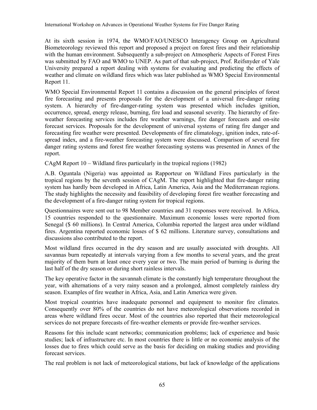At its sixth session in 1974, the WMO/FAO/UNESCO Interagency Group on Agricultural Biometeorology reviewed this report and proposed a project on forest fires and their relationship with the human environment. Subsequently a sub-project on Atmospheric Aspects of Forest Fires was submitted by FAO and WMO to UNEP. As part of that sub-project, Prof. Reifsnyder of Yale University prepared a report dealing with systems for evaluating and predicting the effects of weather and climate on wildland fires which was later published as WMO Special Environmental Report 11.

WMO Special Environmental Report 11 contains a discussion on the general principles of forest fire forecasting and presents proposals for the development of a universal fire-danger rating system. A hierarchy of fire-danger-rating system was presented which includes ignition, occurrence, spread, energy release, burning, fire load and seasonal severity. The hierarchy of fireweather forecasting services includes fire weather warnings, fire danger forecasts and on-site forecast services. Proposals for the development of universal systems of rating fire danger and forecasting fire weather were presented. Developments of fire climatology, ignition index, rate-ofspread index, and a fire-weather forecasting system were discussed. Comparison of several fire danger rating systems and forest fire weather forecasting systems was presented in Annex of the report.

CAgM Report 10 – Wildland fires particularly in the tropical regions (1982)

A.B. Oguntala (Nigeria) was appointed as Rapporteur on Wildland Fires particularly in the tropical regions by the seventh session of CAgM. The report highlighted that fire-danger rating system has hardly been developed in Africa, Latin America, Asia and the Mediterranean regions. The study highlights the necessity and feasibility of developing forest fire weather forecasting and the development of a fire-danger rating system for tropical regions.

Questionnaires were sent out to 98 Member countries and 31 responses were received. In Africa, 15 countries responded to the questionnaire. Maximum economic losses were reported from Senegal (\$ 60 millions). In Central America, Columbia reported the largest area under wildland fires. Argentina reported economic losses of \$ 62 millions. Literature survey, consultations and discussions also contributed to the report.

Most wildland fires occurred in the dry season and are usually associated with droughts. All savannas burn repeatedly at intervals varying from a few months to several years, and the great majority of them burn at least once every year or two. The main period of burning is during the last half of the dry season or during short rainless intervals.

The key operative factor in the savannah climate is the constantly high temperature throughout the year, with alternations of a very rainy season and a prolonged, almost completely rainless dry season. Examples of fire weather in Africa, Asia, and Latin America were given.

Most tropical countries have inadequate personnel and equipment to monitor fire climates. Consequently over 80% of the countries do not have meteorological observations recorded in areas where wildland fires occur. Most of the countries also reported that their meteorological services do not prepare forecasts of fire-weather elements or provide fire-weather services.

Reasons for this include scant networks; communication problems; lack of experience and basic studies; lack of infrastructure etc. In most countries there is little or no economic analysis of the losses due to fires which could serve as the basis for deciding on making studies and providing forecast services.

The real problem is not lack of meteorological stations, but lack of knowledge of the applications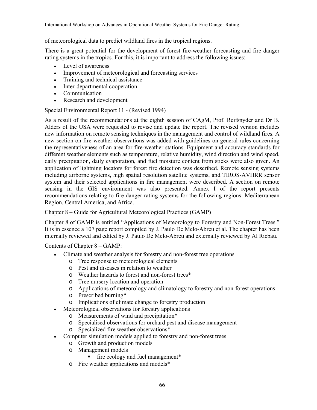of meteorological data to predict wildland fires in the tropical regions.

There is a great potential for the development of forest fire-weather forecasting and fire danger rating systems in the tropics. For this, it is important to address the following issues:

- Level of awareness
- Improvement of meteorological and forecasting services
- Training and technical assistance
- Inter-departmental cooperation
- **Communication**
- Research and development

Special Environmental Report 11 - (Revised 1994)

As a result of the recommendations at the eighth session of CAgM, Prof. Reifsnyder and Dr B. Alders of the USA were requested to revise and update the report. The revised version includes new information on remote sensing techniques in the management and control of wildland fires. A new section on fire-weather observations was added with guidelines on general rules concerning the representativeness of an area for fire-weather stations. Equipment and accuracy standards for different weather elements such as temperature, relative humidity, wind direction and wind speed, daily precipitation, daily evaporation, and fuel moisture content from sticks were also given. An application of lightning locators for forest fire detection was described. Remote sensing systems including airborne systems, high spatial resolution satellite systems, and TIROS-AVHRR sensor system and their selected applications in fire management were described. A section on remote sensing in the GIS environment was also presented. Annex I of the report presents recommendations relating to fire danger rating systems for the following regions: Mediterranean Region, Central America, and Africa.

Chapter 8 – Guide for Agricultural Meteorological Practices (GAMP)

Chapter 8 of GAMP is entitled "Applications of Meteorology to Forestry and Non-Forest Trees." It is in essence a 107 page report compiled by J. Paulo De Melo-Abreu et al. The chapter has been internally reviewed and edited by J. Paulo De Melo-Abreu and externally reviewed by Al Riebau.

Contents of Chapter 8 – GAMP:

- Climate and weather analysis for forestry and non-forest tree operations
	- o Tree response to meteorological elements
	- o Pest and diseases in relation to weather
	- o Weather hazards to forest and non-forest trees\*
	- o Tree nursery location and operation
	- o Applications of meteorology and climatology to forestry and non-forest operations
	- o Prescribed burning\*
	- o Implications of climate change to forestry production
- Meteorological observations for forestry applications
	- o Measurements of wind and precipitation\*
	- o Specialised observations for orchard pest and disease management
	- o Specialized fire weather observations\*
- Computer simulation models applied to forestry and non-forest trees
	- o Growth and production models
	- o Management models
		- fire ecology and fuel management\*
	- o Fire weather applications and models\*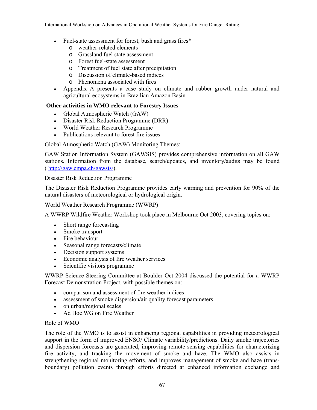- Fuel-state assessment for forest, bush and grass fires\*
	- o weather-related elements
	- o Grassland fuel state assessment
	- o Forest fuel-state assessment
	- o Treatment of fuel state after precipitation
	- o Discussion of climate-based indices
	- o Phenomena associated with fires
- Appendix A presents a case study on climate and rubber growth under natural and agricultural ecosystems in Brazilian Amazon Basin

#### **Other activities in WMO relevant to Forestry Issues**

- Global Atmospheric Watch (GAW)
- Disaster Risk Reduction Programme (DRR)
- World Weather Research Programme
- Publications relevant to forest fire issues

Global Atmospheric Watch (GAW) Monitoring Themes:

GAW Station Information System (GAWSIS) provides comprehensive information on all GAW stations. Information from the database, search/updates, and inventory/audits may be found ( http://gaw.empa.ch/gawsis/).

Disaster Risk Reduction Programme

The Disaster Risk Reduction Programme provides early warning and prevention for 90% of the natural disasters of meteorological or hydrological origin.

World Weather Research Programme (WWRP)

A WWRP Wildfire Weather Workshop took place in Melbourne Oct 2003, covering topics on:

- Short range forecasting
- Smoke transport
- Fire behaviour
- Seasonal range forecasts/climate
- Decision support systems
- Economic analysis of fire weather services
- Scientific visitors programme

WWRP Science Steering Committee at Boulder Oct 2004 discussed the potential for a WWRP Forecast Demonstration Project, with possible themes on:

- comparison and assessment of fire weather indices
- assessment of smoke dispersion/air quality forecast parameters
- on urban/regional scales
- Ad Hoc WG on Fire Weather

#### Role of WMO

The role of the WMO is to assist in enhancing regional capabilities in providing meteorological support in the form of improved ENSO/ Climate variability/predictions. Daily smoke trajectories and dispersion forecasts are generated, improving remote sensing capabilities for characterizing fire activity, and tracking the movement of smoke and haze. The WMO also assists in strengthening regional monitoring efforts, and improves management of smoke and haze (transboundary) pollution events through efforts directed at enhanced information exchange and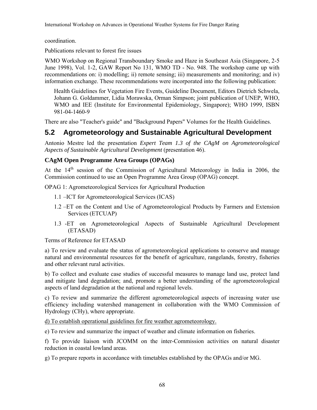International Workshop on Advances in Operational Weather Systems for Fire Danger Rating

coordination.

Publications relevant to forest fire issues

WMO Workshop on Regional Transboundary Smoke and Haze in Southeast Asia (Singapore, 2-5 June 1998), Vol. 1-2, GAW Report No 131, WMO TD - No. 948. The workshop came up with recommendations on: i) modelling; ii) remote sensing; iii) measurements and monitoring; and iv) information exchange. These recommendations were incorporated into the following publication:

Health Guidelines for Vegetation Fire Events, Guideline Document, Editors Dietrich Schwela, Johann G. Goldammer, Lidia Morawska, Orman Simpson; joint publication of UNEP, WHO, WMO and IEE (Institute for Environmental Epidemiology, Singapore); WHO 1999, ISBN 981-04-1460-9

There are also "Teacher's guide" and "Background Papers" Volumes for the Health Guidelines.

## **5.2 Agrometeorology and Sustainable Agricultural Development**

Antonio Mestre led the presentation *Expert Team 1.3 of the CAgM on Agrometeorological Aspects of Sustainable Agricultural Development* (presentation 46).

### **CAgM Open Programme Area Groups (OPAGs)**

At the 14th session of the Commission of Agricultural Meteorology in India in 2006, the Commission continued to use an Open Programme Area Group (OPAG) concept.

OPAG 1: Agrometeorological Services for Agricultural Production

- 1.1 –ICT for Agrometeorological Services (ICAS)
- 1.2 –ET on the Content and Use of Agrometeorological Products by Farmers and Extension Services (ETCUAP)
- 1.3 -ET on Agrometeorological Aspects of Sustainable Agricultural Development (ETASAD)

Terms of Reference for ETASAD

a) To review and evaluate the status of agrometeorological applications to conserve and manage natural and environmental resources for the benefit of agriculture, rangelands, forestry, fisheries and other relevant rural activities.

b) To collect and evaluate case studies of successful measures to manage land use, protect land and mitigate land degradation; and, promote a better understanding of the agrometeorological aspects of land degradation at the national and regional levels.

c) To review and summarize the different agrometeorological aspects of increasing water use efficiency including watershed management in collaboration with the WMO Commission of Hydrology (CHy), where appropriate.

d) To establish operational guidelines for fire weather agrometeorology.

e) To review and summarize the impact of weather and climate information on fisheries.

f) To provide liaison with JCOMM on the inter-Commission activities on natural disaster reduction in coastal lowland areas.

g) To prepare reports in accordance with timetables established by the OPAGs and/or MG.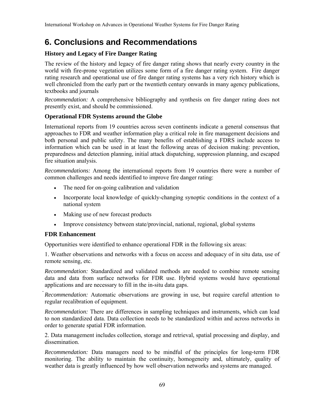# **6. Conclusions and Recommendations**

### **History and Legacy of Fire Danger Rating**

The review of the history and legacy of fire danger rating shows that nearly every country in the world with fire-prone vegetation utilizes some form of a fire danger rating system. Fire danger rating research and operational use of fire danger rating systems has a very rich history which is well chronicled from the early part or the twentieth century onwards in many agency publications, textbooks and journals

*Recommendation:* A comprehensive bibliography and synthesis on fire danger rating does not presently exist, and should be commissioned.

### **Operational FDR Systems around the Globe**

International reports from 19 countries across seven continents indicate a general consensus that approaches to FDR and weather information play a critical role in fire management decisions and both personal and public safety. The many benefits of establishing a FDRS include access to information which can be used in at least the following areas of decision making: prevention, preparedness and detection planning, initial attack dispatching, suppression planning, and escaped fire situation analysis.

*Recommendations:* Among the international reports from 19 countries there were a number of common challenges and needs identified to improve fire danger rating:

- The need for on-going calibration and validation
- Incorporate local knowledge of quickly-changing synoptic conditions in the context of a national system
- Making use of new forecast products
- Improve consistency between state/provincial, national, regional, global systems

### **FDR Enhancement**

Opportunities were identified to enhance operational FDR in the following six areas:

1. Weather observations and networks with a focus on access and adequacy of in situ data, use of remote sensing, etc.

*Recommendation:* Standardized and validated methods are needed to combine remote sensing data and data from surface networks for FDR use. Hybrid systems would have operational applications and are necessary to fill in the in-situ data gaps.

*Recommendation:* Automatic observations are growing in use, but require careful attention to regular recalibration of equipment.

*Recommendation:* There are differences in sampling techniques and instruments, which can lead to non standardized data. Data collection needs to be standardized within and across networks in order to generate spatial FDR information.

2. Data management includes collection, storage and retrieval, spatial processing and display, and dissemination.

*Recommendation:* Data managers need to be mindful of the principles for long-term FDR monitoring. The ability to maintain the continuity, homogeneity and, ultimately, quality of weather data is greatly influenced by how well observation networks and systems are managed.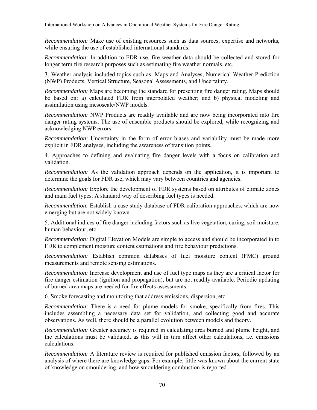*Recommendation:* Make use of existing resources such as data sources, expertise and networks, while ensuring the use of established international standards.

*Recommendation:* In addition to FDR use, fire weather data should be collected and stored for longer term fire research purposes such as estimating fire weather normals, etc.

3. Weather analysis included topics such as: Maps and Analyses, Numerical Weather Prediction (NWP) Products, Vertical Structure, Seasonal Assessments, and Uncertainty.

*Recommendation:* Maps are becoming the standard for presenting fire danger rating. Maps should be based on: a) calculated FDR from interpolated weather; and b) physical modeling and assimilation using mesoscale/NWP models.

*Recommendation:* NWP Products are readily available and are now being incorporated into fire danger rating systems. The use of ensemble products should be explored, while recognizing and acknowledging NWP errors.

*Recommendation:* Uncertainty in the form of error biases and variability must be made more explicit in FDR analyses, including the awareness of transition points.

4. Approaches to defining and evaluating fire danger levels with a focus on calibration and validation.

*Recommendation:* As the validation approach depends on the application, it is important to determine the goals for FDR use, which may vary between countries and agencies.

*Recommendation:* Explore the development of FDR systems based on attributes of climate zones and main fuel types. A standard way of describing fuel types is needed.

*Recommendation:* Establish a case study database of FDR calibration approaches, which are now emerging but are not widely known.

5. Additional indices of fire danger including factors such as live vegetation, curing, soil moisture, human behaviour, etc.

*Recommendation:* Digital Elevation Models are simple to access and should be incorporated in to FDR to complement moisture content estimations and fire behaviour predictions.

*Recommendation:* Establish common databases of fuel moisture content (FMC) ground measurements and remote sensing estimations.

*Recommendation:* Increase development and use of fuel type maps as they are a critical factor for fire danger estimation (ignition and propagation), but are not readily available. Periodic updating of burned area maps are needed for fire effects assessments.

6. Smoke forecasting and monitoring that address emissions, dispersion, etc.

*Recommendation:* There is a need for plume models for smoke, specifically from fires. This includes assembling a necessary data set for validation, and collecting good and accurate observations. As well, there should be a parallel evolution between models and theory.

*Recommendation:* Greater accuracy is required in calculating area burned and plume height, and the calculations must be validated, as this will in turn affect other calculations, i.e. emissions calculations.

*Recommendation:* A literature review is required for published emission factors, followed by an analysis of where there are knowledge gaps. For example, little was known about the current state of knowledge on smouldering, and how smouldering combustion is reported.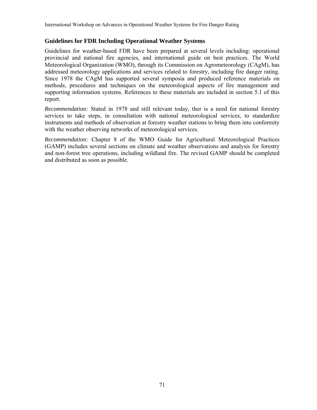#### **Guidelines for FDR Including Operational Weather Systems**

Guidelines for weather-based FDR have been prepared at several levels including: operational provincial and national fire agencies, and international guide on best practices. The World Meteorological Organization (WMO), through its Commission on Agrometeorology (CAgM), has addressed meteorology applications and services related to forestry, including fire danger rating. Since 1978 the CAgM has supported several symposia and produced reference materials on methods, procedures and techniques on the meteorological aspects of fire management and supporting information systems. References to these materials are included in section 5.1 of this report.

*Recommendation:* Stated in 1978 and still relevant today, ther is a need for national forestry services to take steps, in consultation with national meteorological services, to standardize instruments and methods of observation at forestry weather stations to bring them into conformity with the weather observing networks of meteorological services.

*Recommendation:* Chapter 8 of the WMO Guide for Agricultural Meteorological Practices (GAMP) includes several sections on climate and weather observations and analysis for forestry and non-forest tree operations, including wildland fire. The revised GAMP should be completed and distributed as soon as possible.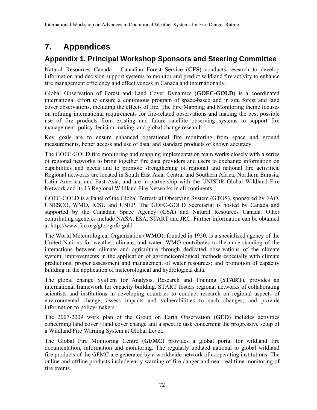# **7. Appendices**

## **Appendix 1. Principal Workshop Sponsors and Steering Committee**

Natural Resources Canada - Canadian Forest Service (**CFS**) conducts research to develop information and decision support systems to monitor and predict wildland fire activity to enhance fire management efficiency and effectiveness in Canada and internationally.

Global Observation of Forest and Land Cover Dynamics (**GOFC-GOLD**) is a coordinated international effort to ensure a continuous program of space-based and in situ forest and land cover observations, including the effects of fire. The Fire Mapping and Monitoring theme focuses on refining international requirements for fire-related observations and making the best possible use of fire products from existing and future satellite observing systems to support fire management, policy decision-making, and global change research.

Key goals are to ensure enhanced operational fire monitoring from space and ground measurements, better access and use of data, and standard products of known accuracy.

The GOFC-GOLD fire monitoring and mapping implementation team works closely with a series of regional networks to bring together fire data providers and users to exchange information on capabilities and needs and to promote strengthening of regional and national fire activities. Regional networks are located in South East Asia, Central and Southern Africa, Northern Eurasia, Latin America, and East Asia, and are in partnership with the UNISDR Global Wildland Fire Network and its 13 Regional Wildland Fire Networks in all continents.

GOFC-GOLD is a Panel of the Global Terrestrial Observing System (GTOS), sponsored by FAO, UNESCO, WMO, ICSU and UNEP. The GOFC-GOLD Secretariat is hosted by Canada and supported by the Canadian Space Agency (**CSA**) and Natural Resources Canada. Other contributing agencies include NASA, ESA, START and JRC. Further information can be obtained at http://www.fao.org/gtos/gofc-gold

The World Meteorological Organization (**WMO**), founded in 1950, is a specialized agency of the United Nations for weather, climate, and water. WMO contributes to the understanding of the interactions between climate and agriculture through dedicated observations of the climate system; improvements in the application of agrometeorological methods especially with climate predictions; proper assessment and management of water resources; and promotion of capacity building in the application of meteorological and hydrological data.

The global change SysTem for Analysis, Research and Training (**START**), provides an international framework for capacity building. START fosters regional networks of collaborating scientists and institutions in developing countries to conduct research on regional aspects of environmental change, assess impacts and vulnerabilities to such changes, and provide information to policy-makers.

The 2007-2009 work plan of the Group on Earth Observation (**GEO**) includes activities concerning land cover / land cover change and a specific task concerning the progressive setup of a Wildland Fire Warning System at Global Level.

The Global Fire Monitoring Centre (**GFMC**) provides a global portal for wildland fire documentation, information and monitoring. The regularly updated national to global wildland fire products of the GFMC are generated by a worldwide network of cooperating institutions. The online and offline products include early warning of fire danger and near-real time monitoring of fire events.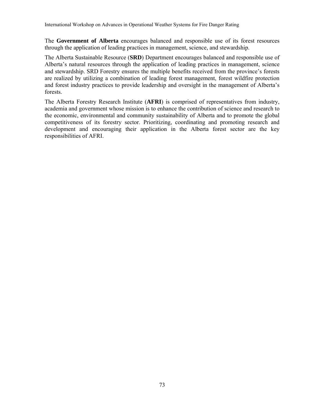The **Government of Alberta** encourages balanced and responsible use of its forest resources through the application of leading practices in management, science, and stewardship.

The Alberta Sustainable Resource (**SRD**) Department encourages balanced and responsible use of Alberta's natural resources through the application of leading practices in management, science and stewardship. SRD Forestry ensures the multiple benefits received from the province's forests are realized by utilizing a combination of leading forest management, forest wildfire protection and forest industry practices to provide leadership and oversight in the management of Alberta's forests.

The Alberta Forestry Research Institute (**AFRI**) is comprised of representatives from industry, academia and government whose mission is to enhance the contribution of science and research to the economic, environmental and community sustainability of Alberta and to promote the global competitiveness of its forestry sector. Prioritizing, coordinating and promoting research and development and encouraging their application in the Alberta forest sector are the key responsibilities of AFRI.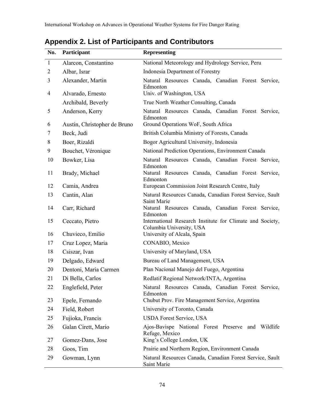| No.            | Participant                  | <b>Representing</b>                                                                   |  |
|----------------|------------------------------|---------------------------------------------------------------------------------------|--|
| $\mathbf{1}$   | Alarcon, Constantino         | National Meteorology and Hydrology Service, Peru                                      |  |
| $\overline{c}$ | Albar, Israr                 | Indonesia Department of Forestry                                                      |  |
| 3              | Alexander, Martin            | Natural Resources Canada, Canadian Forest Service,<br>Edmonton                        |  |
| 4              | Alvarado, Ernesto            | Univ. of Washington, USA                                                              |  |
|                | Archibald, Beverly           | True North Weather Consulting, Canada                                                 |  |
| 5              | Anderson, Kerry              | Natural Resources Canada, Canadian Forest Service,<br>Edmonton                        |  |
| 6              | Austin, Christopher de Bruno | Ground Operations WoF, South Africa                                                   |  |
| 7              | Beck, Judi                   | British Columbia Ministry of Forests, Canada                                          |  |
| 8              | Boer, Rizaldi                | Bogor Agricultural University, Indonesia                                              |  |
| 9              | Bouchet, Véronique           | National Prediction Operations, Environment Canada                                    |  |
| 10             | Bowker, Lisa                 | Natural Resources Canada, Canadian Forest Service,<br>Edmonton                        |  |
| 11             | Brady, Michael               | Natural Resources Canada, Canadian Forest Service,<br>Edmonton                        |  |
| 12             | Camia, Andrea                | European Commission Joint Research Centre, Italy                                      |  |
| 13             | Cantin, Alan                 | Natural Resources Canada, Canadian Forest Service, Sault<br>Saint Marie               |  |
| 14             | Carr, Richard                | Natural Resources Canada, Canadian Forest Service,<br>Edmonton                        |  |
| 15             | Ceccato, Pietro              | International Research Institute for Climate and Society,<br>Columbia University, USA |  |
| 16             | Chuvieco, Emilio             | University of Alcala, Spain                                                           |  |
| 17             | Cruz Lopez, Maria            | CONABIO, Mexico                                                                       |  |
| 18             | Csiszar, Ivan                | University of Maryland, USA                                                           |  |
| 19             | Delgado, Edward              | Bureau of Land Management, USA                                                        |  |
| 20             | Dentoni, Maria Carmen        | Plan Nacional Manejo del Fuego, Argentina                                             |  |
| 21             | Di Bella, Carlos             | Redlatif Regional Network/INTA, Argentina                                             |  |
| 22             | Englefield, Peter            | Natural Resources Canada, Canadian Forest Service,<br>Edmonton                        |  |
| 23             | Epele, Fernando              | Chubut Prov. Fire Management Service, Argentina                                       |  |
| 24             | Field, Robert                | University of Toronto, Canada                                                         |  |
| 25             | Fujioka, Francis             | <b>USDA Forest Service, USA</b>                                                       |  |
| 26             | Galan Cirett, Mario          | Ajos-Bavispe National Forest Preserve and Wildlife<br>Refuge, Mexico                  |  |
| 27             | Gomez-Dans, Jose             | King's College London, UK                                                             |  |
| 28             | Goos, Tim                    | Prairie and Northern Region, Environment Canada                                       |  |
| 29             | Gowman, Lynn                 | Natural Resources Canada, Canadian Forest Service, Sault<br>Saint Marie               |  |

## **Appendix 2. List of Participants and Contributors**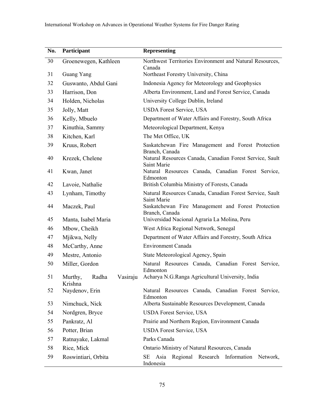| No. | Participant                             | <b>Representing</b>                                                                 |  |
|-----|-----------------------------------------|-------------------------------------------------------------------------------------|--|
| 30  | Groenewegen, Kathleen                   | Northwest Territories Environment and Natural Resources,                            |  |
| 31  | Guang Yang                              | Canada<br>Northeast Forestry University, China                                      |  |
| 32  | Guswanto, Abdul Gani                    | Indonesia Agency for Meteorology and Geophysics                                     |  |
| 33  | Harrison, Don                           | Alberta Environment, Land and Forest Service, Canada                                |  |
| 34  | Holden, Nicholas                        | University College Dublin, Ireland                                                  |  |
| 35  | Jolly, Matt                             | <b>USDA Forest Service, USA</b>                                                     |  |
| 36  | Kelly, Mbuelo                           | Department of Water Affairs and Forestry, South Africa                              |  |
| 37  | Kinuthia, Sammy                         | Meteorological Department, Kenya                                                    |  |
| 38  | Kitchen, Karl                           | The Met Office, UK                                                                  |  |
| 39  | Kruus, Robert                           | Saskatchewan Fire Management and Forest Protection<br>Branch, Canada                |  |
| 40  | Krezek, Chelene                         | Natural Resources Canada, Canadian Forest Service, Sault<br>Saint Marie             |  |
| 41  | Kwan, Janet                             | Natural Resources Canada, Canadian Forest Service,<br>Edmonton                      |  |
| 42  | Lavoie, Nathalie                        | British Columbia Ministry of Forests, Canada                                        |  |
| 43  | Lynham, Timothy                         | Natural Resources Canada, Canadian Forest Service, Sault                            |  |
| 44  | Maczek, Paul                            | Saint Marie<br>Saskatchewan Fire Management and Forest Protection<br>Branch, Canada |  |
| 45  | Manta, Isabel Maria                     | Universidad Nacional Agraria La Molina, Peru                                        |  |
| 46  | Mbow, Cheikh                            | West Africa Regional Network, Senegal                                               |  |
| 47  | Mjikwa, Nelly                           | Department of Water Affairs and Forestry, South Africa                              |  |
| 48  | McCarthy, Anne                          | <b>Environment Canada</b>                                                           |  |
| 49  | Mestre, Antonio                         | State Meteorological Agency, Spain                                                  |  |
| 50  | Miller, Gordon                          | Natural Resources Canada, Canadian Forest Service,<br>Edmonton                      |  |
| 51  | Radha<br>Vasiraju<br>Murthy,<br>Krishna | Acharya N.G.Ranga Agricultural University, India                                    |  |
| 52  | Naydenov, Erin                          | Natural Resources Canada, Canadian Forest Service,<br>Edmonton                      |  |
| 53  | Nimchuck, Nick                          | Alberta Sustainable Resources Development, Canada                                   |  |
| 54  | Nordgren, Bryce                         | <b>USDA Forest Service, USA</b>                                                     |  |
| 55  | Pankratz, Al                            | Prairie and Northern Region, Environment Canada                                     |  |
| 56  | Potter, Brian                           | <b>USDA Forest Service, USA</b>                                                     |  |
| 57  | Ratnayake, Lakmal                       | Parks Canada                                                                        |  |
| 58  | Rice, Mick                              | Ontario Ministry of Natural Resources, Canada                                       |  |
| 59  | Roswintiari, Orbita                     | Regional Research Information<br>SE<br>Asia<br>Network,<br>Indonesia                |  |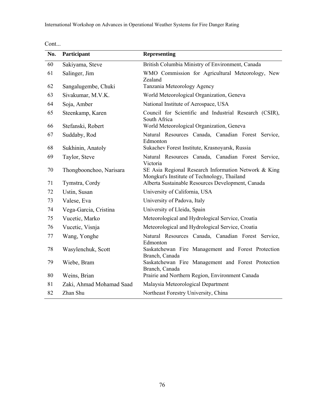| No. | Participant              | <b>Representing</b>                                                                                 |  |
|-----|--------------------------|-----------------------------------------------------------------------------------------------------|--|
| 60  | Sakiyama, Steve          | British Columbia Ministry of Environment, Canada                                                    |  |
| 61  | Salinger, Jim            | WMO Commission for Agricultural Meteorology, New<br>Zealand                                         |  |
| 62  | Sangalugembe, Chuki      | Tanzania Meteorology Agency                                                                         |  |
| 63  | Sivakumar, M.V.K.        | World Meteorological Organization, Geneva                                                           |  |
| 64  | Soja, Amber              | National Institute of Aerospace, USA                                                                |  |
| 65  | Steenkamp, Karen         | Council for Scientific and Industrial Research (CSIR),<br>South Africa                              |  |
| 66  | Stefanski, Robert        | World Meteorological Organization, Geneva                                                           |  |
| 67  | Suddaby, Rod             | Natural Resources Canada, Canadian Forest Service,<br>Edmonton                                      |  |
| 68  | Sukhinin, Anatoly        | Sukachev Forest Institute, Krasnoyarsk, Russia                                                      |  |
| 69  | Taylor, Steve            | Natural Resources Canada, Canadian Forest Service,<br>Victoria                                      |  |
| 70  | Thongboonchoo, Narisara  | SE Asia Regional Research Information Network & King<br>Mongkut's Institute of Technology, Thailand |  |
| 71  | Tymstra, Cordy           | Alberta Sustainable Resources Development, Canada                                                   |  |
| 72  | Ustin, Susan             | University of California, USA                                                                       |  |
| 73  | Valese, Eva              | University of Padova, Italy                                                                         |  |
| 74  | Vega-Garcia, Cristina    | University of Lleida, Spain                                                                         |  |
| 75  | Vucetic, Marko           | Meteorological and Hydrological Service, Croatia                                                    |  |
| 76  | Vucetic, Visnja          | Meteorological and Hydrological Service, Croatia                                                    |  |
| 77  | Wang, Yonghe             | Natural Resources Canada, Canadian Forest Service,<br>Edmonton                                      |  |
| 78  | Wasylenchuk, Scott       | Saskatchewan Fire Management and Forest Protection<br>Branch, Canada                                |  |
| 79  | Wiebe, Bram              | Saskatchewan Fire Management and Forest Protection<br>Branch, Canada                                |  |
| 80  | Weins, Brian             | Prairie and Northern Region, Environment Canada                                                     |  |
| 81  | Zaki, Ahmad Mohamad Saad | Malaysia Meteorological Department                                                                  |  |
| 82  | Zhan Shu                 | Northeast Forestry University, China                                                                |  |

| × |
|---|
|---|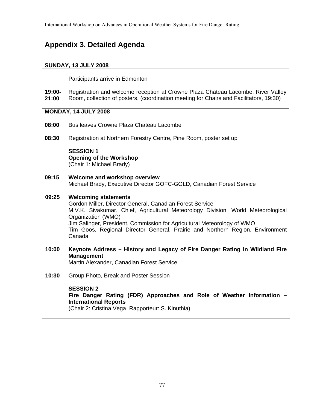## **Appendix 3. Detailed Agenda**

#### **SUNDAY, 13 JULY 2008**

Participants arrive in Edmonton

**19:00- 21:00**  Registration and welcome reception at Crowne Plaza Chateau Lacombe, River Valley Room, collection of posters, (coordination meeting for Chairs and Facilitators, 19:30)

#### **MONDAY, 14 JULY 2008**

- **08:00** Bus leaves Crowne Plaza Chateau Lacombe
- **08:30** Registration at Northern Forestry Centre, Pine Room, poster set up

**SESSION 1 Opening of the Workshop**  (Chair 1: Michael Brady)

**09:15 Welcome and workshop overview** Michael Brady, Executive Director GOFC-GOLD, Canadian Forest Service

#### **09:25 Welcoming statements**

 Gordon Miller, Director General, Canadian Forest Service M.V.K. Sivakumar, Chief, Agricultural Meteorology Division, World Meteorological Organization (WMO) Jim Salinger, President, Commission for Agricultural Meteorology of WMO Tim Goos, Regional Director General, Prairie and Northern Region, Environment Canada

- **10:00 Keynote Address History and Legacy of Fire Danger Rating in Wildland Fire Management** Martin Alexander, Canadian Forest Service
- **10:30** Group Photo, Break and Poster Session

#### **SESSION 2**

 **Fire Danger Rating (FDR) Approaches and Role of Weather Information – International Reports** 

(Chair 2: Cristina Vega Rapporteur: S. Kinuthia)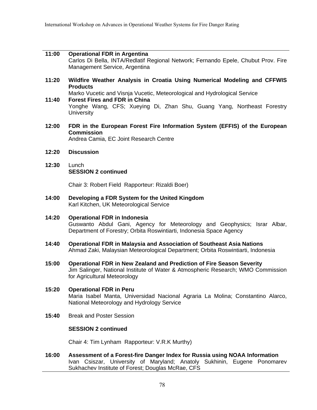#### **11:00 Operational FDR in Argentina**  Carlos Di Bella, INTA/Redlatif Regional Network; Fernando Epele, Chubut Prov. Fire Management Service, Argentina

**11:20 Wildfire Weather Analysis in Croatia Using Numerical Modeling and CFFWIS Products** 

Marko Vucetic and Visnja Vucetic, Meteorological and Hydrological Service

- **11:40 Forest Fires and FDR in China**  Yonghe Wang, CFS; Xueying Di, Zhan Shu, Guang Yang, Northeast Forestry **University**
- **12:00 FDR in the European Forest Fire Information System (EFFIS) of the European Commission**  Andrea Camia, EC Joint Research Centre
- **12:20 Discussion**
- **12:30** Lunch **SESSION 2 continued**

Chair 3: Robert Field Rapporteur: Rizaldi Boer)

- **14:00 Developing a FDR System for the United Kingdom**  Karl Kitchen, UK Meteorological Service
- **14:20 Operational FDR in Indonesia**  Guswanto Abdul Gani, Agency for Meteorology and Geophysics; Israr Albar, Department of Forestry; Orbita Roswintiarti, Indonesia Space Agency
- **14:40 Operational FDR in Malaysia and Association of Southeast Asia Nations**  Ahmad Zaki, Malaysian Meteorological Department; Orbita Roswintiarti, Indonesia
- **15:00 Operational FDR in New Zealand and Prediction of Fire Season Severity**  Jim Salinger, National Institute of Water & Atmospheric Research; WMO Commission for Agricultural Meteorology
- **15:20 Operational FDR in Peru**  Maria Isabel Manta, Universidad Nacional Agraria La Molina; Constantino Alarco, National Meteorology and Hydrology Service
- **15:40** Break and Poster Session

#### **SESSION 2 continued**

Chair 4: Tim Lynham Rapporteur: V.R.K Murthy)

**16:00 Assessment of a Forest-fire Danger Index for Russia using NOAA Information**  Ivan Csiszar, University of Maryland; Anatoly Sukhinin, Eugene Ponomarev Sukhachev Institute of Forest; Douglas McRae, CFS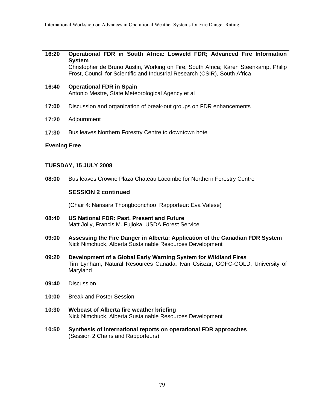#### **16:20 Operational FDR in South Africa: Lowveld FDR; Advanced Fire Information System**

 Christopher de Bruno Austin, Working on Fire, South Africa; Karen Steenkamp, Philip Frost, Council for Scientific and Industrial Research (CSIR), South Africa

- **16:40 Operational FDR in Spain**  Antonio Mestre, State Meteorological Agency et al
- **17:00** Discussion and organization of break-out groups on FDR enhancements
- **17:20** Adjournment
- **17:30** Bus leaves Northern Forestry Centre to downtown hotel

#### **Evening Free**

#### **TUESDAY, 15 JULY 2008**

**08:00** Bus leaves Crowne Plaza Chateau Lacombe for Northern Forestry Centre

#### **SESSION 2 continued**

(Chair 4: Narisara Thongboonchoo Rapporteur: Eva Valese)

- **08:40 US National FDR: Past, Present and Future**  Matt Jolly, Francis M. Fujioka, USDA Forest Service
- **09:00 Assessing the Fire Danger in Alberta: Application of the Canadian FDR System**  Nick Nimchuck, Alberta Sustainable Resources Development
- **09:20 Development of a Global Early Warning System for Wildland Fires**  Tim Lynham, Natural Resources Canada; Ivan Csiszar, GOFC-GOLD, University of Maryland
- **09:40** Discussion
- **10:00** Break and Poster Session
- **10:30 Webcast of Alberta fire weather briefing**  Nick Nimchuck, Alberta Sustainable Resources Development
- **10:50 Synthesis of international reports on operational FDR approaches** (Session 2 Chairs and Rapporteurs)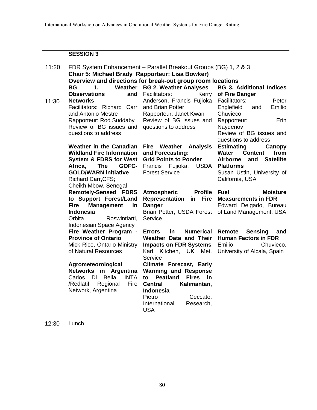### **SESSION 3**

| 11:20 |                                       | FDR System Enhancement - Parallel Breakout Groups (BG) 1, 2 & 3 |                                                   |  |
|-------|---------------------------------------|-----------------------------------------------------------------|---------------------------------------------------|--|
|       |                                       | Chair 5: Michael Brady Rapporteur: Lisa Bowker)                 |                                                   |  |
|       |                                       | Overview and directions for break-out group room locations      |                                                   |  |
|       | <b>BG</b><br>1.<br>Weather            | <b>BG 2. Weather Analyses</b>                                   | <b>BG 3. Additional Indices</b>                   |  |
|       | <b>Observations</b><br>and            | Facilitators:<br>Kerry                                          | of Fire Danger                                    |  |
| 11:30 | <b>Networks</b>                       | Anderson, Francis Fujioka                                       | Facilitators:<br>Peter                            |  |
|       | Facilitators: Richard Carr            | and Brian Potter                                                | Englefield<br>Emilio<br>and                       |  |
|       | and Antonio Mestre                    | Rapporteur: Janet Kwan                                          | Chuvieco                                          |  |
|       | Rapporteur: Rod Suddaby               | Review of BG issues and                                         | Rapporteur:<br>Erin                               |  |
|       | Review of BG issues and               | questions to address                                            | Naydenov                                          |  |
|       | questions to address                  |                                                                 | Review of BG issues and                           |  |
|       |                                       |                                                                 | questions to address                              |  |
|       | <b>Weather in the Canadian</b>        | Fire Weather<br><b>Analysis</b>                                 | <b>Estimating</b><br>Canopy                       |  |
|       | <b>Wildland Fire Information</b>      | and Forecasting:                                                | <b>Content</b><br><b>Water</b><br>from            |  |
|       | <b>System &amp; FDRS for West</b>     | <b>Grid Points to Ponder</b>                                    | Airborne<br><b>Satellite</b><br>and               |  |
|       | <b>The</b><br>Africa,<br>GOFC-        | Francis Fujioka,<br><b>USDA</b>                                 | <b>Platforms</b>                                  |  |
|       | <b>GOLD/WARN initiative</b>           | <b>Forest Service</b>                                           | Susan Ustin, University of                        |  |
|       | Richard Carr, CFS;                    |                                                                 | California, USA                                   |  |
|       | Cheikh Mbow, Senegal                  |                                                                 |                                                   |  |
|       | <b>Remotely-Sensed FDRS</b>           | <b>Atmospheric</b><br><b>Profile</b>                            | <b>Fuel</b><br><b>Moisture</b>                    |  |
|       | to Support Forest/Land                | <b>Representation</b><br>in Fire                                | <b>Measurements in FDR</b>                        |  |
|       | <b>Management</b><br>Fire<br>in       | <b>Danger</b>                                                   | Edward Delgado, Bureau                            |  |
|       | <b>Indonesia</b>                      |                                                                 | Brian Potter, USDA Forest of Land Management, USA |  |
|       | Orbita<br>Roswintiarti,               | Service                                                         |                                                   |  |
|       | Indonesian Space Agency               |                                                                 |                                                   |  |
|       | Fire Weather Program -                | <b>Numerical Remote</b><br><b>Errors</b><br>in                  | <b>Sensing</b><br>and                             |  |
|       | <b>Province of Ontario</b>            | Weather Data and Their                                          | <b>Human Factors in FDR</b>                       |  |
|       | Mick Rice, Ontario Ministry           | <b>Impacts on FDR Systems</b>                                   | Emilio<br>Chuvieco,                               |  |
|       | of Natural Resources                  | Karl Kitchen, UK Met.                                           | University of Alcala, Spain                       |  |
|       |                                       | Service                                                         |                                                   |  |
|       | Agrometeorological                    | <b>Climate Forecast, Early</b>                                  |                                                   |  |
|       | Networks in Argentina                 | <b>Warming and Response</b><br><b>Fires</b>                     |                                                   |  |
|       | Bella,<br><b>INTA</b><br>Carlos<br>Di | <b>Peatland</b><br>in.<br>to                                    |                                                   |  |
|       | /Redlatif<br>Regional<br>Fire         | <b>Central</b><br>Kalimantan,                                   |                                                   |  |
|       | Network, Argentina                    | Indonesia                                                       |                                                   |  |
|       |                                       | Pietro<br>Ceccato,<br>International<br>Research,                |                                                   |  |
|       |                                       | <b>USA</b>                                                      |                                                   |  |
|       |                                       |                                                                 |                                                   |  |
|       |                                       |                                                                 |                                                   |  |

12:30 Lunch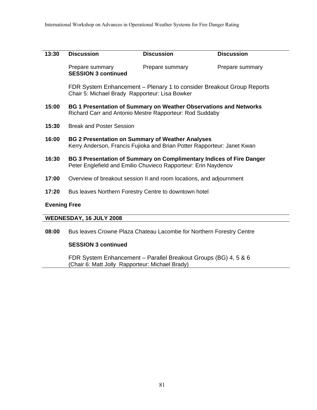| 13:30 | <b>Discussion</b>                                                                                                                      | <b>Discussion</b>                                                    | <b>Discussion</b> |  |
|-------|----------------------------------------------------------------------------------------------------------------------------------------|----------------------------------------------------------------------|-------------------|--|
|       | Prepare summary<br><b>SESSION 3 continued</b>                                                                                          | Prepare summary                                                      | Prepare summary   |  |
|       | FDR System Enhancement – Plenary 1 to consider Breakout Group Reports<br>Chair 5: Michael Brady Rapporteur: Lisa Bowker                |                                                                      |                   |  |
| 15:00 | <b>BG 1 Presentation of Summary on Weather Observations and Networks</b><br>Richard Carr and Antonio Mestre Rapporteur: Rod Suddaby    |                                                                      |                   |  |
| 15:30 | <b>Break and Poster Session</b>                                                                                                        |                                                                      |                   |  |
| 16:00 | <b>BG 2 Presentation on Summary of Weather Analyses</b><br>Kerry Anderson, Francis Fujioka and Brian Potter Rapporteur: Janet Kwan     |                                                                      |                   |  |
| 16:30 | BG 3 Presentation of Summary on Complimentary Indices of Fire Danger<br>Peter Englefield and Emilio Chuvieco Rapporteur: Erin Naydenov |                                                                      |                   |  |
| 17:00 |                                                                                                                                        | Overview of breakout session II and room locations, and adjournment  |                   |  |
| 17:20 | Bus leaves Northern Forestry Centre to downtown hotel                                                                                  |                                                                      |                   |  |
|       | <b>Evening Free</b>                                                                                                                    |                                                                      |                   |  |
|       | WEDNESDAY, 16 JULY 2008                                                                                                                |                                                                      |                   |  |
| 08:00 |                                                                                                                                        | Bus leaves Crowne Plaza Chateau Lacombe for Northern Forestry Centre |                   |  |
|       | <b>SESSION 3 continued</b>                                                                                                             |                                                                      |                   |  |

 FDR System Enhancement – Parallel Breakout Groups (BG) 4, 5 & 6 (Chair 6: Matt Jolly Rapporteur: Michael Brady)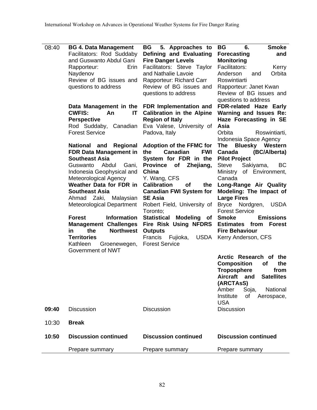| 08:40 | <b>BG 4. Data Management</b><br>Facilitators: Rod Suddaby<br>and Guswanto Abdul Gani<br>Rapporteur:<br>Erin<br>Naydenov<br>Review of BG issues and<br>questions to address<br>Data Management in the<br><b>CWFIS:</b><br>An<br>IT<br><b>Perspective</b><br>Rod Suddaby,<br>Canadian<br><b>Forest Service</b><br><b>National</b><br>and<br>Regional<br><b>FDR Data Management in</b><br><b>Southeast Asia</b><br>Abdul<br>Guswanto<br>Gani,<br>Indonesia Geophysical and<br>Meteorological Agency<br>Weather Data for FDR in<br><b>Southeast Asia</b><br>Ahmad Zaki, Malaysian<br><b>Meteorological Department</b><br><b>Forest</b><br><b>Information</b><br><b>Management Challenges</b><br>the<br><b>Northwest</b><br>in<br><b>Territories</b><br>Kathleen<br>Groenewegen,<br>Government of NWT | 5. Approaches to<br><b>BG</b><br>Defining and Evaluating<br><b>Fire Danger Levels</b><br>Facilitators: Steve Taylor<br>and Nathalie Lavoie<br>Rapporteur: Richard Carr<br>Review of BG issues and<br>questions to address<br>FDR Implementation and<br><b>Calibration in the Alpine</b><br><b>Region of Italy</b><br>Eva Valese, University of<br>Padova, Italy<br><b>Adoption of the FFMC for</b><br>Canadian<br><b>FWI</b><br>the<br>System for FDR in the<br>Zhejiang,<br><b>Province</b><br>of<br>China<br>Y. Wang, CFS<br><b>Calibration</b><br>the<br>οf<br><b>Canadian FWI System for</b><br><b>SE Asia</b><br>Robert Field, University of<br>Toronto;<br><b>Statistical</b><br>Modeling of<br>Fire Risk Using NFDRS<br><b>Outputs</b><br>Francis<br><b>USDA</b><br>Fujioka,<br><b>Forest Service</b> | <b>Smoke</b><br><b>BG</b><br>6.<br><b>Forecasting</b><br>and<br><b>Monitoring</b><br>Facilitators:<br>Kerry<br>Orbita<br>Anderson<br>and<br>Roswintiarti<br>Rapporteur: Janet Kwan<br>Review of BG issues and<br>questions to address<br><b>FDR-related Haze Early</b><br>Warning and Issues Re:<br>Haze Forecasting in SE<br>Asia<br>Orbita<br>Roswintiarti,<br>Indonesia Space Agency<br><b>Bluesky Western</b><br>The<br>(BC/Alberta)<br>Canada<br><b>Pilot Project</b><br>Steve<br>Sakiyama,<br>BC<br>Ministry of Environment,<br>Canada<br>Long-Range Air Quality<br>Modeling: The Impact of<br><b>Large Fires</b><br>Bryce Nordgren,<br><b>USDA</b><br><b>Forest Service</b><br><b>Emissions</b><br><b>Smoke</b><br><b>Estimates from</b><br><b>Forest</b><br><b>Fire Behaviour</b><br>Kerry Anderson, CFS<br>Arctic Research of the<br><b>Composition</b><br>the<br><b>of</b><br><b>Troposphere</b><br>from<br><b>Aircraft</b><br><b>Satellites</b><br>and<br>(ARCTAsS)<br>Amber<br>Soja,<br>National |
|-------|--------------------------------------------------------------------------------------------------------------------------------------------------------------------------------------------------------------------------------------------------------------------------------------------------------------------------------------------------------------------------------------------------------------------------------------------------------------------------------------------------------------------------------------------------------------------------------------------------------------------------------------------------------------------------------------------------------------------------------------------------------------------------------------------------|--------------------------------------------------------------------------------------------------------------------------------------------------------------------------------------------------------------------------------------------------------------------------------------------------------------------------------------------------------------------------------------------------------------------------------------------------------------------------------------------------------------------------------------------------------------------------------------------------------------------------------------------------------------------------------------------------------------------------------------------------------------------------------------------------------------|--------------------------------------------------------------------------------------------------------------------------------------------------------------------------------------------------------------------------------------------------------------------------------------------------------------------------------------------------------------------------------------------------------------------------------------------------------------------------------------------------------------------------------------------------------------------------------------------------------------------------------------------------------------------------------------------------------------------------------------------------------------------------------------------------------------------------------------------------------------------------------------------------------------------------------------------------------------------------------------------------------------|
| 09:40 | <b>Discussion</b>                                                                                                                                                                                                                                                                                                                                                                                                                                                                                                                                                                                                                                                                                                                                                                                | <b>Discussion</b>                                                                                                                                                                                                                                                                                                                                                                                                                                                                                                                                                                                                                                                                                                                                                                                            | Institute<br>of<br>Aerospace,<br><b>USA</b><br><b>Discussion</b>                                                                                                                                                                                                                                                                                                                                                                                                                                                                                                                                                                                                                                                                                                                                                                                                                                                                                                                                             |
| 10:30 | <b>Break</b>                                                                                                                                                                                                                                                                                                                                                                                                                                                                                                                                                                                                                                                                                                                                                                                     |                                                                                                                                                                                                                                                                                                                                                                                                                                                                                                                                                                                                                                                                                                                                                                                                              |                                                                                                                                                                                                                                                                                                                                                                                                                                                                                                                                                                                                                                                                                                                                                                                                                                                                                                                                                                                                              |
| 10:50 | <b>Discussion continued</b>                                                                                                                                                                                                                                                                                                                                                                                                                                                                                                                                                                                                                                                                                                                                                                      | <b>Discussion continued</b>                                                                                                                                                                                                                                                                                                                                                                                                                                                                                                                                                                                                                                                                                                                                                                                  | <b>Discussion continued</b>                                                                                                                                                                                                                                                                                                                                                                                                                                                                                                                                                                                                                                                                                                                                                                                                                                                                                                                                                                                  |
|       | Prepare summary                                                                                                                                                                                                                                                                                                                                                                                                                                                                                                                                                                                                                                                                                                                                                                                  | Prepare summary                                                                                                                                                                                                                                                                                                                                                                                                                                                                                                                                                                                                                                                                                                                                                                                              | Prepare summary                                                                                                                                                                                                                                                                                                                                                                                                                                                                                                                                                                                                                                                                                                                                                                                                                                                                                                                                                                                              |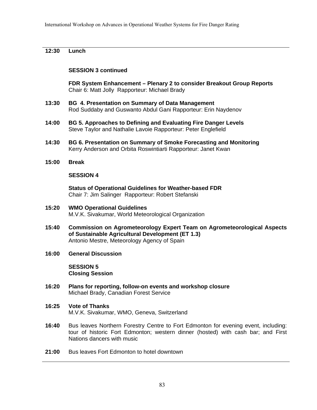#### **12:30 Lunch**

#### **SESSION 3 continued**

 **FDR System Enhancement – Plenary 2 to consider Breakout Group Reports**  Chair 6: Matt Jolly Rapporteur: Michael Brady

- **13:30 BG 4. Presentation on Summary of Data Management**  Rod Suddaby and Guswanto Abdul Gani Rapporteur: Erin Naydenov
- **14:00 BG 5. Approaches to Defining and Evaluating Fire Danger Levels**  Steve Taylor and Nathalie Lavoie Rapporteur: Peter Englefield
- **14:30 BG 6. Presentation on Summary of Smoke Forecasting and Monitoring**  Kerry Anderson and Orbita Roswintiarti Rapporteur: Janet Kwan
- **15:00 Break**

#### **SESSION 4**

 **Status of Operational Guidelines for Weather-based FDR**  Chair 7: Jim Salinger Rapporteur: Robert Stefanski

- **15:20 WMO Operational Guidelines**  M.V.K. Sivakumar, World Meteorological Organization
- **15:40 Commission on Agrometeorology Expert Team on Agrometeorological Aspects of Sustainable Agricultural Development (ET 1.3)**  Antonio Mestre, Meteorology Agency of Spain

#### **16:00 General Discussion**

 **SESSION 5 Closing Session** 

- **16:20 Plans for reporting, follow-on events and workshop closure**  Michael Brady, Canadian Forest Service
- **16:25 Vote of Thanks**  M.V.K. Sivakumar, WMO, Geneva, Switzerland
- **16:40** Bus leaves Northern Forestry Centre to Fort Edmonton for evening event, including: tour of historic Fort Edmonton; western dinner (hosted) with cash bar; and First Nations dancers with music
- **21:00** Bus leaves Fort Edmonton to hotel downtown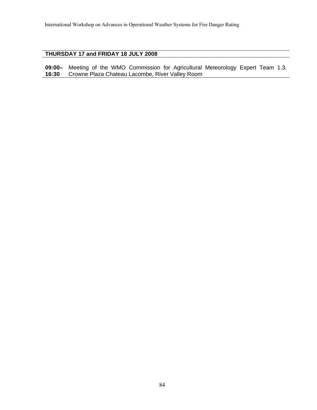#### **THURSDAY 17 and FRIDAY 18 JULY 2008**

**09:00– 16:30** Meeting of the WMO Commission for Agricultural Meteorology Expert Team 1.3. Crowne Plaza Chateau Lacombe, River Valley Room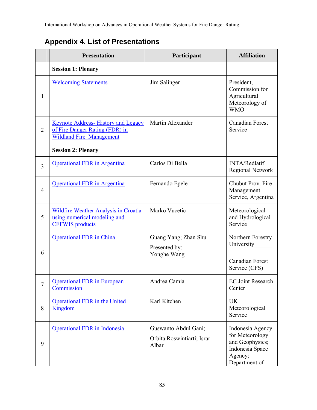International Workshop on Advances in Operational Weather Systems for Fire Danger Rating

## **Appendix 4. List of Presentations**

|                | <b>Presentation</b>                                                                                            | Participant                                                 | <b>Affiliation</b>                                                                                    |
|----------------|----------------------------------------------------------------------------------------------------------------|-------------------------------------------------------------|-------------------------------------------------------------------------------------------------------|
|                | <b>Session 1: Plenary</b>                                                                                      |                                                             |                                                                                                       |
| $\mathbf{1}$   | <b>Welcoming Statements</b>                                                                                    | Jim Salinger                                                | President,<br>Commission for<br>Agricultural<br>Meteorology of<br><b>WMO</b>                          |
| $\overline{2}$ | <b>Keynote Address-History and Legacy</b><br>of Fire Danger Rating (FDR) in<br><b>Wildland Fire Management</b> | Martin Alexander                                            | <b>Canadian Forest</b><br>Service                                                                     |
|                | <b>Session 2: Plenary</b>                                                                                      |                                                             |                                                                                                       |
| $\overline{3}$ | <b>Operational FDR</b> in Argentina                                                                            | Carlos Di Bella                                             | <b>INTA/Redlatif</b><br><b>Regional Network</b>                                                       |
| $\overline{4}$ | <b>Operational FDR</b> in Argentina                                                                            | Fernando Epele                                              | Chubut Prov. Fire<br>Management<br>Service, Argentina                                                 |
| 5              | <b>Wildfire Weather Analysis in Croatia</b><br>using numerical modeling and<br><b>CFFWIS</b> products          | Marko Vucetic                                               | Meteorological<br>and Hydrological<br>Service                                                         |
| 6              | <b>Operational FDR</b> in China                                                                                | Guang Yang; Zhan Shu<br>Presented by:<br>Yonghe Wang        | Northern Forestry<br>University<br><b>Canadian Forest</b><br>Service (CFS)                            |
| $\overline{7}$ | <b>Operational FDR</b> in European<br>Commission                                                               | Andrea Camia                                                | <b>EC Joint Research</b><br>Center                                                                    |
| 8              | <b>Operational FDR</b> in the United<br>Kingdom                                                                | Karl Kitchen                                                | <b>UK</b><br>Meteorological<br>Service                                                                |
| 9              | <b>Operational FDR</b> in Indonesia                                                                            | Guswanto Abdul Gani;<br>Orbita Roswintiarti; Israr<br>Albar | Indonesia Agency<br>for Meteorology<br>and Geophysics;<br>Indonesia Space<br>Agency;<br>Department of |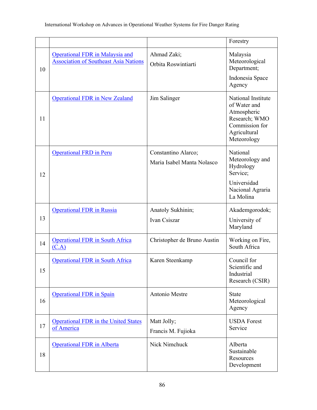|    |                                                                                        |                                                   | Forestry                                                                                                            |
|----|----------------------------------------------------------------------------------------|---------------------------------------------------|---------------------------------------------------------------------------------------------------------------------|
| 10 | <b>Operational FDR</b> in Malaysia and<br><b>Association of Southeast Asia Nations</b> | Ahmad Zaki;<br>Orbita Roswintiarti                | Malaysia<br>Meteorological<br>Department;<br>Indonesia Space<br>Agency                                              |
| 11 | <b>Operational FDR in New Zealand</b>                                                  | Jim Salinger                                      | National Institute<br>of Water and<br>Atmospheric<br>Research; WMO<br>Commission for<br>Agricultural<br>Meteorology |
| 12 | <b>Operational FRD in Peru</b>                                                         | Constantino Alarco;<br>Maria Isabel Manta Nolasco | National<br>Meteorology and<br>Hydrology<br>Service;<br>Universidad<br>Nacional Agraria<br>La Molina                |
| 13 | <b>Operational FDR</b> in Russia                                                       | Anatoly Sukhinin;<br>Ivan Csiszar                 | Akademgorodok;<br>University of<br>Maryland                                                                         |
| 14 | <b>Operational FDR</b> in South Africa<br>(C.A)                                        | Christopher de Bruno Austin                       | Working on Fire,<br>South Africa                                                                                    |
| 15 | <b>Operational FDR</b> in South Africa                                                 | Karen Steenkamp                                   | Council for<br>Scientific and<br>Industrial<br>Research (CSIR)                                                      |
| 16 | <b>Operational FDR</b> in Spain                                                        | Antonio Mestre                                    | <b>State</b><br>Meteorological<br>Agency                                                                            |
| 17 | <b>Operational FDR</b> in the United States<br>of America                              | Matt Jolly;<br>Francis M. Fujioka                 | <b>USDA</b> Forest<br>Service                                                                                       |
| 18 | <b>Operational FDR</b> in Alberta                                                      | Nick Nimchuck                                     | Alberta<br>Sustainable<br>Resources<br>Development                                                                  |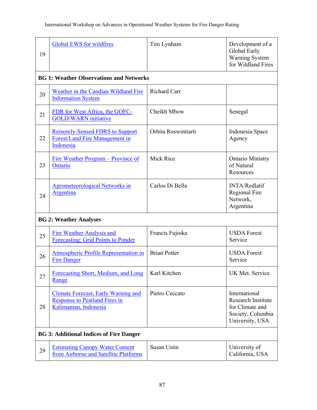| 19                                             | <b>Global EWS for wildfires</b>                                                                             | Tim Lynham          | Development of a<br>Global Early<br>Warning System<br>for Wildland Fires                              |
|------------------------------------------------|-------------------------------------------------------------------------------------------------------------|---------------------|-------------------------------------------------------------------------------------------------------|
|                                                | <b>BG 1: Weather Observations and Networks</b>                                                              |                     |                                                                                                       |
| 20                                             | Weather in the Candian Wildland Fire<br><b>Information System</b>                                           | <b>Richard Carr</b> |                                                                                                       |
| 21                                             | FDR for West Africa, the GOFC-<br><b>GOLD/WARN</b> initiative                                               | Cheikh Mbow         | Senegal                                                                                               |
| 22                                             | <b>Remotely-Sensed FDRS to Support</b><br>Forest/Land Fire Management in<br>Indonesia                       | Orbita Roswintiarti | Indonesia Space<br>Agency                                                                             |
| 23                                             | Fire Weather Program – Province of<br>Ontario                                                               | <b>Mick Rice</b>    | <b>Ontario Ministry</b><br>of Natural<br>Resources                                                    |
| 24                                             | <b>Agrometeorological Networks in</b><br>Argentina                                                          | Carlos Di Bella     | <b>INTA/Redlatif</b><br>Regional Fire<br>Network,<br>Argentina                                        |
|                                                | <b>BG 2: Weather Analyses</b>                                                                               |                     |                                                                                                       |
| 25                                             | <b>Fire Weather Analysis and</b><br><b>Forecasting: Grid Points to Ponder</b>                               | Francis Fujioka     | <b>USDA Forest</b><br>Service                                                                         |
| 26                                             | Atmospheric Profile Representation in<br><b>Fire Danger</b>                                                 | <b>Brian Potter</b> | <b>USDA</b> Forest<br>Service                                                                         |
| 27                                             | Forecasting Short, Medium, and Long<br>Range                                                                | Karl Kitchen        | <b>UK Met. Service</b>                                                                                |
| 28                                             | <b>Climate Forecast, Early Warning and</b><br><b>Response to Peatland Fires in</b><br>Kalimantan, Indonesia | Pietro Ceccato      | International<br><b>Research Institute</b><br>for Climate and<br>Society, Columbia<br>University, USA |
| <b>BG 3: Additional Indices of Fire Danger</b> |                                                                                                             |                     |                                                                                                       |
| 29                                             | <b>Estimating Canopy Water Content</b><br>from Airborne and Satellite Platforms                             | Susan Ustin         | University of<br>California, USA                                                                      |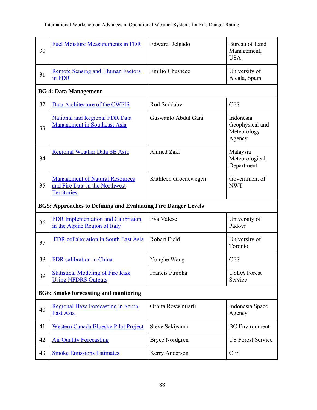| 30                                           | <b>Fuel Moisture Measurements in FDR</b>                                                       | <b>Edward Delgado</b> | <b>Bureau of Land</b><br>Management,<br><b>USA</b>    |  |
|----------------------------------------------|------------------------------------------------------------------------------------------------|-----------------------|-------------------------------------------------------|--|
| 31                                           | <b>Remote Sensing and Human Factors</b><br>in FDR                                              | Emilio Chuvieco       | University of<br>Alcala, Spain                        |  |
|                                              | <b>BG 4: Data Management</b>                                                                   |                       |                                                       |  |
| 32                                           | Data Architecture of the CWFIS                                                                 | Rod Suddaby           | <b>CFS</b>                                            |  |
| 33                                           | <b>National and Regional FDR Data</b><br><b>Management in Southeast Asia</b>                   | Guswanto Abdul Gani   | Indonesia<br>Geophysical and<br>Meteorology<br>Agency |  |
| 34                                           | <b>Regional Weather Data SE Asia</b>                                                           | Ahmed Zaki            | Malaysia<br>Meteorological<br>Department              |  |
| 35                                           | <b>Management of Natural Resources</b><br>and Fire Data in the Northwest<br><b>Territories</b> | Kathleen Groenewegen  | Government of<br><b>NWT</b>                           |  |
|                                              | <b>BG5: Approaches to Defining and Evaluating Fire Danger Levels</b>                           |                       |                                                       |  |
| 36                                           | <b>FDR Implementation and Calibration</b><br>in the Alpine Region of Italy                     | Eva Valese            | University of<br>Padova                               |  |
| 37                                           | FDR collaboration in South East Asia                                                           | Robert Field          | University of<br>Toronto                              |  |
| 38                                           | FDR calibration in China                                                                       | Yonghe Wang           | <b>CFS</b>                                            |  |
| 39                                           | <b>Statistical Modeling of Fire Risk</b><br><b>Using NFDRS Outputs</b>                         | Francis Fujioka       | <b>USDA Forest</b><br>Service                         |  |
| <b>BG6: Smoke forecasting and monitoring</b> |                                                                                                |                       |                                                       |  |
| 40                                           | <b>Regional Haze Forecasting in South</b><br><b>East Asia</b>                                  | Orbita Roswintiarti   | Indonesia Space<br>Agency                             |  |
| 41                                           | <b>Western Canada Bluesky Pilot Project</b>                                                    | Steve Sakiyama        | <b>BC</b> Environment                                 |  |
| 42                                           | <b>Air Quality Forecasting</b>                                                                 | <b>Bryce Nordgren</b> | <b>US Forest Service</b>                              |  |
| 43                                           | <b>Smoke Emissions Estimates</b>                                                               | Kerry Anderson        | <b>CFS</b>                                            |  |